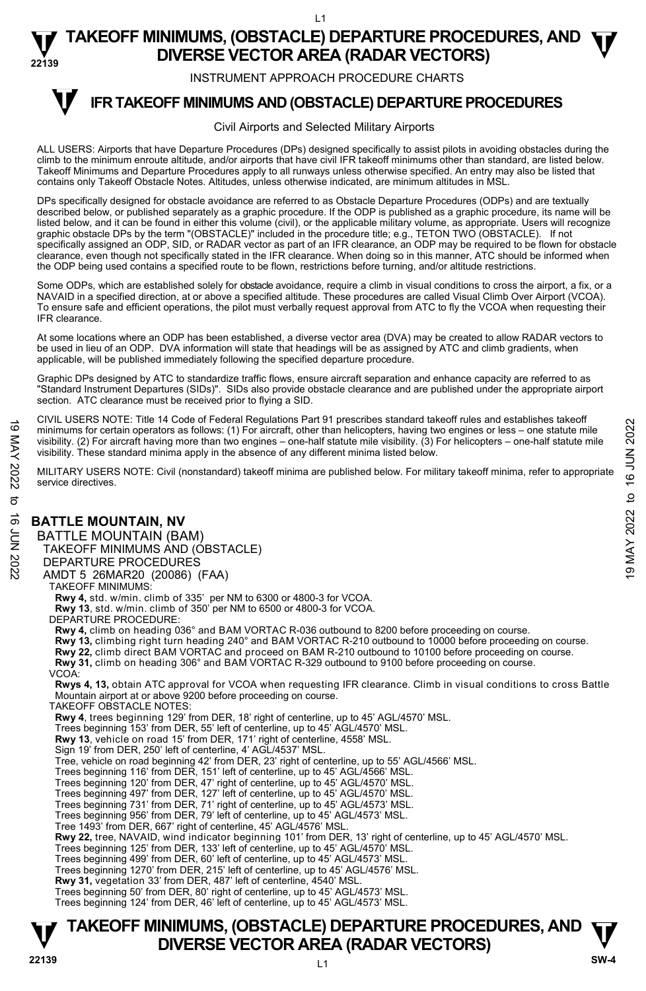INSTRUMENT APPROACH PROCEDURE CHARTS

#### **IFR TAKEOFF MINIMUMS AND (OBSTACLE) DEPARTURE PROCEDURES T**

#### Civil Airports and Selected Military Airports

ALL USERS: Airports that have Departure Procedures (DPs) designed specifically to assist pilots in avoiding obstacles during the climb to the minimum enroute altitude, and/or airports that have civil IFR takeoff minimums other than standard, are listed below. Takeoff Minimums and Departure Procedures apply to all runways unless otherwise specified. An entry may also be listed that contains only Takeoff Obstacle Notes. Altitudes, unless otherwise indicated, are minimum altitudes in MSL.

DPs specifically designed for obstacle avoidance are referred to as Obstacle Departure Procedures (ODPs) and are textually described below, or published separately as a graphic procedure. If the ODP is published as a graphic procedure, its name will be listed below, and it can be found in either this volume (civil), or the applicable military volume, as appropriate. Users will recognize graphic obstacle DPs by the term "(OBSTACLE)" included in the procedure title; e.g., TETON TWO (OBSTACLE). If not specifically assigned an ODP, SID, or RADAR vector as part of an IFR clearance, an ODP may be required to be flown for obstacle clearance, even though not specifically stated in the IFR clearance. When doing so in this manner, ATC should be informed when the ODP being used contains a specified route to be flown, restrictions before turning, and/or altitude restrictions.

Some ODPs, which are established solely for obstacle avoidance, require a climb in visual conditions to cross the airport, a fix, or a NAVAID in a specified direction, at or above a specified altitude. These procedures are called Visual Climb Over Airport (VCOA). To ensure safe and efficient operations, the pilot must verbally request approval from ATC to fly the VCOA when requesting their IFR clearance.

At some locations where an ODP has been established, a diverse vector area (DVA) may be created to allow RADAR vectors to<br>be used in lieu of an ODP. DVA information will state that headings will be as assigned by ATC and applicable, will be published immediately following the specified departure procedure.

Graphic DPs designed by ATC to standardize traffic flows, ensure aircraft separation and enhance capacity are referred to as "Standard Instrument Departures (SIDs)". SIDs also provide obstacle clearance and are published under the appropriate airport section. ATC clearance must be received prior to flying a SID.

CIVIL USERS NOTE: Title 14 Code of Federal Regulations Part 91 prescribes standard takeoff rules and establishes takeoff minimums for certain operators as follows: (1) For aircraft, other than helicopters, having two engines or less – one statute mile visibility. (2) For aircraft having more than two engines – one-half statute mile visibility. (3) For helicopters – one-half statute mile visibility. These standard minima apply in the absence of any different minima listed below. For the Core of the Control of the Control of the Control of the Control of the Control of the Control of the Control of the Control of the Control of the Control of the Control of the Control of the Control of the Contr

MILITARY USERS NOTE: Civil (nonstandard) takeoff minima are published below. For military takeoff minima, refer to appropriate service directives.

# **BATTLE MOUNTAIN, NV**

BATTLE MOUNTAIN (BAM) TAKEOFF MINIMUMS AND (OBSTACLE)

DEPARTURE PROCEDURES

AMDT 5 26MAR20 (20086) (FAA)

TAKEOFF MINIMUMS:

**Rwy 4,** std. w/min. climb of 335' per NM to 6300 or 4800-3 for VCOA.

**Rwy 13**, std. w/min. climb of 350' per NM to 6500 or 4800-3 for VCOA.

DEPARTURE PROCEDURE:

**Rwy 4,** climb on heading 036° and BAM VORTAC R-036 outbound to 8200 before proceeding on course.

**Rwy 13,** climbing right turn heading 240° and BAM VORTAC R-210 outbound to 10000 before proceeding on course.

**Rwy 22,** climb direct BAM VORTAC and proceed on BAM R-210 outbound to 10100 before proceeding on course.

**Rwy 31,** climb on heading 306° and BAM VORTAC R-329 outbound to 9100 before proceeding on course.

VCOA:

**Rwys 4, 13,** obtain ATC approval for VCOA when requesting IFR clearance. Climb in visual conditions to cross Battle Mountain airport at or above 9200 before proceeding on course.

TAKEOFF OBSTACLE NOTES:

**Rwy 4**, trees beginning 129' from DER, 18' right of centerline, up to 45' AGL/4570' MSL.

Trees beginning 153' from DER, 55' left of centerline, up to 45' AGL/4570' MSL.

**Rwy 13**, vehicle on road 15' from DER, 171' right of centerline, 4558' MSL.

Sign 19' from DER, 250' left of centerline, 4' AGL/4537' MSL.

Tree, vehicle on road beginning 42' from DER, 23' right of centerline, up to 55' AGL/4566' MSL.

Trees beginning 116' from DER, 151' left of centerline, up to 45' AGL/4566' MSL.

Trees beginning 120' from DER, 47' right of centerline, up to 45' AGL/4570' MSL.

Trees beginning 497' from DER, 127' left of centerline, up to 45' AGL/4570' MSL.

Trees beginning 731' from DER, 71' right of centerline, up to 45' AGL/4573' MSL. Trees beginning 956' from DER, 79' left of centerline, up to 45' AGL/4573' MSL.

Tree 1493' from DER, 667' right of centerline, 45' AGL/4576' MSL.

**Rwy 22,** tree, NAVAID, wind indicator beginning 101' from DER, 13' right of centerline, up to 45' AGL/4570' MSL.

Trees beginning 125' from DER, 133' left of centerline, up to 45' AGL/4570' MSL.

Trees beginning 499' from DER, 60' left of centerline, up to 45' AGL/4573' MSL.

Trees beginning 1270' from DER, 215' left of centerline, up to 45' AGL/4576' MSL.

**Rwy 31,** vegetation 33' from DER, 487' left of centerline, 4540' MSL.

Trees beginning 50' from DER, 80' right of centerline, up to 45' AGL/4573' MSL. Trees beginning 124' from DER, 46' left of centerline, up to 45' AGL/4573' MSL.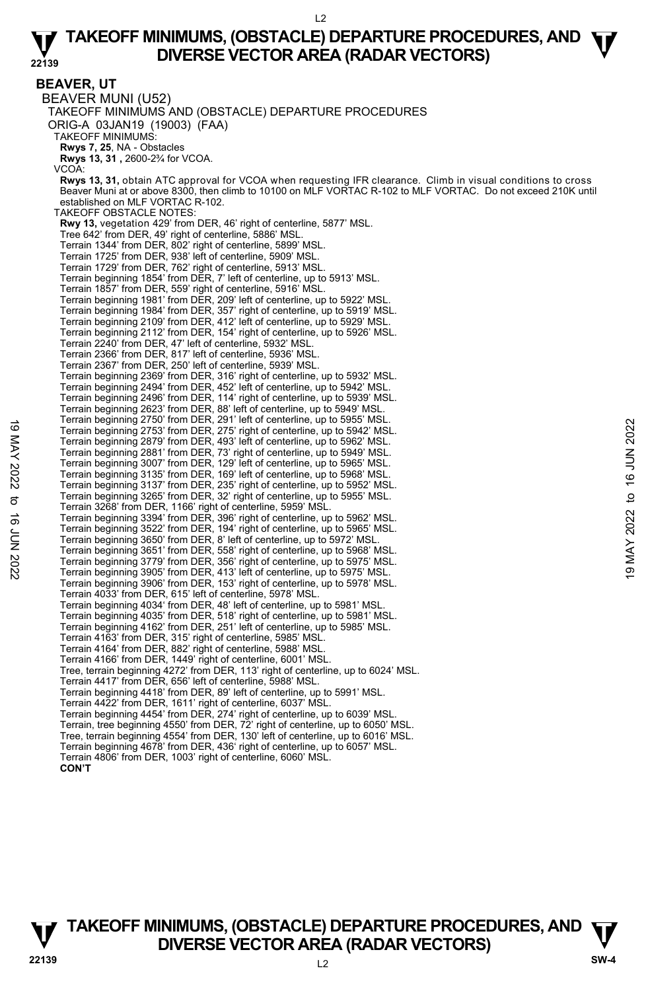**BEAVER, UT** 

BEAVER MUNI (U52) TAKEOFF MINIMUMS AND (OBSTACLE) DEPARTURE PROCEDURES ORIG-A 03JAN19 (19003) (FAA) TAKEOFF MINIMUMS: **Rwys 7, 25**, NA - Obstacles **Rwys 13, 31 ,** 2600-2¾ for VCOA. VCOA: **Rwys 13, 31,** obtain ATC approval for VCOA when requesting IFR clearance. Climb in visual conditions to cross Beaver Muni at or above 8300, then climb to 10100 on MLF VORTAC R-102 to MLF VORTAC. Do not exceed 210K until established on MLF VORTAC R-102. TAKEOFF OBSTACLE NOTES: **Rwy 13,** vegetation 429' from DER, 46' right of centerline, 5877' MSL. Tree 642' from DER, 49' right of centerline, 5886' MSL. Terrain 1344' from DER, 802' right of centerline, 5899' MSL. Terrain 1725' from DER, 938' left of centerline, 5909' MSL. Terrain 1729' from DER, 762' right of centerline, 5913' MSL. Terrain beginning 1854' from DER, 7' left of centerline, up to 5913' MSL. Terrain 1857' from DER, 559' right of centerline, 5916' MSL. Terrain beginning 1981' from DER, 209' left of centerline, up to 5922' MSL.<br>Terrain beginning 1984' from DER, 357' right of centerline, up to 5919' MSL.<br>Terrain beginning 2109' from DER, 412' left of centerline, up to 5929 Terrain beginning 2112' from DER, 154' right of centerline, up to 5926' MSL. Terrain 2240' from DER, 47' left of centerline, 5932' MSL. Terrain 2366' from DER, 817' left of centerline, 5936' MSL. Terrain 2367' from DER, 250' left of centerline, 5939' MSL. Terrain beginning 2369' from DER, 316' right of centerline, up to 5932' MSL. Terrain beginning 2494' from DER, 452' left of centerline, up to 5942' MSL. Terrain beginning 2496' from DER, 114' right of centerline, up to 5939' MSL. Terrain beginning 2623' from DER, 88' left of centerline, up to 5949' MSL. Terrain beginning 2750' from DER, 291' left of centerline, up to 5955' MSL. Terrain beginning 2753' from DER, 275' right of centerline, up to 5942' MSL. Terrain beginning 2879' from DER, 493' left of centerline, up to 5962' MSL. Terrain beginning 2881' from DER, 73' right of centerline, up to 5949' MSL. Terrain beginning 3007' from DER, 129' left of centerline, up to 5965' MSL. Terrain beginning 3135' from DER, 169' left of centerline, up to 5968' MSL. Terrain beginning 3137' from DER, 235' right of centerline, up to 5952' MSL. Terrain beginning 3265' from DER, 32' right of centerline, up to 5955' MSL. Terrain 3268' from DER, 1166' right of centerline, 5959' MSL. Terrain beginning 3394' from DER, 396' right of centerline, up to 5962' MSL. Terrain beginning 3522' from DER, 194' right of centerline, up to 5965' MSL. Terrain beginning 3650' from DER, 8' left of centerline, up to 5972' MSL. Terrain beginning 3651' from DER, 558' right of centerline, up to 5968' MSL. Terrain beginning 3779' from DER, 356' right of centerline, up to 5975' MSL. Terrain beginning 3905' from DER, 413' left of centerline, up to 5975' MSL. Terrain beginning 3906' from DER, 153' right of centerline, up to 5978' MSL. Terrain 4033' from DER, 615' left of centerline, 5978' MSL. Terrain beginning 4034' from DER, 48' left of centerline, up to 5981' MSL. Terrain beginning 4035' from DER, 518' right of centerline, up to 5981' MSL. Terrain beginning 4162' from DER, 251' left of centerline, up to 5985' MSL. Terrain 4163' from DER, 315' right of centerline, 5985' MSL. Terrain 4164' from DER, 882' right of centerline, 5988' MSL. Terrain 4166' from DER, 1449' right of centerline, 6001' MSL. Tree, terrain beginning 4272' from DER, 113' right of centerline, up to 6024' MSL. Terrain 4417' from DER, 656' left of centerline, 5988' MSL. Terrain beginning 4418' from DER, 89' left of centerline, up to 5991' MSL. Terrain 4422' from DER, 1611' right of centerline, 6037' MSL. Terrain beginning 4454' from DER, 274' right of centerline, up to 6039' MSL. Terrain, tree beginning 4550' from DER, 72' right of centerline, up to 6050' MSL. Tree, terrain beginning 4554' from DER, 130' left of centerline, up to 6016' MSL. Terrain beginning 4678' from DER, 436' right of centerline, up to 6057' MSL. Terrain 4806' from DER, 1003' right of centerline, 6060' MSL. **CON'T** Ferrain beginning 2753' from DER, 275' right of centerline, up to 5942' MSL.<br>
Terrain beginning 2879' from DER, 493' left of centerline, up to 5962' MSL.<br>
Terrain beginning 2879' from DER, 73' right of centerline, up to 5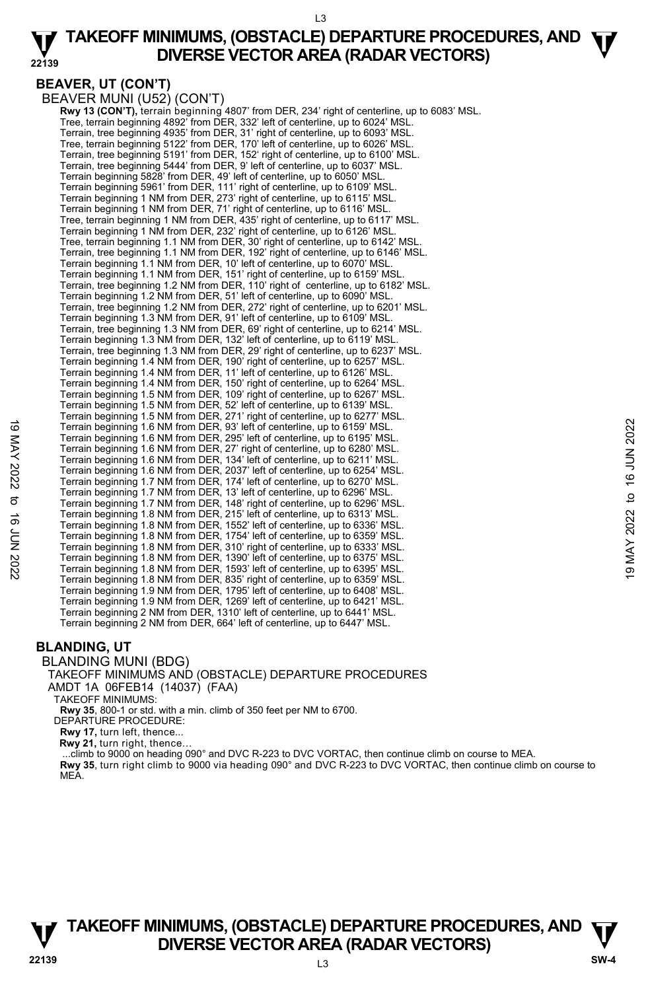# **BEAVER, UT (CON'T)**

BEAVER MUNI (U52) (CON'T)

 **Rwy 13 (CON'T),** terrain beginning 4807' from DER, 234' right of centerline, up to 6083' MSL. Tree, terrain beginning 4892' from DER, 332' left of centerline, up to 6024' MSL. Terrain, tree beginning 4935' from DER, 31' right of centerline, up to 6093' MSL.<br>Tree, terrain beginning 5122' from DER, 170' left of centerline, up to 6026' MSL.<br>Terrain, tree beginning 5191' from DER, 152' right of cent Terrain, tree beginning 5444' from DER, 9' left of centerline, up to 6037' MSL. Terrain beginning 5828' from DER, 49' left of centerline, up to 6050' MSL. Terrain beginning 5961' from DER, 111' right of centerline, up to 6109' MSL. Terrain beginning 1 NM from DER, 273' right of centerline, up to 6115' MSL. Terrain beginning 1 NM from DER, 71' right of centerline, up to 6116' MSL. Tree, terrain beginning 1 NM from DER, 435' right of centerline, up to 6117' MSL. Terrain beginning 1 NM from DER, 232' right of centerline, up to 6126' MSL. Tree, terrain beginning 1.1 NM from DER, 30' right of centerline, up to 6142' MSL. Terrain, tree beginning 1.1 NM from DER, 192' right of centerline, up to 6146' MSL. Terrain beginning 1.1 NM from DER, 10' left of centerline, up to 6070' MSL. Terrain beginning 1.1 NM from DER, 151' right of centerline, up to 6159' MSL. Terrain, tree beginning 1.2 NM from DER, 110' right of centerline, up to 6182' MSL. Terrain beginning 1.2 NM from DER, 51' left of centerline, up to 6090' MSL. Terrain, tree beginning 1.2 NM from DER, 272' right of centerline, up to 6201' MSL. Terrain beginning 1.3 NM from DER, 91' left of centerline, up to 6109' MSL. Terrain, tree beginning 1.3 NM from DER, 69' right of centerline, up to 6214' MSL. Terrain beginning 1.3 NM from DER, 132' left of centerline, up to 6119' MSL. Terrain, tree beginning 1.3 NM from DER, 29' right of centerline, up to 6237' MSL. Terrain beginning 1.4 NM from DER, 190' right of centerline, up to 6257' MSL. Terrain beginning 1.4 NM from DER, 11' left of centerline, up to 6126' MSL. Terrain beginning 1.4 NM from DER, 150' right of centerline, up to 6264' MSL. Terrain beginning 1.5 NM from DER, 109' right of centerline, up to 6267' MSL. Terrain beginning 1.5 NM from DER, 52' left of centerline, up to 6139' MSL. Terrain beginning 1.5 NM from DER, 271' right of centerline, up to 6277' MSL. Terrain beginning 1.6 NM from DER, 93' left of centerline, up to 6159' MSL. Terrain beginning 1.6 NM from DER, 295' left of centerline, up to 6195' MSL. Terrain beginning 1.6 NM from DER, 27' right of centerline, up to 6280' MSL. Terrain beginning 1.6 NM from DER, 134' left of centerline, up to 6211' MSL. Terrain beginning 1.6 NM from DER, 2037' left of centerline, up to 6254' MSL. Terrain beginning 1.7 NM from DER, 174' left of centerline, up to 6270' MSL. Terrain beginning 1.7 NM from DER, 13' left of centerline, up to 6296' MSL. Terrain beginning 1.7 NM from DER, 148' right of centerline, up to 6296' MSL.<br>Terrain beginning 1.8 NM from DER, 215' left of centerline, up to 6313' MSL.<br>Terrain beginning 1.8 NM from DER, 1552' left of centerline, up to Terrain beginning 1.8 NM from DER, 1754' left of centerline, up to 6359' MSL. Terrain beginning 1.8 NM from DER, 310' right of centerline, up to 6333' MSL. Terrain beginning 1.8 NM from DER, 1390' left of centerline, up to 6375' MSL. Terrain beginning 1.8 NM from DER, 1593' left of centerline, up to 6395' MSL. Terrain beginning 1.8 NM from DER, 835' right of centerline, up to 6359' MSL. Terrain beginning 1.9 NM from DER, 1795' left of centerline, up to 6408' MSL. Terrain beginning 1.9 NM from DER, 1269' left of centerline, up to 6421' MSL. Terrain beginning 2 NM from DER, 1310' left of centerline, up to 6441' MSL. Terrain beginning 2 NM from DER, 664' left of centerline, up to 6447' MSL. 1 Terrain beginning 1.6 NM from DER, 33' left of centerline, up to 6159 MSL.<br>
Terrain beginning 1.6 NM from DER, 29' left of centerline, up to 6195' MSL.<br>
Terrain beginning 1.6 NM from DER, 29' left of centerline, up to 6

# **BLANDING, UT**

#### BLANDING MUNI (BDG)

#### TAKEOFF MINIMUMS AND (OBSTACLE) DEPARTURE PROCEDURES AMDT 1A 06FEB14 (14037) (FAA)

TAKEOFF MINIMUMS:

**Rwy 35**, 800-1 or std. with a min. climb of 350 feet per NM to 6700. DEPARTURE PROCEDURE:

**Rwy 17,** turn left, thence...

**Rwy 21,** turn right, thence…

...climb to 9000 on heading 090° and DVC R-223 to DVC VORTAC, then continue climb on course to MEA.

**Rwy 35**, turn right climb to 9000 via heading 090° and DVC R-223 to DVC VORTAC, then continue climb on course to MEA.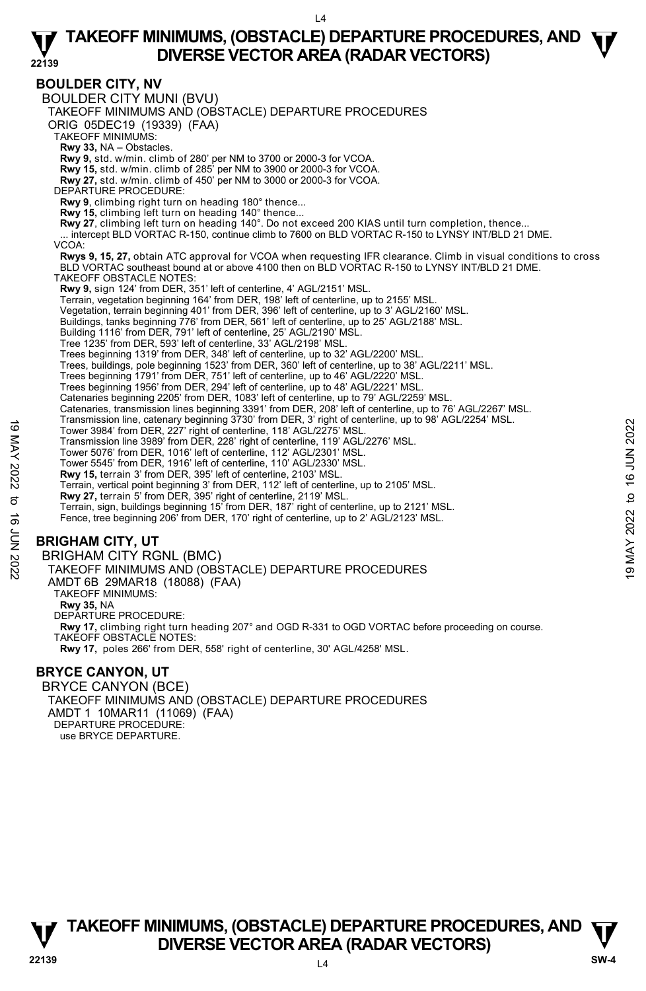### **BOULDER CITY, NV**

BOULDER CITY MUNI (BVU) TAKEOFF MINIMUMS AND (OBSTACLE) DEPARTURE PROCEDURES ORIG 05DEC19 (19339) (FAA) TAKEOFF MINIMUMS: **Rwy 33,** NA – Obstacles. **Rwy 9,** std. w/min. climb of 280' per NM to 3700 or 2000-3 for VCOA. **Rwy 15,** std. w/min. climb of 285' per NM to 3900 or 2000-3 for VCOA. **Rwy 27,** std. w/min. climb of 450' per NM to 3000 or 2000-3 for VCOA. DEPARTURE PROCEDURE: **Rwy 9**, climbing right turn on heading 180° thence... **Rwy 15,** climbing left turn on heading 140° thence... **Rwy 27**, climbing left turn on heading 140°. Do not exceed 200 KIAS until turn completion, thence...<br>... intercept BLD VORTAC R-150, continue climb to 7600 on BLD VORTAC R-150 to LYNSY INT/BLD 21 DME. VCOA: **Rwys 9, 15, 27,** obtain ATC approval for VCOA when requesting IFR clearance. Climb in visual conditions to cross<br>BLD VORTAC southeast bound at or above 4100 then on BLD VORTAC R-150 to LYNSY INT/BLD 21 DME. TAKEOFF OBSTACLE NOTES: **Rwy 9,** sign 124' from DER, 351' left of centerline, 4' AGL/2151' MSL. Terrain, vegetation beginning 164' from DER, 198' left of centerline, up to 2155' MSL. Vegetation, terrain beginning 401' from DER, 396' left of centerline, up to 3' AGL/2160' MSL. Buildings, tanks beginning 776' from DER, 561' left of centerline, up to 25' AGL/2188' MSL. Building 1116' from DER, 791' left of centerline, 25' AGL/2190' MSL. Tree 1235' from DER, 593' left of centerline, 33' AGL/2198' MSL. Trees beginning 1319' from DER, 348' left of centerline, up to 32' AGL/2200' MSL. Trees, buildings, pole beginning 1523' from DER, 360' left of centerline, up to 38' AGL/2211' MSL. Trees beginning 1791' from DER, 751' left of centerline, up to 46' AGL/2220' MSL. Trees beginning 1956' from DER, 294' left of centerline, up to 48' AGL/2221' MSL. Catenaries beginning 2205' from DER, 1083' left of centerline, up to 79' AGL/2259' MSL. Catenaries, transmission lines beginning 3391' from DER, 208' left of centerline, up to 76' AGL/2267' MSL.<br>Transmission line, catenary beginning 3730' from DER, 3' right of centerline, up to 98' AGL/2254' MSL. Tower 3984' from DER, 227' right of centerline, 118' AGL/2275' MSL. Transmission line 3989' from DER, 228' right of centerline, 119' AGL/2276' MSL. Tower 5076' from DER, 1016' left of centerline, 112' AGL/2301' MSL. Tower 5545' from DER, 1916' left of centerline, 110' AGL/2330' MSL. **Rwy 15,** terrain 3' from DER, 395' left of centerline, 2103' MSL. Terrain, vertical point beginning 3' from DER, 112' left of centerline, up to 2105' MSL.<br>**Rwy 27,** terrain 5' from DER, 395' right of centerline, 2119' MSL.<br>Terrain, sign, buildings beginning 15' from DER, 187' right of ce Fence, tree beginning 206' from DER, 170' right of centerline, up to 2' AGL/2123' MSL. **BRIGHAM CITY, UT**  BRIGHAM CITY RGNL (BMC) TAKEOFF MINIMUMS AND (OBSTACLE) DEPARTURE PROCEDURES AMDT 6B 29MAR18 (18088) (FAA) TAKEOFF MINIMUMS: **Rwy 35,** NA DEPARTURE PROCEDURE: **Rwy 17,** climbing right turn heading 207° and OGD R-331 to OGD VORTAC before proceeding on course. TAKEOFF OBSTACLE NOTES: **Rwy 17,** poles 266' from DER, 558' right of centerline, 30' AGL/4258' MSL. **BRYCE CANYON, UT**  Taurismssion line, calenary beginning 3150 lioning Extending (18 AGL/2275' MSL.<br>
Tower 3984' from DER, 227' right of centerline, 118' AGL/2276' MSL.<br>
Transmission line 3989' from DER, 228' right of centerline, 119' AGL/227

BRYCE CANYON (BCE) TAKEOFF MINIMUMS AND (OBSTACLE) DEPARTURE PROCEDURES AMDT 1 10MAR11 (11069) (FAA) DEPARTURE PROCEDURE: use BRYCE DEPARTURE.

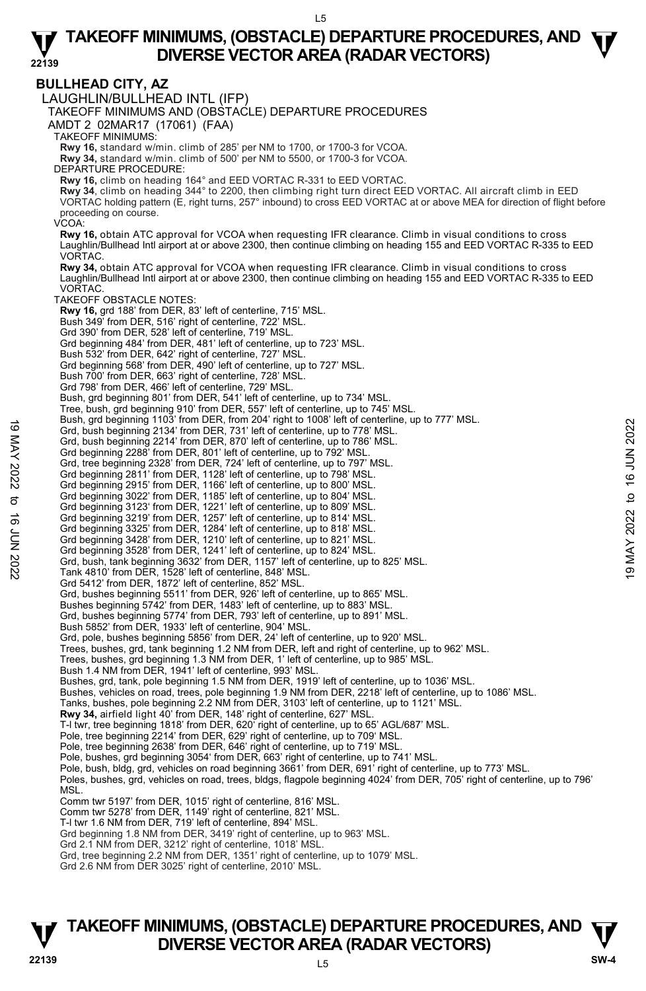**BULLHEAD CITY, AZ**  LAUGHLIN/BULLHEAD INTL (IFP) TAKEOFF MINIMUMS AND (OBSTACLE) DEPARTURE PROCEDURES AMDT 2 02MAR17 (17061) (FAA) TAKEOFF MINIMUMS: **Rwy 16,** standard w/min. climb of 285' per NM to 1700, or 1700-3 for VCOA. **Rwy 34,** standard w/min. climb of 500' per NM to 5500, or 1700-3 for VCOA. DEPARTURE PROCEDURE: **Rwy 16,** climb on heading 164° and EED VORTAC R-331 to EED VORTAC. **Rwy 34**, climb on heading 344° to 2200, then climbing right turn direct EED VORTAC. All aircraft climb in EED<br>VORTAC holding pattern (E, right turns, 257° inbound) to cross EED VORTAC at or above MEA for direction of flig proceeding on course. VCOA: **Rwy 16,** obtain ATC approval for VCOA when requesting IFR clearance. Climb in visual conditions to cross Laughlin/Bullhead Intl airport at or above 2300, then continue climbing on heading 155 and EED VORTAC R-335 to EED VORTAC. **Rwy 34,** obtain ATC approval for VCOA when requesting IFR clearance. Climb in visual conditions to cross Laughlin/Bullhead Intl airport at or above 2300, then continue climbing on heading 155 and EED VORTAC R-335 to EED **VORTAC** TAKEOFF OBSTACLE NOTES: **Rwy 16,** grd 188' from DER, 83' left of centerline, 715' MSL. Bush 349' from DER, 516' right of centerline, 722' MSL. Grd 390' from DER, 528' left of centerline, 719' MSL. Grd beginning 484' from DER, 481' left of centerline, up to 723' MSL. Bush 532' from DER, 642' right of centerline, 727' MSL. Grd beginning 568' from DER, 490' left of centerline, up to 727' MSL. Bush 700' from DER, 663' right of centerline, 728' MSL. Grd 798' from DER, 466' left of centerline, 729' MSL. Bush, grd beginning 801' from DER, 541' left of centerline, up to 734' MSL. Tree, bush, grd beginning 910' from DER, 557' left of centerline, up to 745' MSL. Bush, grd beginning 1103' from DER, from 204' right to 1008' left of centerline, up to 777' MSL. Grd, bush beginning 2134' from DER, 731' left of centerline, up to 778' MSL. Grd, bush beginning 2214' from DER, 870' left of centerline, up to 786' MSL. Grd beginning 2288' from DER, 801' left of centerline, up to 792' MSL. Grd, tree beginning 2328' from DER, 724' left of centerline, up to 797' MSL. Grd beginning 2811' from DER, 1128' left of centerline, up to 798' MSL. Grd beginning 2915' from DER, 1166' left of centerline, up to 800' MSL. Grd beginning 3022' from DER, 1185' left of centerline, up to 804' MSL. Grd beginning 3123' from DER, 1221' left of centerline, up to 809' MSL. Grd beginning 3219' from DER, 1257' left of centerline, up to 814' MSL. Grd beginning 3325' from DER, 1284' left of centerline, up to 818' MSL. Grd beginning 3428' from DER, 1210' left of centerline, up to 821' MSL. Grd beginning 3528' from DER, 1241' left of centerline, up to 824' MSL. Grd, bush, tank beginning 3632' from DER, 1157' left of centerline, up to 825' MSL. Tank 4810' from DER, 1528' left of centerline, 848' MSL. Grd 5412' from DER, 1872' left of centerline, 852' MSL. Grd, bushes beginning 5511' from DER, 926' left of centerline, up to 865' MSL. Bushes beginning 5742' from DER, 1483' left of centerline, up to 883' MSL. Grd, bushes beginning 5774' from DER, 793' left of centerline, up to 891' MSL. Bush 5852' from DER, 1933' left of centerline, 904' MSL. Grd, pole, bushes beginning 5856' from DER, 24' left of centerline, up to 920' MSL. Trees, bushes, grd, tank beginning 1.2 NM from DER, left and right of centerline, up to 962' MSL. Trees, bushes, grd beginning 1.3 NM from DER, 1' left of centerline, up to 985' MSL. Bush 1.4 NM from DER, 1941' left of centerline, 993' MSL. Bushes, grd, tank, pole beginning 1.5 NM from DER, 1919' left of centerline, up to 1036' MSL. Bushes, vehicles on road, trees, pole beginning 1.9 NM from DER, 2218' left of centerline, up to 1086' MSL. Tanks, bushes, pole beginning 2.2 NM from DER, 3103' left of centerline, up to 1121' MSL.<br>**Rwy 34,** airfield light 40' from DER, 148' right of centerline, 627' MSL. T-l twr, tree beginning 1818' from DER, 620' right of centerline, up to 65' AGL/687' MSL. Pole, tree beginning 2214' from DER, 629' right of centerline, up to 709' MSL. Pole, tree beginning 2638' from DER, 646' right of centerline, up to 719' MSL. Pole, bushes, grd beginning 3054' from DER, 663' right of centerline, up to 741' MSL. Pole, bush, bldg, grd, vehicles on road beginning 3661' from DER, 691' right of centerline, up to 773' MSL. Poles, bushes, grd, vehicles on road, trees, bldgs, flagpole beginning 4024' from DER, 705' right of centerline, up to 796' MSL. Comm twr 5197' from DER, 1015' right of centerline, 816' MSL. Comm twr 5278' from DER, 1149' right of centerline, 821' MSL. T-l twr 1.6 NM from DER, 719' left of centerline, 894' MSL. Grd beginning 1.8 NM from DER, 3419' right of centerline, up to 963' MSL. Grd 2.1 NM from DER, 3212' right of centerline, 1018' MSL. Grd, tree beginning 2.2 NM from DER, 1351' right of centerline, up to 1079' MSL. Grd 2.6 NM from DER 3025' right of centerline, 2010' MSL. 19 May to gegimining 1105 Tom DER, 731' left of centerine, up to 778' MSL.<br>
Grd, bush beginning 2234' from DER, 870' left of centerline, up to 778' MSL.<br>
Grd, bush beginning 228' from DER, 870' left of centerline, up to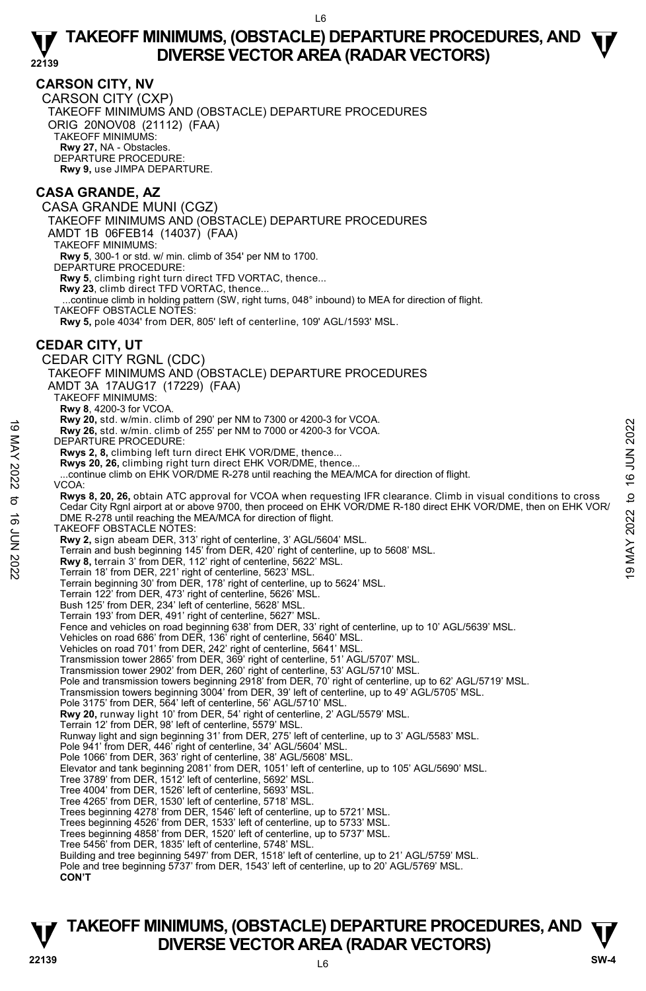# **CARSON CITY, NV**

CARSON CITY (CXP) TAKEOFF MINIMUMS AND (OBSTACLE) DEPARTURE PROCEDURES ORIG 20NOV08 (21112) (FAA) TAKEOFF MINIMUMS: **Rwy 27,** NA - Obstacles. DEPARTURE PROCEDURE: **Rwy 9,** use JIMPA DEPARTURE.

# **CASA GRANDE, AZ**

CASA GRANDE MUNI (CGZ) TAKEOFF MINIMUMS AND (OBSTACLE) DEPARTURE PROCEDURES AMDT 1B 06FEB14 (14037) (FAA) TAKEOFF MINIMUMS: **Rwy 5**, 300-1 or std. w/ min. climb of 354' per NM to 1700. DEPARTURE PROCEDURE: **Rwy 5**, climbing right turn direct TFD VORTAC, thence... **Rwy 23**, climb direct TFD VORTAC, thence... ...continue climb in holding pattern (SW, right turns, 048° inbound) to MEA for direction of flight. TAKEOFF OBSTACLE NOTES: **Rwy 5,** pole 4034' from DER, 805' left of centerline, 109' AGL/1593' MSL. **CEDAR CITY, UT**  CEDAR CITY RGNL (CDC) TAKEOFF MINIMUMS AND (OBSTACLE) DEPARTURE PROCEDURES AMDT 3A 17AUG17 (17229) (FAA) TAKEOFF MINIMUMS: **Rwy 8**, 4200-3 for VCOA. **Rwy 20,** std. w/min. climb of 290' per NM to 7300 or 4200-3 for VCOA. **Rwy 26,** std. w/min. climb of 255' per NM to 7000 or 4200-3 for VCOA. DEPARTURE PROCEDURE: **Rwys 2, 8,** climbing left turn direct EHK VOR/DME, thence... **Rwys 20, 26,** climbing right turn direct EHK VOR/DME, thence... ...continue climb on EHK VOR/DME R-278 until reaching the MEA/MCA for direction of flight. VCOA: **Rwys 8, 20, 26,** obtain ATC approval for VCOA when requesting IFR clearance. Climb in visual conditions to cross Cedar City Rgnl airport at or above 9700, then proceed on EHK VOR/DME R-180 direct EHK VOR/DME, then on EHK VOR/ DME R-278 until reaching the MEA/MCA for direction of flight. TAKEOFF OBSTACLE NOTES: **Rwy 2,** sign abeam DER, 313' right of centerline, 3' AGL/5604' MSL. Terrain and bush beginning 145' from DER, 420' right of centerline, up to 5608' MSL. **Rwy 8,** terrain 3' from DER, 112' right of centerline, 5622' MSL. Terrain 18' from DER, 221' right of centerline, 5623' MSL. Terrain beginning 30' from DER, 178' right of centerline, up to 5624' MSL. Terrain 122' from DER, 473' right of centerline, 5626' MSL. Bush 125' from DER, 234' left of centerline, 5628' MSL. Terrain 193' from DER, 491' right of centerline, 5627' MSL. Fence and vehicles on road beginning 638' from DER, 33' right of centerline, up to 10' AGL/5639' MSL. Vehicles on road 686' from DER, 136' right of centerline, 5640' MSL. Vehicles on road 701' from DER, 242' right of centerline, 5641' MSL. Transmission tower 2865' from DER, 369' right of centerline, 51' AGL/5707' MSL. Transmission tower 2902' from DER, 260' right of centerline, 53' AGL/5710' MSL. Pole and transmission towers beginning 2918' from DER, 70' right of centerline, up to 62' AGL/5719' MSL. Transmission towers beginning 3004' from DER, 39' left of centerline, up to 49' AGL/5705' MSL. Pole 3175' from DER, 564' left of centerline, 56' AGL/5710' MSL. **Rwy 20,** runway light 10' from DER, 54' right of centerline, 2' AGL/5579' MSL. Terrain 12' from DER, 98' left of centerline, 5579' MSL. Runway light and sign beginning 31' from DER, 275' left of centerline, up to 3' AGL/5583' MSL. Pole 941' from DER, 446' right of centerline, 34' AGL/5604' MSL. Pole 1066' from DER, 363' right of centerline, 38' AGL/5608' MSL. Elevator and tank beginning 2081' from DER, 1051' left of centerline, up to 105' AGL/5690' MSL. Tree 3789' from DER, 1512' left of centerline, 5692' MSL. Tree 4004' from DER, 1526' left of centerline, 5693' MSL. Tree 4265' from DER, 1530' left of centerline, 5718' MSL. Trees beginning 4278' from DER, 1546' left of centerline, up to 5721' MSL. Trees beginning 4526' from DER, 1533' left of centerline, up to 5733' MSL. Trees beginning 4858' from DER, 1520' left of centerline, up to 5737' MSL. Tree 5456' from DER, 1835' left of centerline, 5748' MSL. Building and tree beginning 5497' from DER, 1518' left of centerline, up to 21' AGL/5759' MSL. Pole and tree beginning 5737' from DER, 1543' left of centerline, up to 20' AGL/5769' MSL. **CON'T EVALUATE:** The Unit Climb of 255' per NM to 7000 or 4200-3 for VCOA.<br> **EVALUATE:** REVALUATE:<br> **EVALUATE:** PROCEDURE:<br> **EVALUATE:** PROCEDURE:<br> **EVALUATE:** PROCEDURE:<br> **EVALUATE:** PROCEDURE:<br> **EVALUATE:** PROCEDURE:<br> **EVALU**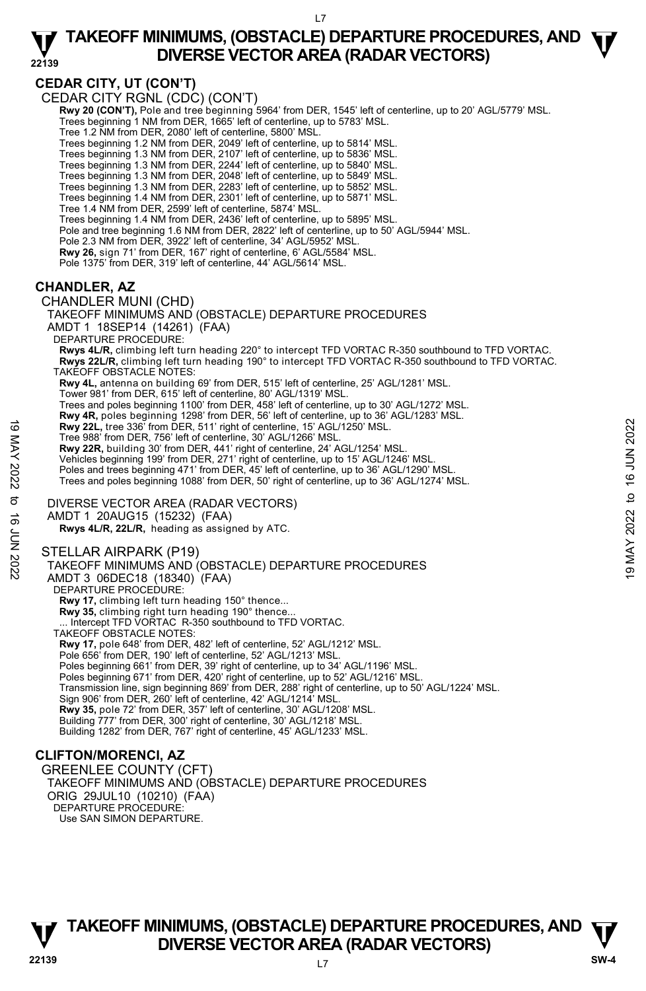**22139** 

# **CEDAR CITY, UT (CON'T)**

CEDAR CITY RGNL (CDC) (CON'T)

 **Rwy 20 (CON'T),** Pole and tree beginning 5964' from DER, 1545' left of centerline, up to 20' AGL/5779' MSL. Trees beginning 1 NM from DER, 1665' left of centerline, up to 5783' MSL.

Tree 1.2 NM from DER, 2080' left of centerline, 5800' MSL.

Trees beginning 1.2 NM from DER, 2049' left of centerline, up to 5814' MSL.

Trees beginning 1.3 NM from DER, 2107' left of centerline, up to 5836' MSL.

Trees beginning 1.3 NM from DER, 2244' left of centerline, up to 5840' MSL.<br>Trees beginning 1.3 NM from DER, 2048' left of centerline, up to 5849' MSL.<br>Trees beginning 1.3 NM from DER, 2283' left of centerline, up to 5852'

Trees beginning 1.4 NM from DER, 2301' left of centerline, up to 5871' MSL.

Tree 1.4 NM from DER, 2599' left of centerline, 5874' MSL.

Trees beginning 1.4 NM from DER, 2436' left of centerline, up to 5895' MSL.

Pole and tree beginning 1.6 NM from DER, 2822' left of centerline, up to 50' AGL/5944' MSL.

Pole 2.3 NM from DER, 3922' left of centerline, 34' AGL/5952' MSL.

**Rwy 26,** sign 71' from DER, 167' right of centerline, 6' AGL/5584' MSL.

Pole 1375' from DER, 319' left of centerline, 44' AGL/5614' MSL.

# **CHANDLER, AZ**

CHANDLER MUNI (CHD) TAKEOFF MINIMUMS AND (OBSTACLE) DEPARTURE PROCEDURES AMDT 1 18SEP14 (14261) (FAA) DEPARTURE PROCEDURE: **Rwys 4L/R,** climbing left turn heading 220° to intercept TFD VORTAC R-350 southbound to TFD VORTAC. **Rwys 22L/R,** climbing left turn heading 190° to intercept TFD VORTAC R-350 southbound to TFD VORTAC. TAKEOFF OBSTACLE NOTES: **Rwy 4L,** antenna on building 69' from DER, 515' left of centerline, 25' AGL/1281' MSL. Tower 981' from DER, 615' left of centerline, 80' AGL/1319' MSL. Trees and poles beginning 1100' from DER, 458' left of centerline, up to 30' AGL/1272' MSL. **Rwy 4R,** poles beginning 1298' from DER, 56' left of centerline, up to 36' AGL/1283' MSL. **Rwy 22L,** tree 336' from DER, 511' right of centerline, 15' AGL/1250' MSL. Tree 988' from DER, 756' left of centerline, 30' AGL/1266' MSL. **Rwy 22R,** building 30' from DER, 441' right of centerline, 24' AGL/1254' MSL. Vehicles beginning 199' from DER, 271' right of centerline, up to 15' AGL/1246' MSL. Poles and trees beginning 471' from DER, 45' left of centerline, up to 36' AGL/1290' MSL Trees and poles beginning 1088' from DER, 50' right of centerline, up to 36' AGL/1274' MSL. DIVERSE VECTOR AREA (RADAR VECTORS) AMDT 1 20AUG15 (15232) (FAA)  **Rwys 4L/R, 22L/R,** heading as assigned by ATC. STELLAR AIRPARK (P19) TAKEOFF MINIMUMS AND (OBSTACLE) DEPARTURE PROCEDURES AMDT 3 06DEC18 (18340) (FAA) DEPARTURE PROCEDURE: **Rwy 17,** climbing left turn heading 150° thence... **Rwy 35,** climbing right turn heading 190° thence...<br>... Intercept TFD VORTAC R-350 southbound to TFD VORTAC. TAKEOFF OBSTACLE NOTES: **EVALUATE:** The 336 from DER, 511' right of centerline, 15' AGL/1250' MSL.<br>
Tree 988' from DER, 441' right of centerline, 30' AGL/1266' MSL.<br> **EVALUATE:** The Same and trees beginning 199' from DER, 441' right of centerlin

**Rwy 17,** pole 648' from DER, 482' left of centerline, 52' AGL/1212' MSL.

Pole 656' from DER, 190' left of centerline, 52' AGL/1213' MSL. Poles beginning 661' from DER, 39' right of centerline, up to 34' AGL/1196' MSL.

Poles beginning 671' from DER, 420' right of centerline, up to 52' AGL/1216' MSL.

Transmission line, sign beginning 869' from DER, 288' right of centerline, up to 50' AGL/1224' MSL. Sign 906' from DER, 260' left of centerline, 42' AGL/1214' MSL.

**Rwy 35,** pole 72' from DER, 357' left of centerline, 30' AGL/1208' MSL.

Building 777' from DER, 300' right of centerline, 30' AGL/1218' MSL.

Building 1282' from DER, 767' right of centerline, 45' AGL/1233' MSL.

# **CLIFTON/MORENCI, AZ**

GREENLEE COUNTY (CFT) TAKEOFF MINIMUMS AND (OBSTACLE) DEPARTURE PROCEDURES ORIG 29JUL10 (10210) (FAA) DEPARTURE PROCEDURE: Use SAN SIMON DEPARTURE.

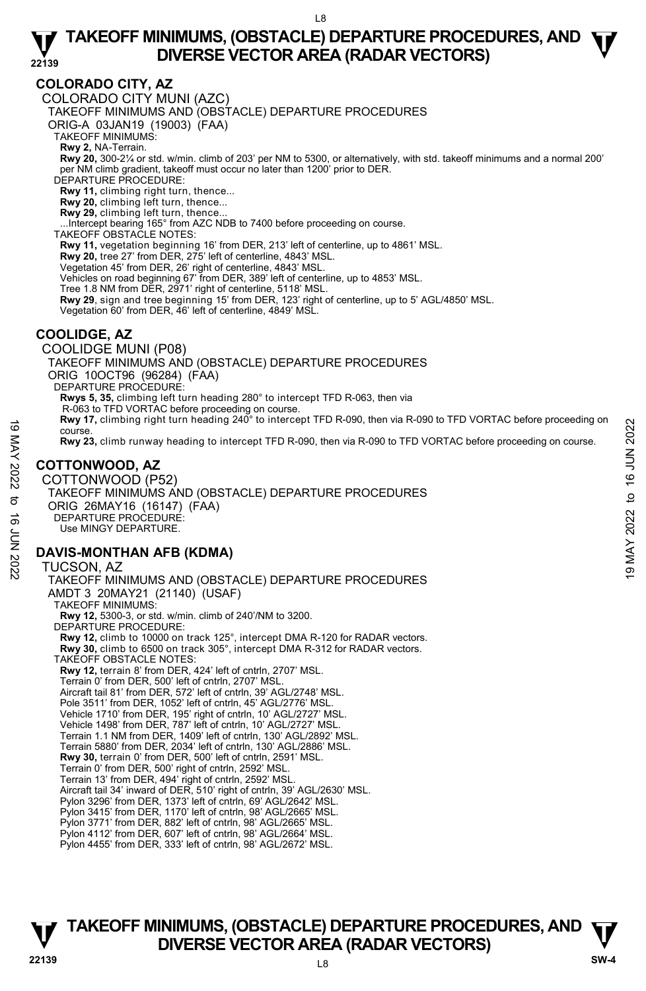# **COLORADO CITY, AZ**

COLORADO CITY MUNI (AZC)

TAKEOFF MINIMUMS AND (OBSTACLE) DEPARTURE PROCEDURES

ORIG-A 03JAN19 (19003) (FAA)

TAKEOFF MINIMUMS:

**Rwy 2,** NA-Terrain.<br>**Rwy 20,** 300-2¼ or std. w/min. climb of 203' per NM to 5300, or alternatively, with std. takeoff minimums and a normal 200' per NM climb gradient, takeoff must occur no later than 1200' prior to DER.

DEPARTURE PROCEDURE:

**Rwy 11,** climbing right turn, thence...

**Rwy 20,** climbing left turn, thence... **Rwy 29,** climbing left turn, thence...

...Intercept bearing 165° from AZC NDB to 7400 before proceeding on course. TAKEOFF OBSTACLE NOTES:

Rwy 11, vegetation beginning 16' from DER, 213' left of centerline, up to 4861' MSL.

**Rwy 20,** tree 27' from DER, 275' left of centerline, 4843' MSL.

Vegetation 45' from DER, 26' right of centerline, 4843' MSL.

Vehicles on road beginning 67' from DER, 389' left of centerline, up to 4853' MSL.

Tree 1.8 NM from DER, 2971' right of centerline, 5118' MSL.

**Rwy 29**, sign and tree beginning 15' from DER, 123' right of centerline, up to 5' AGL/4850' MSL.<br>Vegetation 60' from DER, 46' left of centerline, 4849' MSL.

# **COOLIDGE, AZ**

COOLIDGE MUNI (P08) TAKEOFF MINIMUMS AND (OBSTACLE) DEPARTURE PROCEDURES ORIG 10OCT96 (96284) (FAA) DEPARTURE PROCEDURE: **Rwys 5, 35,** climbing left turn heading 280° to intercept TFD R-063, then via R-063 to TFD VORTAC before proceeding on course. **Rwy 17,** climbing right turn heading 240° to intercept TFD R-090, then via R-090 to TFD VORTAC before proceeding on course. **Rwy 23,** climb runway heading to intercept TFD R-090, then via R-090 to TFD VORTAC before proceeding on course.

# **COTTONWOOD, AZ**

COTTONWOOD (P52) TAKEOFF MINIMUMS AND (OBSTACLE) DEPARTURE PROCEDURES ORIG 26MAY16 (16147) (FAA) DEPARTURE PROCEDURE: Use MINGY DEPARTURE. NOTICHING (SUITSE) TAKE OFF HIM INDIANO CONTINUE OF CONTINUE PROCEDURES<br>
The INSTEAD OF THE CONTINUE OF THE CONTINUE OF THE VORTAC before proceeding on course.<br>
NOTICONWOOD, AZ<br>
COTTONWOOD, AZ<br>
COTTONWOOD, AZ<br>
COTTONWOOD

# **DAVIS-MONTHAN AFB (KDMA)**

TUCSON, AZ TAKEOFF MINIMUMS AND (OBSTACLE) DEPARTURE PROCEDURES AMDT 3 20MAY21 (21140) (USAF) TAKEOFF MINIMUMS: **Rwy 12,** 5300-3, or std. w/min. climb of 240'/NM to 3200. DEPARTURE PROCEDURE: **Rwy 12,** climb to 10000 on track 125°, intercept DMA R-120 for RADAR vectors.  **Rwy 30,** climb to 6500 on track 305°, intercept DMA R-312 for RADAR vectors. TAKEOFF OBSTACLE NOTES: **Rwy 12,** terrain 8' from DER, 424' left of cntrln, 2707' MSL. Terrain 0' from DER, 500' left of cntrln, 2707' MSL. Aircraft tail 81' from DER, 572' left of cntrln, 39' AGL/2748' MSL. Pole 3511' from DER, 1052' left of cntrln, 45' AGL/2776' MSL. Vehicle 1710' from DER, 195' right of cntrln, 10' AGL/2727' MSL. Vehicle 1498' from DER, 787' left of cntrln, 10' AGL/2727' MSL. Terrain 1.1 NM from DER, 1409' left of cntrln, 130' AGL/2892' MSL. Terrain 5880' from DER, 2034' left of cntrln, 130' AGL/2886' MSL. **Rwy 30,** terrain 0' from DER, 500' left of cntrln, 2591' MSL. Terrain 0' from DER, 500' right of cntrln, 2592' MSL. Terrain 13' from DER, 494' right of cntrln, 2592' MSL. Aircraft tail 34' inward of DER, 510' right of cntrln, 39' AGL/2630' MSL. Pylon 3296' from DER, 1373' left of cntrln, 69' AGL/2642' MSL. Pylon 3415' from DER, 1170' left of cntrln, 98' AGL/2665' MSL. Pylon 3771' from DER, 882' left of cntrln, 98' AGL/2665' MSL. Pylon 4112' from DER, 607' left of cntrln, 98' AGL/2664' MSL. Pylon 4455' from DER, 333' left of cntrln, 98' AGL/2672' MSL.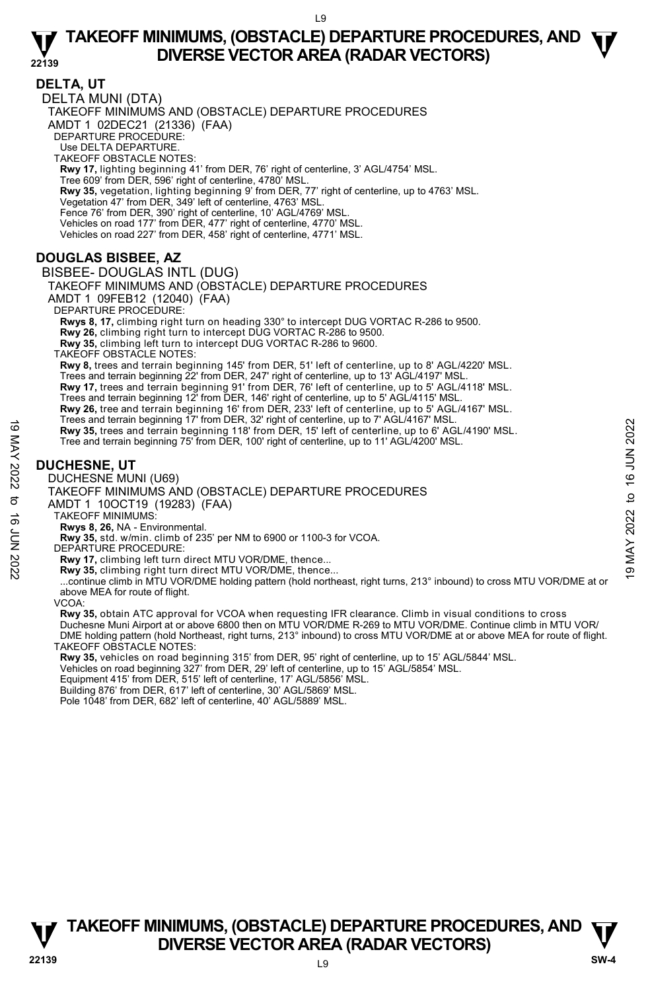**DELTA, UT**  DELTA MUNI (DTA) TAKEOFF MINIMUMS AND (OBSTACLE) DEPARTURE PROCEDURES AMDT 1 02DEC21 (21336) (FAA) DEPARTURE PROCEDURE: Use DELTA DEPARTURE. TAKEOFF OBSTACLE NOTES: **Rwy 17,** lighting beginning 41' from DER, 76' right of centerline, 3' AGL/4754' MSL. Tree 609' from DER, 596' right of centerline, 4780' MSL. **Rwy 35,** vegetation, lighting beginning 9' from DER, 77' right of centerline, up to 4763' MSL.<br>Vegetation 47' from DER, 349' left of centerline, 4763' MSL. Fence 76' from DER, 390' right of centerline, 10' AGL/4769' MSL. Vehicles on road 177' from DER, 477' right of centerline, 4770' MSL. Vehicles on road 227' from DER, 458' right of centerline, 4771' MSL.

# **DOUGLAS BISBEE, AZ**

BISBEE- DOUGLAS INTL (DUG) TAKEOFF MINIMUMS AND (OBSTACLE) DEPARTURE PROCEDURES AMDT 1 09FEB12 (12040) (FAA) DEPARTURE PROCEDURE: **Rwys 8, 17,** climbing right turn on heading 330° to intercept DUG VORTAC R-286 to 9500. **Rwy 26,** climbing right turn to intercept DUG VORTAC R-286 to 9500. **Rwy 35,** climbing left turn to intercept DUG VORTAC R-286 to 9600. TAKEOFF OBSTACLE NOTES: **Rwy 8,** trees and terrain beginning 145' from DER, 51' left of centerline, up to 8' AGL/4220' MSL. Trees and terrain beginning 22' from DER, 247' right of centerline, up to 13' AGL/4197' MSL.<br>**Rwy 17,** trees and terrain beginning 91' from DER, 76' left of centerline, up to 5' AGL/4118' MSL. Trees and terrain beginning 12' from DER, 146' right of centerline, up to 5' AGL/4115' MSL. **Rwy 26,** tree and terrain beginning 16' from DER, 233' left of centerline, up to 5' AGL/4167' MSL. Trees and terrain beginning 17' from DER, 32' right of centerline, up to 7' AGL/4167' MSL. **Rwy 35,** trees and terrain beginning 118' from DER, 15' left of centerline, up to 6' AGL/4190' MSL. Tree and terrain beginning 75' from DER, 100' right of centerline, up to 11' AGL/4200' MSL. 19 May 35, trees and terrain beginning 118' from DER, 15' light of centerline, up to 12 AGL/4190' MSL.<br>
Tree and terrain beginning 75' from DER, 100' right of centerline, up to 11' AGL/4190' MSL.<br>
Tree and terrain beginni

### **DUCHESNE, UT**

DUCHESNE MUNI (U69)

TAKEOFF MINIMUMS AND (OBSTACLE) DEPARTURE PROCEDURES

AMDT 1 10OCT19 (19283) (FAA) TAKEOFF MINIMUMS:

**Rwys 8, 26,** NA - Environmental.

**Rwy 35,** std. w/min. climb of 235' per NM to 6900 or 1100-3 for VCOA. DEPARTURE PROCEDURE:

**Rwy 17,** climbing left turn direct MTU VOR/DME, thence...

**Rwy 35,** climbing right turn direct MTU VOR/DME, thence...

 ...continue climb in MTU VOR/DME holding pattern (hold northeast, right turns, 213° inbound) to cross MTU VOR/DME at or above MEA for route of flight.

VCOA:

**Rwy 35,** obtain ATC approval for VCOA when requesting IFR clearance. Climb in visual conditions to cross<br>Duchesne Muni Airport at or above 6800 then on MTU VOR/DME R-269 to MTU VOR/DME. Continue climb in MTU VOR/ DME holding pattern (hold Northeast, right turns, 213° inbound) to cross MTU VOR/DME at or above MEA for route of flight. TAKEOFF OBSTACLE NOTES:

**Rwy 35,** vehicles on road beginning 315' from DER, 95' right of centerline, up to 15' AGL/5844' MSL.

Vehicles on road beginning 327' from DER, 29' left of centerline, up to 15' AGL/5854' MSL.

Equipment 415' from DER, 515' left of centerline, 17' AGL/5856' MSL.

Building 876' from DER, 617' left of centerline, 30' AGL/5869' MSL.

Pole 1048' from DER, 682' left of centerline, 40' AGL/5889' MSL.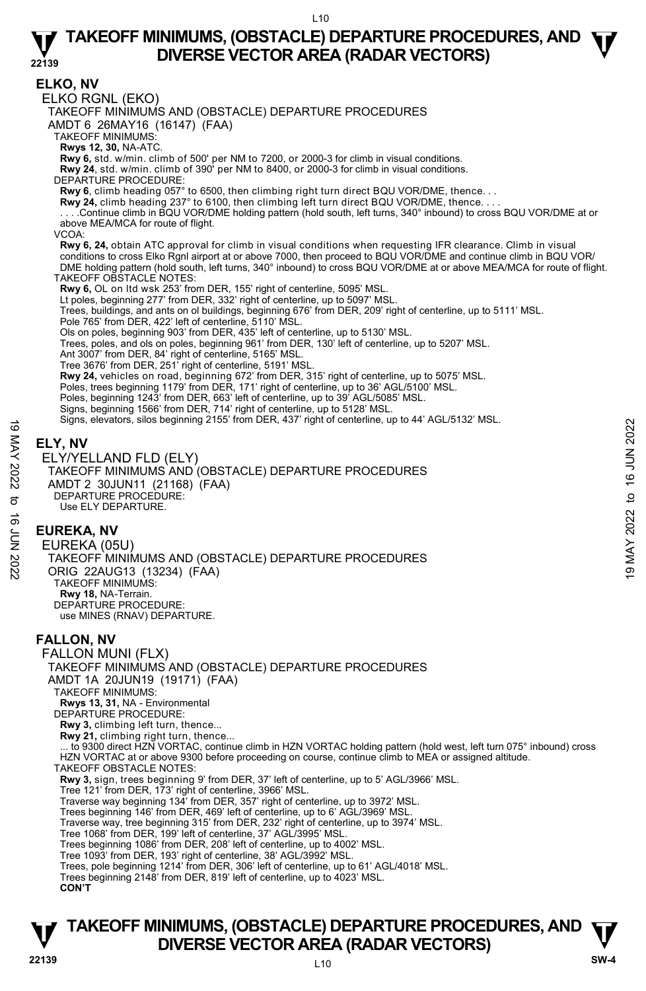**ELKO, NV**  ELKO RGNL (EKO) TAKEOFF MINIMUMS AND (OBSTACLE) DEPARTURE PROCEDURES AMDT 6 26MAY16 (16147) (FAA) TAKEOFF MINIMUMS: **Rwys 12, 30,** NA-ATC. **Rwy 6,** std. w/min. climb of 500' per NM to 7200, or 2000-3 for climb in visual conditions. **Rwy 24**, std. w/min. climb of 390' per NM to 8400, or 2000-3 for climb in visual conditions. DEPARTURE PROCEDURE: **Rwy 6**, climb heading 057° to 6500, then climbing right turn direct BQU VOR/DME, thence. . . **Rwy 24,** climb heading 237° to 6100, then climbing left turn direct BQU VOR/DME, thence. . . . . . . .Continue climb in BQU VOR/DME holding pattern (hold south, left turns, 340° inbound) to cross BQU VOR/DME at or above MEA/MCA for route of flight. VCOA: **Rwy 6, 24,** obtain ATC approval for climb in visual conditions when requesting IFR clearance. Climb in visual conditions to cross Elko Rgnl airport at or above 7000, then proceed to BQU VOR/DME and continue climb in BQU VOR/ DME holding pattern (hold south, left turns, 340° inbound) to cross BQU VOR/DME at or above MEA/MCA for route of flight. TAKEOFF OBSTACLE NOTES: **Rwy 6,** OL on ltd wsk 253' from DER, 155' right of centerline, 5095' MSL. Lt poles, beginning 277' from DER, 332' right of centerline, up to 5097' MSL. Trees, buildings, and ants on ol buildings, beginning 676' from DER, 209' right of centerline, up to 5111' MSL. Pole 765' from DER, 422' left of centerline, 5110' MSL. Ols on poles, beginning 903' from DER, 435' left of centerline, up to 5130' MSL. Trees, poles, and ols on poles, beginning 961' from DER, 130' left of centerline, up to 5207' MSL. Ant 3007' from DER, 84' right of centerline, 5165' MSL. Tree 3676' from DER, 251' right of centerline, 5191' MSL. **Rwy 24,** vehicles on road, beginning 672' from DER, 315' right of centerline, up to 5075' MSL.<br>Poles, trees beginning 1179' from DER, 171' right of centerline, up to 36' AGL/5100' MSL. Poles, beginning 1243' from DER, 663' left of centerline, up to 39' AGL/5085' MSL. Signs, beginning 1566' from DER, 714' right of centerline, up to 5128' MSL. Signs, elevators, silos beginning 2155' from DER, 437' right of centerline, up to 44' AGL/5132' MSL. **ELY, NV**  ELY/YELLAND FLD (ELY) TAKEOFF MINIMUMS AND (OBSTACLE) DEPARTURE PROCEDURES AMDT 2 30JUN11 (21168) (FAA) DEPARTURE PROCEDURE: Use ELY DEPARTURE. **EUREKA, NV**  EUREKA (05U) TAKEOFF MINIMUMS AND (OBSTACLE) DEPARTURE PROCEDURES ORIG 22AUG13 (13234) (FAA) TAKEOFF MINIMUMS: **Rwy 18,** NA-Terrain. DEPARTURE PROCEDURE: use MINES (RNAV) DEPARTURE. **FALLON, NV**  FALLON MUNI (FLX) TAKEOFF MINIMUMS AND (OBSTACLE) DEPARTURE PROCEDURES AMDT 1A 20JUN19 (19171) (FAA) TAKEOFF MINIMUMS: **Rwys 13, 31,** NA - Environmental DEPARTURE PROCEDURE: Rwy 3, climbing left turn, thence. **Rwy 21,** climbing right turn, thence... ... to 9300 direct HZN VORTAC, continue climb in HZN VORTAC holding pattern (hold west, left turn 075° inbound) cross HZN VORTAC at or above 9300 before proceeding on course, continue climb to MEA or assigned altitude. TAKEOFF OBSTACLE NOTES: **Rwy 3,** sign, trees beginning 9' from DER, 37' left of centerline, up to 5' AGL/3966' MSL.<br>Tree 121' from DER, 173' right of centerline, 3966' MSL. Traverse way beginning 134' from DER, 357' right of centerline, up to 3972' MSL. Trees beginning 146' from DER, 469' left of centerline, up to 6' AGL/3969' MSL. Traverse way, tree beginning 315' from DER, 232' right of centerline, up to 3974' MSL. Tree 1068' from DER, 199' left of centerline, 37' AGL/3995' MSL. Trees beginning 1086' from DER, 208' left of centerline, up to 4002' MSL. Tree 1093' from DER, 193' right of centerline, 38' AGL/3992' MSL. Trees, pole beginning 1214' from DER, 306' left of centerline, up to 61' AGL/4018' MSL. Trees beginning 2148' from DER, 819' left of centerline, up to 4023' MSL. **CON'T**  $\frac{1}{2}$ <br>  $\frac{1}{2}$ <br> **ELY, NV**<br>
ELY/YELLAND FLD (ELY)<br>
TAKEOFF MINIMUMS AND (OBSTACLE) DEPARTURE PROCEDURES<br>
AMDIT 2 30JUN11 (21168) (FAA)<br>
TAKEOFF MINIMUMS AND (OBSTACLE) DEPARTURE PROCEDURES<br>  $\frac{1}{2}$ <br>
EUREKA, NV<br>
E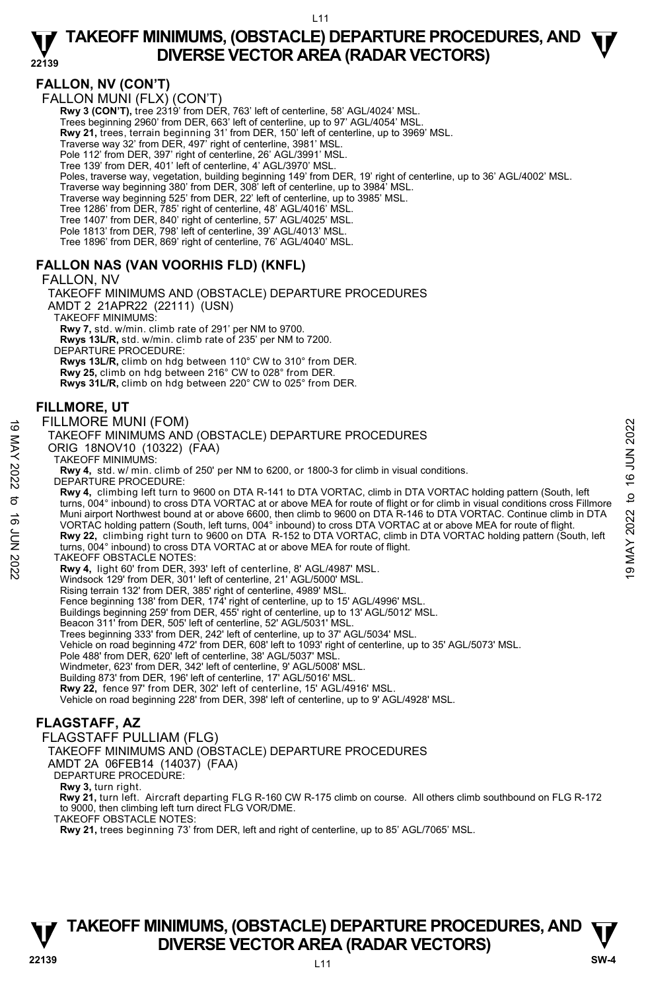# **FALLON, NV (CON'T)**

FALLON MUNI (FLX) (CON'T)

**Rwy 3 (CON'T), tree 2319' from DER, 763' left of centerline, 58' AGL/4024' MSL** 

Trees beginning 2960' from DER, 663' left of centerline, up to 97' AGL/4054' MSL.

**Rwy 21,** trees, terrain beginning 31' from DER, 150' left of centerline, up to 3969' MSL.<br>Traverse way 32' from DER, 497' right of centerline, 3981' MSL.

Pole 112' from DER, 397' right of centerline, 26' AGL/3991' MSL.

Tree 139' from DER, 401' left of centerline, 4' AGL/3970' MSL.

Poles, traverse way, vegetation, building beginning 149' from DER, 19' right of centerline, up to 36' AGL/4002' MSL.

Traverse way beginning 380' from DER, 308' left of centerline, up to 3984' MSL. Traverse way beginning 525' from DER, 22' left of centerline, up to 3985' MSL.

Tree 1286' from DER, 785' right of centerline, 48' AGL/4016' MSL.

Tree 1407' from DER, 840' right of centerline, 57' AGL/4025' MSL. Pole 1813' from DER, 798' left of centerline, 39' AGL/4013' MSL.

Tree 1896' from DER, 869' right of centerline, 76' AGL/4040' MSL.

### **FALLON NAS (VAN VOORHIS FLD) (KNFL)**

FALLON, NV

TAKEOFF MINIMUMS AND (OBSTACLE) DEPARTURE PROCEDURES AMDT 2 21APR22 (22111) (USN) TAKEOFF MINIMUMS:

**Rwy 7,** std. w/min. climb rate of 291' per NM to 9700.  **Rwys 13L/R,** std. w/min. climb rate of 235' per NM to 7200.

DEPARTURE PROCEDURE:

 **Rwys 13L/R,** climb on hdg between 110° CW to 310° from DER.  **Rwy 25,** climb on hdg between 216° CW to 028° from DER.  **Rwys 31L/R,** climb on hdg between 220° CW to 025° from DER.

#### **FILLMORE, UT**

#### FILLMORE MUNI (FOM)

#### TAKEOFF MINIMUMS AND (OBSTACLE) DEPARTURE PROCEDURES

ORIG 18NOV10 (10322) (FAA)

TAKEOFF MINIMUMS:

**Rwy 4,** std. w/ min. climb of 250' per NM to 6200, or 1800-3 for climb in visual conditions. DEPARTURE PROCEDURE:

**Rwy 4,** climbing left turn to 9600 on DTA R-141 to DTA VORTAC, climb in DTA VORTAC holding pattern (South, left turns, 004° inbound) to cross DTA VORTAC at or above MEA for route of flight or for climb in visual conditions cross Fillmore Muni airport Northwest bound at or above 6600, then climb to 9600 on DTA R-146 to DTA VORTAC. Continue climb in DTA<br>VORTAC holding pattern (South, left turns, 004° inbound) to cross DTA VORTAC at or above MEA for route of **Rwy 22,** climbing right turn to 9600 on DTA R-152 to DTA VORTAC, climb in DTA VORTAC holding pattern (South, left turns, 004° inbound) to cross DTA VORTAC at or above MEA for route of flight. FILLMORE MUNI (FOM)<br>
TAKEOFF MINIMUMS AND (OBSTACLE) DEPARTURE PROCEDURES<br>
ORIG 18NOV10 (10322) (FAA)<br>
TAKEOFF MINIMUMS:<br>
RWY4, std. w/ min. climb of 250' per NM to 6200, or 1800-3 for climb in visual conditions.<br>
RWY4, s

TAKEOFF OBSTACLE NOTES:

**Rwy 4,** light 60' from DER, 393' left of centerline, 8' AGL/4987' MSL.

Windsock 129' from DER, 301' left of centerline, 21' AGL/5000' MSL.

Rising terrain 132' from DER, 385' right of centerline, 4989' MSL. Fence beginning 138' from DER, 174' right of centerline, up to 15' AGL/4996' MSL.

Buildings beginning 259' from DER, 455' right of centerline, up to 13' AGL/5012' MSL.

Beacon 311' from DER, 505' left of centerline, 52' AGL/5031' MSL.

Trees beginning 333' from DER, 242' left of centerline, up to 37' AGL/5034' MSL. Vehicle on road beginning 472' from DER, 608' left to 1093' right of centerline, up to 35' AGL/5073' MSL.

Pole 488' from DER, 620' left of centerline, 38' AGL/5037' MSL.

Windmeter, 623' from DER, 342' left of centerline, 9' AGL/5008' MSL. Building 873' from DER, 196' left of centerline, 17' AGL/5016' MSL.

**Rwy 22,** fence 97' from DER, 302' left of centerline, 15' AGL/4916' MSL.

Vehicle on road beginning 228' from DER, 398' left of centerline, up to 9' AGL/4928' MSL.

# **FLAGSTAFF, AZ**

FLAGSTAFF PULLIAM (FLG)

TAKEOFF MINIMUMS AND (OBSTACLE) DEPARTURE PROCEDURES

AMDT 2A 06FEB14 (14037) (FAA)

DEPARTURE PROCEDURE:

**Rwy 3,** turn right.

 **Rwy 21,** turn left. Aircraft departing FLG R-160 CW R-175 climb on course. All others climb southbound on FLG R-172 to 9000, then climbing left turn direct FLG VOR/DME.

TAKEOFF OBSTACLE NOTES:

**Rwy 21,** trees beginning 73' from DER, left and right of centerline, up to 85' AGL/7065' MSL.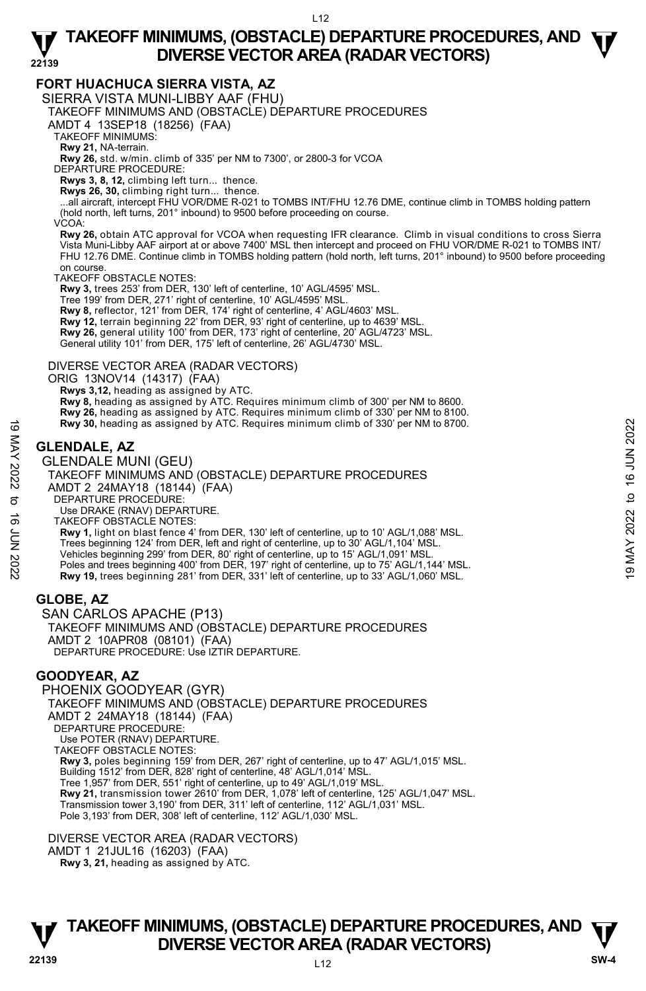#### **FORT HUACHUCA SIERRA VISTA, AZ**

SIERRA VISTA MUNI-LIBBY AAF (FHU)

TAKEOFF MINIMUMS AND (OBSTACLE) DEPARTURE PROCEDURES

AMDT 4 13SEP18 (18256) (FAA)

TAKEOFF MINIMUMS:

**Rwy 21,** NA-terrain.

**Rwy 26,** std. w/min. climb of 335' per NM to 7300', or 2800-3 for VCOA

DEPARTURE PROCEDURE:

**Rwys 3, 8, 12,** climbing left turn... thence.

**Rwys 26, 30,** climbing right turn... thence. ...all aircraft, intercept FHU VOR/DME R-021 to TOMBS INT/FHU 12.76 DME, continue climb in TOMBS holding pattern (hold north, left turns, 201° inbound) to 9500 before proceeding on course.

VCOA:

**Rwy 26,** obtain ATC approval for VCOA when requesting IFR clearance. Climb in visual conditions to cross Sierra Vista Muni-Libby AAF airport at or above 7400' MSL then intercept and proceed on FHU VOR/DME R-021 to TOMBS INT/ FHU 12.76 DME. Continue climb in TOMBS holding pattern (hold north, left turns, 201° inbound) to 9500 before proceeding on course.

TAKEOFF OBSTACLE NOTES:

**Rwy 3,** trees 253' from DER, 130' left of centerline, 10' AGL/4595' MSL.

Tree 199' from DER, 271' right of centerline, 10' AGL/4595' MSL.

**Rwy 8,** reflector, 121' from DER, 174' right of centerline, 4' AGL/4603' MSL.

**Rwy 12,** terrain beginning 22' from DER, 93' right of centerline, up to 4639' MSL.

**Rwy 26,** general utility 100' from DER, 173' right of centerline, 20' AGL/4723' MSL.

General utility 101' from DER, 175' left of centerline, 26' AGL/4730' MSL.

#### DIVERSE VECTOR AREA (RADAR VECTORS)

ORIG 13NOV14 (14317) (FAA)

 **Rwys 3,12,** heading as assigned by ATC.

**Rwy 8,** heading as assigned by ATC. Requires minimum climb of 300' per NM to 8600.

**Rwy 26,** heading as assigned by ATC. Requires minimum climb of 330' per NM to 8100.<br>**Rwy 30,** heading as assigned by ATC. Requires minimum climb of 330' per NM to 8700.

# **GLENDALE, AZ**

GLENDALE MUNI (GEU) TAKEOFF MINIMUMS AND (OBSTACLE) DEPARTURE PROCEDURES AMDT 2 24MAY18 (18144) (FAA) DEPARTURE PROCEDURE: Use DRAKE (RNAV) DEPARTURE. TAKEOFF OBSTACLE NOTES: **Rwy 1,** light on blast fence 4' from DER, 130' left of centerline, up to 10' AGL/1,088' MSL. Trees beginning 124' from DER, left and right of centerline, up to 30' AGL/1,104' MSL. Vehicles beginning 299' from DER, 80' right of centerline, up to 15' AGL/1,091' MSL. Poles and trees beginning 400' from DER, 197' right of centerline, up to 75' AGL/1,144' MSL. **Rwy 19,** trees beginning 281' from DER, 331' left of centerline, up to 33' AGL/1,060' MSL. **EXECUTE AND MAY 20.** Needling as assigned by ATC. Requires minimum climb of 330' per NM to 8700.<br> **CLENDALE AZ**<br> **GLENDALE MUNI (GEU)**<br>
TAKEOFF MINIMUMS AND (OBSTACLE) DEPARTURE PROCEDURES<br>
AMDT 2 24MAY18 (18144) (FAA)<br>

### **GLOBE, AZ**

SAN CARLOS APACHE (P13) TAKEOFF MINIMUMS AND (OBSTACLE) DEPARTURE PROCEDURES AMDT 2 10APR08 (08101) (FAA) DEPARTURE PROCEDURE: Úse IZTIR DEPARTURE.

### **GOODYEAR, AZ**

PHOENIX GOODYEAR (GYR) TAKEOFF MINIMUMS AND (OBSTACLE) DEPARTURE PROCEDURES AMDT 2 24MAY18 (18144) (FAA) DEPARTURE PROCEDURE: Use POTER (RNAV) DEPARTURE. TAKEOFF OBSTACLE NOTES: **Rwy 3,** poles beginning 159' from DER, 267' right of centerline, up to 47' AGL/1,015' MSL. Building 1512' from DER, 828' right of centerline, 48' AGL/1,014' MSL. Tree 1,957' from DER, 551' right of centerline, up to 49' AGL/1,019' MSL. **Rwy 21,** transmission tower 2610' from DER, 1,078' left of centerline, 125' AGL/1,047' MSL. Transmission tower 3,190' from DER, 311' left of centerline, 112' AGL/1,031' MSL. Pole 3,193' from DER, 308' left of centerline, 112' AGL/1,030' MSL.

DIVERSE VECTOR AREA (RADAR VECTORS) AMDT 1 21JUL16 (16203) (FAA)  **Rwy 3, 21,** heading as assigned by ATC.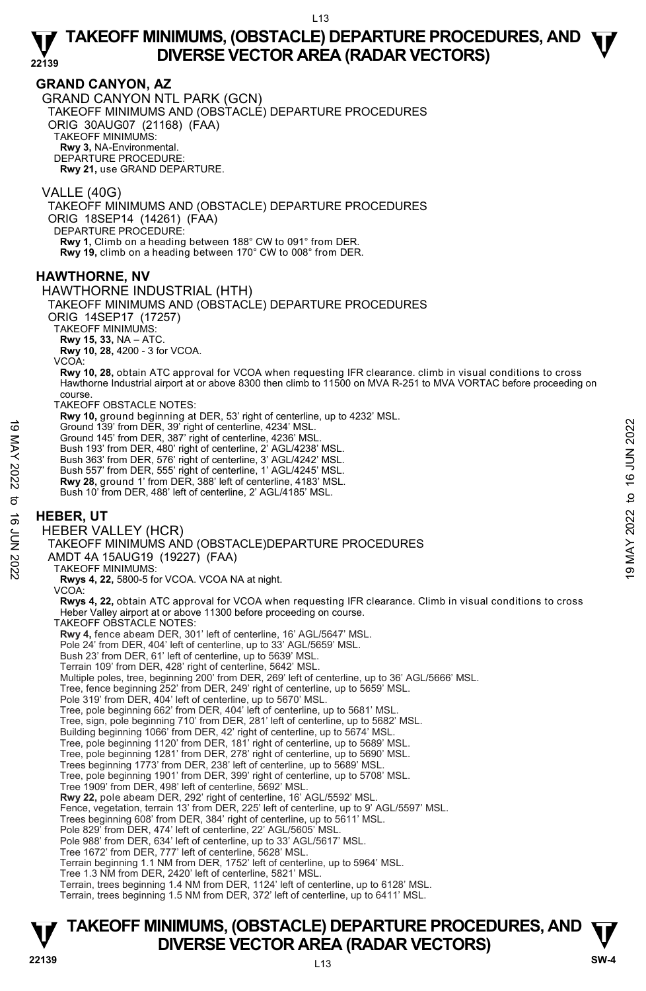### **GRAND CANYON, AZ**

GRAND CANYON NTL PARK (GCN) TAKEOFF MINIMUMS AND (OBSTACLE) DEPARTURE PROCEDURES ORIG 30AUG07 (21168) (FAA) TAKEOFF MINIMUMS: **Rwy 3,** NA-Environmental. DEPARTURE PROCEDURE: **Rwy 21,** use GRAND DEPARTURE.

VALLE (40G) TAKEOFF MINIMUMS AND (OBSTACLE) DEPARTURE PROCEDURES ORIG 18SEP14 (14261) (FAA) DEPARTURE PROCEDURE: **Rwy 1,** Climb on a heading between 188° CW to 091° from DER.

**Rwy 19,** climb on a heading between 170° CW to 008° from DER.

#### **HAWTHORNE, NV**

HAWTHORNE INDUSTRIAL (HTH)

TAKEOFF MINIMUMS AND (OBSTACLE) DEPARTURE PROCEDURES

ORIG 14SEP17 (17257)

TAKEOFF MINIMUMS:

**Rwy 15, 33,** NA – ATC.

**Rwy 10, 28,** 4200 - 3 for VCOA.

VCOA:

**Rwy 10, 28,** obtain ATC approval for VCOA when requesting IFR clearance. climb in visual conditions to cross<br>Hawthorne Industrial airport at or above 8300 then climb to 11500 on MVA R-251 to MVA VORTAC before proceeding o course.

TAKEOFF OBSTACLE NOTES:

**Rwy 10,** ground beginning at DER, 53' right of centerline, up to 4232' MSL.

Ground 139' from DER, 39' right of centerline, 4234' MSL.

Ground 145' from DER, 387' right of centerline, 4236' MSL.

Bush 193' from DER, 480' right of centerline, 2' AGL/4238' MSL. Bush 363' from DER, 576' right of centerline, 3' AGL/4242' MSL.

Bush 557' from DER, 555' right of centerline, 1' AGL/4245' MSL.

**Rwy 28,** ground 1' from DER, 388' left of centerline, 4183' MSL. Bush 10' from DER, 488' left of centerline, 2' AGL/4185' MSL.

#### **HEBER, UT**

HEBER VALLEY (HCR)

TAKEOFF MINIMUMS AND (OBSTACLE)DEPARTURE PROCEDURES 19 Ground 139 from DER, 39 right of centerline, 4234' MSL.<br>
19 Ground 1439 from DER, 39 right of centerline, 4236' MSL.<br>
19 Bush 193' from DER, 480' right of centerline, 2' AGL/4248' MSL.<br>
Bush 363' from DER, 555' right o

AMDT 4A 15AUG19 (19227) (FAA)

TAKEOFF MINIMUMS:

**Rwys 4, 22,** 5800-5 for VCOA. VCOA NA at night.

VCOA:

**Rwys 4, 22,** obtain ATC approval for VCOA when requesting IFR clearance. Climb in visual conditions to cross Heber Valley airport at or above 11300 before proceeding on course.

TAKEOFF OBSTACLE NOTES:

**Rwy 4,** fence abeam DER, 301' left of centerline, 16' AGL/5647' MSL. Pole 24' from DER, 404' left of centerline, up to 33' AGL/5659' MSL.

Bush 23' from DER, 61' left of centerline, up to 5639' MSL.

Terrain 109' from DER, 428' right of centerline, 5642' MSL.

Multiple poles, tree, beginning 200' from DER, 269' left of centerline, up to 36' AGL/5666' MSL.

Tree, fence beginning 252' from DER, 249' right of centerline, up to 5659' MSL.

Pole 319' from DER, 404' left of centerline, up to 5670' MSL.

Tree, pole beginning 662' from DER, 404' left of centerline, up to 5681' MSL.

Tree, sign, pole beginning 710' from DER, 281' left of centerline, up to 5682' MSL.

Building beginning 1066' from DER, 42' right of centerline, up to 5674' MSL.

Tree, pole beginning 1120' from DER, 181' right of centerline, up to 5689' MSL. Tree, pole beginning 1281' from DER, 278' right of centerline, up to 5690' MSL.

Trees beginning 1773' from DER, 238' left of centerline, up to 5689' MSL. Tree, pole beginning 1901' from DER, 399' right of centerline, up to 5708' MSL.

Tree 1909' from DER, 498' left of centerline, 5692' MSL.

**Rwy 22,** pole abeam DER, 292' right of centerline, 16' AGL/5592' MSL.

Fence, vegetation, terrain 13' from DER, 225' left of centerline, up to 9' AGL/5597' MSL.

Trees beginning 608' from DER, 384' right of centerline, up to 5611' MSL. Pole 829' from DER, 474' left of centerline, 22' AGL/5605' MSL.

Pole 988' from DER, 634' left of centerline, up to 33' AGL/5617' MSL.

Tree 1672' from DER, 777' left of centerline, 5628' MSL.

Terrain beginning 1.1 NM from DER, 1752' left of centerline, up to 5964' MSL.

Tree 1.3 NM from DER, 2420' left of centerline, 5821' MSL.

Terrain, trees beginning 1.4 NM from DER, 1124' left of centerline, up to 6128' MSL.

Terrain, trees beginning 1.5 NM from DER, 372' left of centerline, up to 6411' MSL.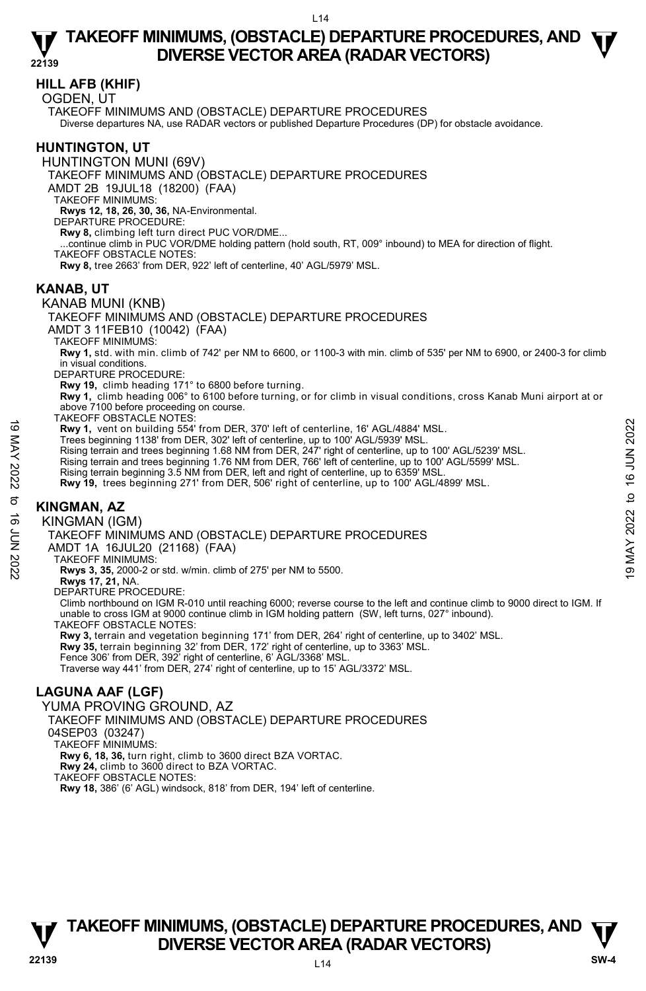# **HILL AFB (KHIF)**

OGDEN, UT

TAKEOFF MINIMUMS AND (OBSTACLE) DEPARTURE PROCEDURES Diverse departures NA, use RADAR vectors or published Departure Procedures (DP) for obstacle avoidance.

# **HUNTINGTON, UT**

HUNTINGTON MUNI (69V)

TAKEOFF MINIMUMS AND (OBSTACLE) DEPARTURE PROCEDURES

AMDT 2B 19JUL18 (18200) (FAA)

TAKEOFF MINIMUMS:

**Rwys 12, 18, 26, 30, 36,** NA-Environmental.

DEPARTURE PROCEDURE:

**Rwy 8,** climbing left turn direct PUC VOR/DME...

...continue climb in PUC VOR/DME holding pattern (hold south, RT, 009° inbound) to MEA for direction of flight.

TAKEOFF OBSTACLE NOTES:

**Rwy 8,** tree 2663' from DER, 922' left of centerline, 40' AGL/5979' MSL.

#### **KANAB, UT**

#### KANAB MUNI (KNB)

TAKEOFF MINIMUMS AND (OBSTACLE) DEPARTURE PROCEDURES

AMDT 3 11FEB10 (10042) (FAA)

TAKEOFF MINIMUMS:

**Rwy 1,** std. with min. climb of 742' per NM to 6600, or 1100-3 with min. climb of 535' per NM to 6900, or 2400-3 for climb in visual conditions.

DEPARTURE PROCEDURE:

**Rwy 19,** climb heading 171° to 6800 before turning.

**Rwy 1,** climb heading 006° to 6100 before turning, or for climb in visual conditions, cross Kanab Muni airport at or above 7100 before proceeding on course.

TAKEOFF OBSTACLE NOTES:

- **Rwy 1,** vent on building 554' from DER, 370' left of centerline, 16' AGL/4884' MSL. Trees beginning 1138' from DER, 302' left of centerline, up to 100' AGL/5939' MSL.
- Rising terrain and trees beginning 1.68 NM from DER, 247' right of centerline, up to 100' AGL/5239' MSL. New 1, vent on building 554' from DER, 370' left of centerline, 16' AGL/4884' MSL.<br>
Trees beginning 1138' from DER, 302' left of centerline, up to 100' AGL/5939' MSL.<br>
Rising terrain and trees beginning 1.68 NM from DER,
	-

Rising terrain and trees beginning 1.76 NM from DER, 766' left of centerline, up to 100' AGL/5599' MSL.<br>Rising terrain beginning 3.5 NM from DER, left and right of centerline, up to 6359' MSL.

**Rwy 19,** trees beginning 271' from DER, 506' right of centerline, up to 100' AGL/4899' MSL.

# **KINGMAN, AZ**

KINGMAN (IGM)

TAKEOFF MINIMUMS AND (OBSTACLE) DEPARTURE PROCEDURES

AMDT 1A 16JUL20 (21168) (FAA)

TAKEOFF MINIMUMS:

**Rwys 3, 35,** 2000-2 or std. w/min. climb of 275' per NM to 5500.

**Rwys 17, 21,** NA. DEPARTURE PROCEDURE:

Climb northbound on IGM R-010 until reaching 6000; reverse course to the left and continue climb to 9000 direct to IGM. If unable to cross IGM at 9000 continue climb in IGM holding pattern (SW, left turns, 027° inbound).

TAKEOFF OBSTACLE NOTES:

**Rwy 3,** terrain and vegetation beginning 171' from DER, 264' right of centerline, up to 3402' MSL. **Rwy 35,** terrain beginning 32' from DER, 172' right of centerline, up to 3363' MSL. Fence 306' from DER, 392' right of centerline, 6' AGL/3368' MSL. Traverse way 441' from DER, 274' right of centerline, up to 15' AGL/3372' MSL.

# **LAGUNA AAF (LGF)**

YUMA PROVING GROUND, AZ

TAKEOFF MINIMUMS AND (OBSTACLE) DEPARTURE PROCEDURES

04SEP03 (03247)

TAKEOFF MINIMUMS:

**Rwy 6, 18, 36,** turn right, climb to 3600 direct BZA VORTAC.

**Rwy 24,** climb to 3600 direct to BZA VORTAC.

TAKEOFF OBSTACLE NOTES:

**Rwy 18,** 386' (6' AGL) windsock, 818' from DER, 194' left of centerline.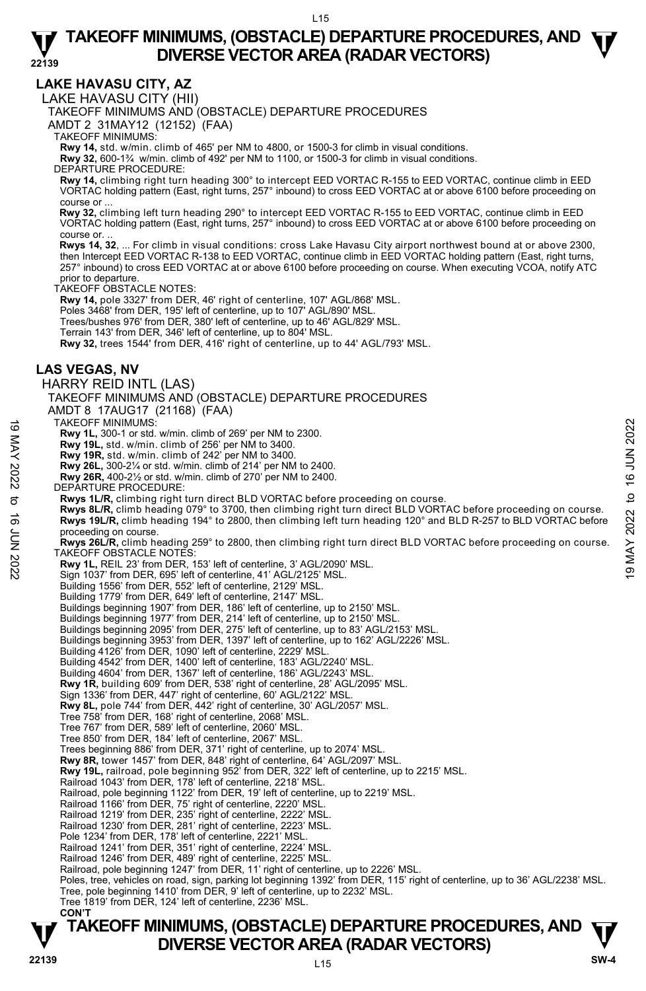**LAKE HAVASU CITY, AZ** 

LAKE HAVASU CITY (HII)

TAKEOFF MINIMUMS AND (OBSTACLE) DEPARTURE PROCEDURES

AMDT 2 31MAY12 (12152) (FAA)

TAKEOFF MINIMUMS:

**Rwy 14,** std. w/min. climb of 465' per NM to 4800, or 1500-3 for climb in visual conditions.

**Rwy 32,** 600-1¾ w/min. climb of 492' per NM to 1100, or 1500-3 for climb in visual conditions.

DEPARTURE PROCEDURE:

**Rwy 14,** climbing right turn heading 300° to intercept EED VORTAC R-155 to EED VORTAC, continue climb in EED VORTAC holding pattern (East, right turns, 257° inbound) to cross EED VORTAC at or above 6100 before proceeding on course or ...

 **Rwy 32,** climbing left turn heading 290° to intercept EED VORTAC R-155 to EED VORTAC, continue climb in EED VORTAC holding pattern (East, right turns, 257° inbound) to cross EED VORTAC at or above 6100 before proceeding on course or.

 **Rwys 14, 32**, ... For climb in visual conditions: cross Lake Havasu City airport northwest bound at or above 2300, then Intercept EED VORTAC R-138 to EED VORTAC, continue climb in EED VORTAC holding pattern (East, right turns 257° inbound) to cross EED VORTAC at or above 6100 before proceeding on course. When executing VCOA, notify ATC prior to departure.

TAKEOFF OBSTACLE NOTES:

**Rwy 14,** pole 3327' from DER, 46' right of centerline, 107' AGL/868' MSL.

Poles 3468' from DER, 195' left of centerline, up to 107' AGL/890' MSL

Trees/bushes 976' from DER, 380' left of centerline, up to 46' AGL/829' MSL.

Terrain 143' from DER, 346' left of centerline, up to 804' MSL.

**Rwy 32,** trees 1544' from DER, 416' right of centerline, up to 44' AGL/793' MSL.

### **LAS VEGAS, NV**

HARRY REID INTL (LAS) TAKEOFF MINIMUMS AND (OBSTACLE) DEPARTURE PROCEDURES

AMDT 8 17AUG17 (21168) (FAA)

TAKEOFF MINIMUMS:

**Rwy 1L,** 300-1 or std. w/min. climb of 269' per NM to 2300.

- **Rwy 19L,** std. w/min. climb of 256' per NM to 3400.
- 

**Rwy 19R,** std. w/min. climb of 242' per NM to 3400. **Rwy 26L,** 300-2¼ or std. w/min. climb of 214' per NM to 2400.

- **Rwy 26R,** 400-2½ or std. w/min. climb of 270' per NM to 2400.
- DEPARTURE PROCEDURE:
- **Rwys 1L/R,** climbing right turn direct BLD VORTAC before proceeding on course.

**Rwys 8L/R,** climb heading 079° to 3700, then climbing right turn direct BLD VORTAC before proceeding on course. **Rwys 19L/R,** climb heading 194° to 2800, then climbing left turn heading 120° and BLD R-257 to BLD VORTAC before proceeding on course. TAKEOFF MINIMUMS:<br> **EVALUATED AT AN AVALUATED AT AVALUATED AT AVALUATED AT AN AVALUATED AT AVALUATED AT AVALUATED AT AVALUATED AT<br>
RWY 19 R, std. w/min. climb of 242' per NM to 3400.<br>
RWY 20R, 300-2/4 or std. w/min. climb** 

**Rwys 26L/R,** climb heading 259° to 2800, then climbing right turn direct BLD VORTAC before proceeding on course. TAKEOFF OBSTACLE NOTES:

**Rwy 1L,** REIL 23' from DER, 153' left of centerline, 3' AGL/2090' MSL.

Sign 1037' from DER, 695' left of centerline, 41' AGL/2125' MSL.

Building 1556' from DER, 552' left of centerline, 2129' MSL.

Building 1779' from DER, 649' left of centerline, 2147' MSL.

Buildings beginning 1907' from DER, 186' left of centerline, up to 2150' MSL. Buildings beginning 1977' from DER, 214' left of centerline, up to 2150' MSL.

- Buildings beginning 2095' from DER, 275' left of centerline, up to 83' AGL/2153' MSL.
- Buildings beginning 3953' from DER, 1397' left of centerline, up to 162' AGL/2226' MSL.<br>Building 4126' from DER, 1090' left of centerline, 2229' MSL.
- 

Building 4542' from DER, 1400' left of centerline, 183' AGL/2240' MSL.

Building 4604' from DER, 1367' left of centerline, 186' AGL/2243' MSL.

**Rwy 1R,** building 609' from DER, 538' right of centerline, 28' AGL/2095' MSL.

Sign 1336' from DER, 447' right of centerline, 60' AGL/2122' MSL.

**Rwy 8L,** pole 744' from DER, 442' right of centerline, 30' AGL/2057' MSL.

- Tree 758' from DER, 168' right of centerline, 2068' MSL. Tree 767' from DER, 589' left of centerline, 2060' MSL.
- 
- Tree 850' from DER, 184' left of centerline, 2067' MSL.

Trees beginning 886' from DER, 371' right of centerline, up to 2074' MSL.

- **Rwy 8R,** tower 1457' from DER, 848' right of centerline, 64' AGL/2097' MSL. **Rwy 19L,** railroad, pole beginning 952' from DER, 322' left of centerline, up to 2215' MSL.
- Railroad 1043' from DER, 178' left of centerline, 2218' MSL.
- Railroad, pole beginning 1122' from DER, 19' left of centerline, up to 2219' MSL. Railroad 1166' from DER, 75' right of centerline, 2220' MSL.
- 

Railroad 1219' from DER, 235' right of centerline, 2222' MSL.

Railroad 1230' from DER, 281' right of centerline, 2223' MSL. Pole 1234' from DER, 178' left of centerline, 2221' MSL.

Railroad 1241' from DER, 351' right of centerline, 2224' MSL.

Railroad 1246' from DER, 489' right of centerline, 2225' MSL.

Railroad, pole beginning 1247' from DER, 11' right of centerline, up to 2226' MSL.

Poles, tree, vehicles on road, sign, parking lot beginning 1392' from DER, 115' right of centerline, up to 36' AGL/2238' MSL.

- Tree, pole beginning 1410' from DER, 9' left of centerline, up to 2232' MSL. Tree 1819' from DER, 124' left of centerline, 2236' MSL.
- **CON'T**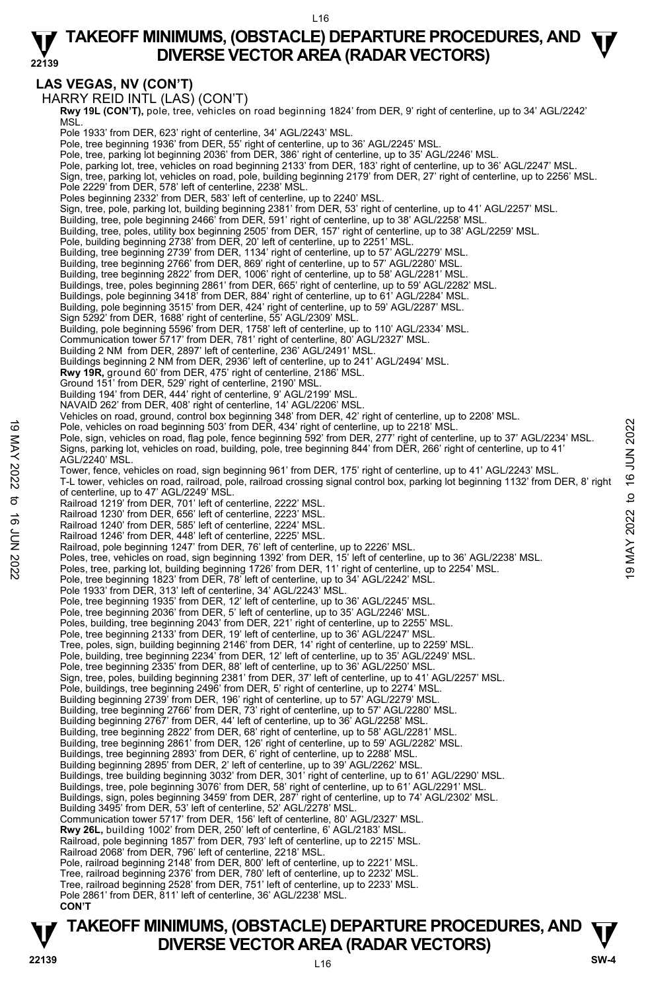#### L16

#### **22139 TAKEOFF MINIMUMS, (OBSTACLE) DEPARTURE PROCEDURES, AND**  $\Psi$ **DIVERSE VECTOR AREA (RADAR VECTORS)**

# **LAS VEGAS, NV (CON'T)**

HARRY REID INTL (LAS) (CON'T) **Rwy 19L (CON'T),** pole, tree, vehicles on road beginning 1824' from DER, 9' right of centerline, up to 34' AGL/2242'<br>MSL. Pole 1933' from DER, 623' right of centerline, 34' AGL/2243' MSL. Pole, tree beginning 1936' from DER, 55' right of centerline, up to 36' AGL/2245' MSL. Pole, tree, parking lot beginning 2036' from DER, 386' right of centerline, up to 35' AGL/2246' MSL. Pole, parking lot, tree, vehicles on road beginning 2133' from DER, 183' right of centerline, up to 36' AGL/2247' MSL. Sign, tree, parking lot, vehicles on road, pole, building beginning 2179' from DER, 27' right of centerline, up to 2256' MSL. Pole 2229' from DER, 578' left of centerline, 2238' MSL. Poles beginning 2332' from DER, 583' left of centerline, up to 2240' MSL. Sign, tree, pole, parking lot, building beginning 2381' from DER, 53' right of centerline, up to 41' AGL/2257' MSL. Building, tree, pole beginning 2466' from DER, 591' right of centerline, up to 38' AGL/2258' MSL. Building, tree, poles, utility box beginning 2505' from DER, 157' right of centerline, up to 38' AGL/2259' MSL. Pole, building beginning 2738' from DER, 20' left of centerline, up to 2251' MSL. Building, tree beginning 2739' from DER, 1134' right of centerline, up to 57' AGL/2279' MSL. Building, tree beginning 2766' from DER, 869' right of centerline, up to 57' AGL/2280' MSL. Building, tree beginning 2822' from DER, 1006' right of centerline, up to 58' AGL/2281' MSL. Buildings, tree, poles beginning 2861' from DER, 665' right of centerline, up to 59' AGL/2282' MSL. Buildings, pole beginning 3418' from DER, 884' right of centerline, up to 61' AGL/2284' MSL. Building, pole beginning 3515' from DER, 424' right of centerline, up to 59' AGL/2287' MSL. Sign 5292' from DER, 1688' right of centerline, 55' AGL/2309' MSL. Building, pole beginning 5596' from DER, 1758' left of centerline, up to 110' AGL/2334' MSL. Communication tower 5717' from DER, 781' right of centerline, 80' AGL/2327' MSL. Building 2 NM from DER, 2897' left of centerline, 236' AGL/2491' MSL. Buildings beginning 2 NM from DER, 2936' left of centerline, up to 241' AGL/2494' MSL. **Rwy 19R,** ground 60' from DER, 475' right of centerline, 2186' MSL. Ground 151' from DER, 529' right of centerline, 2190' MSL. Building 194' from DER, 444' right of centerline, 9' AGL/2199' MSL. NAVAID 262' from DER, 408' right of centerline, 14' AGL/2206' MSL. Vehicles on road, ground, control box beginning 348' from DER, 42' right of centerline, up to 2208' MSL. Pole, vehicles on road beginning 503' from DER, 434' right of centerline, up to 2218' MSL. Pole, sign, vehicles on road, flag pole, fence beginning 592' from DER, 277' right of centerline, up to 37' AGL/2234' MSL. Signs, parking lot, vehicles on road, building, pole, tree beginning 844' from DER, 266' right of centerline, up to 41' AGL/2240' MSL. Tower, fence, vehicles on road, sign beginning 961' from DER, 175' right of centerline, up to 41' AGL/2243' MSL. T-L tower, vehicles on road, railroad, pole, railroad crossing signal control box, parking lot beginning 1132' from DER, 8' right of centerline, up to 47' AGL/2249' MSL. Railroad 1219' from DER, 701' left of centerline, 2222' MSL. Railroad 1230' from DER, 656' left of centerline, 2223' MSL. Railroad 1240' from DER, 585' left of centerline, 2224' MSL. Railroad 1246' from DER, 448' left of centerline, 2225' MSL. Railroad, pole beginning 1247' from DER, 76' left of centerline, up to 2226' MSL. Poles, tree, vehicles on road, sign beginning 1392' from DER, 15' left of centerline, up to 36' AGL/2238' MSL. Poles, tree, parking lot, building beginning 1726' from DER, 11' right of centerline, up to 2254' MSL. Pole, tree beginning 1823' from DER, 78' left of centerline, up to 34' AGL/2242' MSL. Pole 1933' from DER, 313' left of centerline, 34' AGL/2243' MSL. Pole, tree beginning 1935' from DER, 12' left of centerline, up to 36' AGL/2245' MSL. Pole, tree beginning 2036' from DER, 5' left of centerline, up to 35' AGL/2246' MSL. Poles, building, tree beginning 2043' from DER, 221' right of centerline, up to 2255' MSL. Pole, tree beginning 2133' from DER, 19' left of centerline, up to 36' AGL/2247' MSL.<br>Tree, poles, sign, building beginning 2146' from DER, 14' right of centerline, up to 2259' MSL. Pole, building, tree beginning 2234' from DER, 12' left of centerline, up to 35' AGL/2249' MSL. Pole, tree beginning 2335' from DER, 88' left of centerline, up to 36' AGL/2250' MSL.<br>Sign, tree, poles, building beginning 2381' from DER, 37' left of centerline, up to 41' AGL/2257' MSL.<br>Pole, buildings, tree beginning 2 Building beginning 2739' from DER, 196' right of centerline, up to 57' AGL/2279' MSL. Building, tree beginning 2766' from DER, 73' right of centerline, up to 57' AGL/2280' MSL.<br>Building beginning 2767' from DER, 44' left of centerline, up to 36' AGL/2258' MSL. Building, tree beginning 2822' from DER, 68' right of centerline, up to 58' AGL/2281' MSL. Building, tree beginning 2861' from DER, 126' right of centerline, up to 59' AGL/2282' MSL. Buildings, tree beginning 2893' from DER, 6' right of centerline, up to 2288' MSL. Building beginning 2895' from DER, 2' left of centerline, up to 39' AGL/2262' MSL. Buildings, tree building beginning 3032' from DER, 301' right of centerline, up to 61' AGL/2290' MSL. Buildings, tree, pole beginning 3076' from DER, 58' right of centerline, up to 61' AGL/2291' MSL. Buildings, sign, poles beginning 3459' from DER, 287' right of centerline, up to 74' AGL/2302' MSL. Building 3495' from DER, 53' left of centerline, 52' AGL/2278' MSL. Communication tower 5717' from DER, 156' left of centerline, 80' AGL/2327' MSL. **Rwy 26L,** building 1002' from DER, 250' left of centerline, 6' AGL/2183' MSL. Railroad, pole beginning 1857' from DER, 793' left of centerline, up to 2215' MSL. Railroad 2068' from DER, 796' left of centerline, 2218' MSL. Pole, railroad beginning 2148' from DER, 800' left of centerline, up to 2221' MSL. 19 Pole, vehicles on road beginning 503' from DER, 434' right of centerline, up to 2218' MSL.<br>
Pole, signs, perkicles on road, flag pole, fence beginning 592' from DER, 277' right of centerline, up to 37' AGL/2234' MSL.<br>

Tree, railroad beginning 2376' from DER, 780' left of centerline, up to 2232' MSL.

Tree, railroad beginning 2528' from DER, 751' left of centerline, up to 2233' MSL.

Pole 2861' from DER, 811' left of centerline, 36' AGL/2238' MSL.  **CON'T**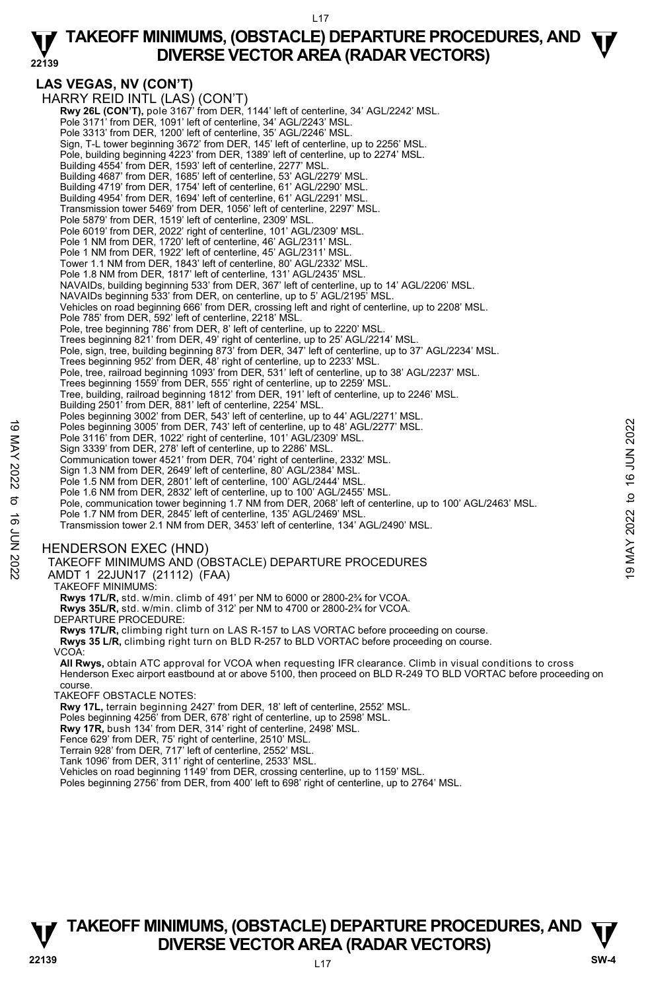#### L17

# **TAKEOFF MINIMUMS, (OBSTACLE) DEPARTURE PROCEDURES, AND**  $\Psi$ **DIVERSE VECTOR AREA (RADAR VECTORS)**

#### **22139 LAS VEGAS, NV (CON'T)**  HARRY REID INTL (LAS) (CON'T) **Rwy 26L (CON'T),** pole 3167' from DER, 1144' left of centerline, 34' AGL/2242' MSL.<br>Pole 3171' from DER, 1091' left of centerline, 34' AGL/2243' MSL. Pole 3313' from DER, 1200' left of centerline, 35' AGL/2246' MSL. Sign, T-L tower beginning 3672' from DER, 145' left of centerline, up to 2256' MSL. Pole, building beginning 4223' from DER, 1389' left of centerline, up to 2274' MSL. Building 4554' from DER, 1593' left of centerline, 2277' MSL. Building 4687' from DER, 1685' left of centerline, 53' AGL/2279' MSL. Building 4719' from DER, 1754' left of centerline, 61' AGL/2290' MSL. Building 4954' from DER, 1694' left of centerline, 61' AGL/2291' MSL. Transmission tower 5469' from DER, 1056' left of centerline, 2297' MSL. Pole 5879' from DER, 1519' left of centerline, 2309' MSL. Pole 6019' from DER, 2022' right of centerline, 101' AGL/2309' MSL. Pole 1 NM from DER, 1720' left of centerline, 46' AGL/2311' MSL. Pole 1 NM from DER, 1922' left of centerline, 45' AGL/2311' MSL. Tower 1.1 NM from DER, 1843' left of centerline, 80' AGL/2332' MSL. Pole 1.8 NM from DER, 1817' left of centerline, 131' AGL/2435' MSL. NAVAIDs, building beginning 533' from DER, 367' left of centerline, up to 14' AGL/2206' MSL. NAVAIDs beginning 533' from DER, on centerline, up to 5' AGL/2195' MSL. Vehicles on road beginning 666' from DER, crossing left and right of centerline, up to 2208' MSL. Pole 785' from DER, 592' left of centerline, 2218' MSL. Pole, tree beginning 786' from DER, 8' left of centerline, up to 2220' MSL. Trees beginning 821' from DER, 49' right of centerline, up to 25' AGL/2214' MSL. Pole, sign, tree, building beginning 873' from DER, 347' left of centerline, up to 37' AGL/2234' MSL. Trees beginning 952' from DER, 48' right of centerline, up to 2233' MSL. Pole, tree, railroad beginning 1093' from DER, 531' left of centerline, up to 38' AGL/2237' MSL. Trees beginning 1559' from DER, 555' right of centerline, up to 2259' MSL. Tree, building, railroad beginning 1812' from DER, 191' left of centerline, up to 2246' MSL.

Building 2501' from DER, 881' left of centerline, 2254' MSL.

Poles beginning 3002' from DER, 543' left of centerline, up to 44' AGL/2271' MSL.

Poles beginning 3005' from DER, 743' left of centerline, up to 48' AGL/2277' MSL.

Pole 3116' from DER, 1022' right of centerline, 101' AGL/2309' MSL.

Sign 3339' from DER, 278' left of centerline, up to 2286' MSL. Communication tower 4521' from DER, 704' right of centerline, 2332' MSL.

Sign 1.3 NM from DER, 2649' left of centerline, 80' AGL/2384' MSL.

Pole 1.5 NM from DER, 2801' left of centerline, 100' AGL/2444' MSL. Pole 1.6 NM from DER, 2832' left of centerline, up to 100' AGL/2455' MSL.

Pole, communication tower beginning 1.7 NM from DER, 2068' left of centerline, up to 100' AGL/2463' MSL. Foles beginning 3005' from DER, 743' left of centerline, up to 48' AGL/2277' MSL.<br>
Pole 3116' from DER, 1022' right of centerline, 101' AGL/2309' MSL.<br>
Sign 3339' from DER, 278' left of centerline, up to 2286' MSL.<br>
Commu

Pole 1.7 NM from DER, 2845' left of centerline, 135' AGL/2469' MSL.

Transmission tower 2.1 NM from DER, 3453' left of centerline, 134' AGL/2490' MSL.

### HENDERSON EXEC (HND)

TAKEOFF MINIMUMS AND (OBSTACLE) DEPARTURE PROCEDURES

AMDT 1 22JUN17 (21112) (FAA)

TAKEOFF MINIMUMS:

**Rwys 17L/R,** std. w/min. climb of 491' per NM to 6000 or 2800-2¾ for VCOA. **Rwys 35L/R,** std. w/min. climb of 312' per NM to 4700 or 2800-2¾ for VCOA.

DEPARTURE PROCEDURE:

**Rwys 17L/R,** climbing right turn on LAS R-157 to LAS VORTAC before proceeding on course.

**Rwys 35 L/R,** climbing right turn on BLD R-257 to BLD VORTAC before proceeding on course.

VCOA:

**All Rwys,** obtain ATC approval for VCOA when requesting IFR clearance. Climb in visual conditions to cross Henderson Exec airport eastbound at or above 5100, then proceed on BLD R-249 TO BLD VORTAC before proceeding on course.

TAKEOFF OBSTACLE NOTES:

**Rwy 17L,** terrain beginning 2427' from DER, 18' left of centerline, 2552' MSL.<br>Poles beginning 4256' from DER, 678' right of centerline, up to 2598' MSL.

**Rwy 17R,** bush 134' from DER, 314' right of centerline, 2498' MSL.

Fence 629' from DER, 75' right of centerline, 2510' MSL. Terrain 928' from DER, 717' left of centerline, 2552' MSL.

Tank 1096' from DER, 311' right of centerline, 2533' MSL.

Vehicles on road beginning 1149' from DER, crossing centerline, up to 1159' MSL.

Poles beginning 2756' from DER, from 400' left to 698' right of centerline, up to 2764' MSL.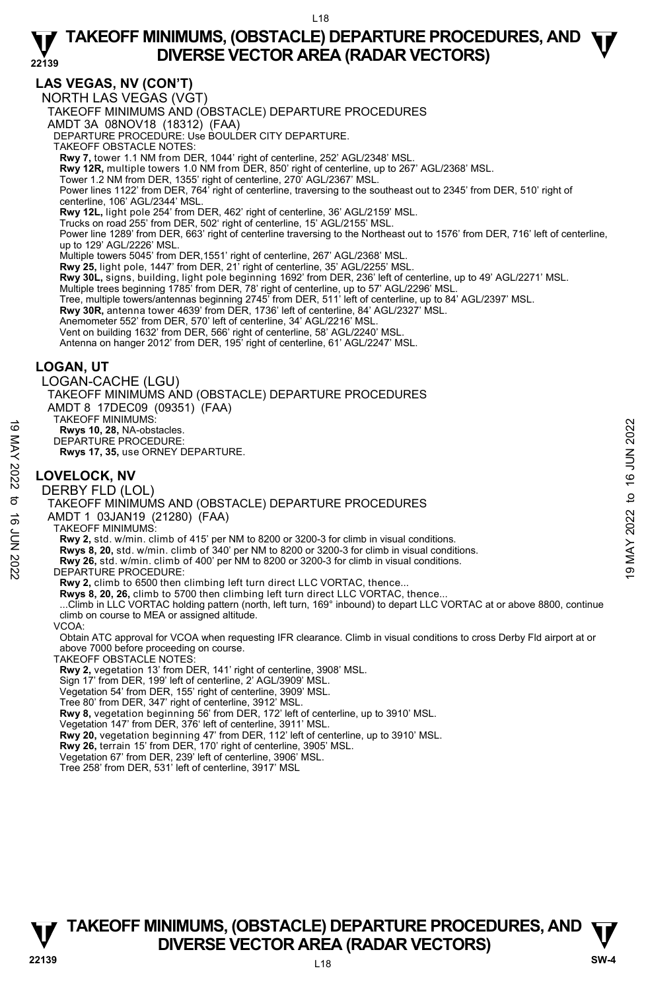# **LAS VEGAS, NV (CON'T)**

NORTH LAS VEGAS (VGT) TAKEOFF MINIMUMS AND (OBSTACLE) DEPARTURE PROCEDURES AMDT 3A 08NOV18 (18312) (FAA) DEPARTURE PROCEDURE: Use BOULDER CITY DEPARTURE. TAKEOFF OBSTACLE NOTES: **Rwy 7,** tower 1.1 NM from DER, 1044' right of centerline, 252' AGL/2348' MSL. **Rwy 12R,** multiple towers 1.0 NM from DER, 850' right of centerline, up to 267' AGL/2368' MSL.<br>Tower 1.2 NM from DER, 1355' right of centerline, 270' AGL/2367' MSL. Power lines 1122' from DER, 764' right of centerline, traversing to the southeast out to 2345' from DER, 510' right of centerline, 106' AGL/2344' MSL. **Rwy 12L,** light pole 254' from DER, 462' right of centerline, 36' AGL/2159' MSL. Trucks on road 255' from DER, 502' right of centerline, 15' AGL/2155' MSL. Power line 1289' from DER, 663' right of centerline traversing to the Northeast out to 1576' from DER, 716' left of centerline, up to 129' AGL/2226' MSL.<br>Multiple towers 5045' from DER,1551' right of centerline, 267' AGL/2368' MSL. **Rwy 25,** light pole, 1447' from DER, 21' right of centerline, 35' AGL/2255' MSL. **Rwy 30L,** signs, building, light pole beginning 1692' from DER, 236' left of centerline, up to 49' AGL/2271' MSL. Multiple trees beginning 1785' from DER, 78' right of centerline, up to 57' AGL/2296' MSL. Tree, multiple towers/antennas beginning 2745' from DER, 511' left of centerline, up to 84' AGL/2397' MSL. **Rwy 30R,** antenna tower 4639' from DER, 1736' left of centerline, 84' AGL/2327' MSL. Anemometer 552' from DER, 570' left of centerline, 34' AGL/2216' MSL. Vent on building 1632' from DER, 566' right of centerline, 58' AGL/2240' MSL. Antenna on hanger 2012' from DER, 195' right of centerline, 61' AGL/2247' MSL. **LOGAN, UT**  LOGAN-CACHE (LGU) TAKEOFF MINIMUMS AND (OBSTACLE) DEPARTURE PROCEDURES AMDT 8 17DEC09 (09351) (FAA) TAKEOFF MINIMUMS: **Rwys 10, 28,** NA-obstacles. DEPARTURE PROCEDURE: **Rwys 17, 35,** use ORNEY DEPARTURE. **LOVELOCK, NV**  DERBY FLD (LOL) TAKEOFF MINIMUMS AND (OBSTACLE) DEPARTURE PROCEDURES AMDT 1 03JAN19 (21280) (FAA) TAKEOFF MINIMUMS: **Rwy 2,** std. w/min. climb of 415' per NM to 8200 or 3200-3 for climb in visual conditions. **Rwys 8, 20,** std. w/min. climb of 340' per NM to 8200 or 3200-3 for climb in visual conditions. **Rwy 26,** std. w/min. climb of 400' per NM to 8200 or 3200-3 for climb in visual conditions. DEPARTURE PROCEDURE: Rwy 2, climb to 6500 then climbing left turn direct LLC VORTAC, thence **Rwys 8, 20, 26,** climb to 5700 then climbing left turn direct LLC VORTAC, thence... ...Climb in LLC VORTAC holding pattern (north, left turn, 169° inbound) to depart LLC VORTAC at or above 8800, continue climb on course to MEA or assigned altitude. VCOA: Obtain ATC approval for VCOA when requesting IFR clearance. Climb in visual conditions to cross Derby Fld airport at or above 7000 before proceeding on course. TAKEOFF OBSTACLE NOTES: **Rwy 2,** vegetation 13' from DER, 141' right of centerline, 3908' MSL. Sign 17' from DER, 199' left of centerline, 2' AGL/3909' MSL. Vegetation 54' from DER, 155' right of centerline, 3909' MSL. Tree 80' from DER, 347' right of centerline, 3912' MSL. **Rwy 8,** vegetation beginning 56' from DER, 172' left of centerline, up to 3910' MSL. Vegetation 147' from DER, 376' left of centerline, 3911' MSL. **Rwy 20,** vegetation beginning 47' from DER, 112' left of centerline, up to 3910' MSL.<br>**Rwy 26,** terrain 15' from DER, 170' right of centerline, 3905' MSL. 19 MAY 2007 MINIMUMS.<br>
The Mays 10, 28, NA-obstacles.<br>
DEPARTURE PROCEDURE:<br>
Nows 17, 35, use ORNEY DEPARTURE.<br>
No DERBY FLD (LOL)<br>
TAKEOFF MINIMUMS AND (OBSTACLE) DEPARTURE PROCEDURES<br>
⇒ AMDT 1 03JAN19 (21280) (FAA)<br>
TA

Vegetation 67' from DER, 239' left of centerline, 3906' MSL.

Tree 258' from DER, 531' left of centerline, 3917' MSL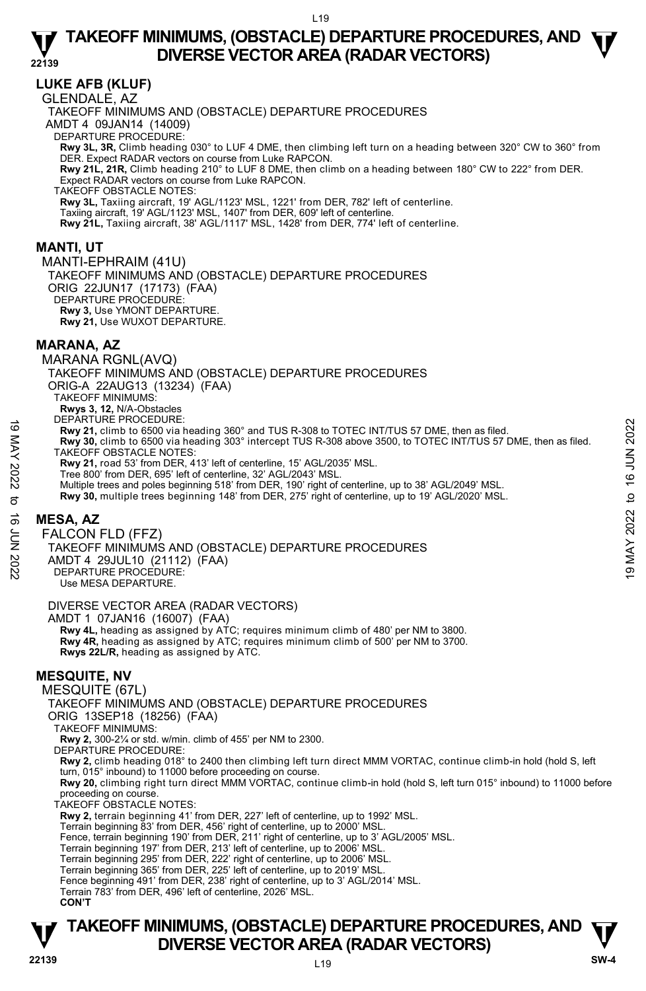# **LUKE AFB (KLUF)**

GLENDALE, AZ

TAKEOFF MINIMUMS AND (OBSTACLE) DEPARTURE PROCEDURES AMDT 4 09JAN14 (14009) DEPARTURE PROCEDURE: **Rwy 3L, 3R,** Climb heading 030° to LUF 4 DME, then climbing left turn on a heading between 320° CW to 360° from DER. Expect RADAR vectors on course from Luke RAPCON. **Rwy 21L, 21R,** Climb heading 210° to LUF 8 DME, then climb on a heading between 180° CW to 222° from DER. Expect RADAR vectors on course from Luke RAPCON. TAKEOFF OBSTACLE NOTES: **Rwy 3L,** Taxiing aircraft, 19' AGL/1123' MSL, 1221' from DER, 782' left of centerline. Taxiing aircraft, 19' AGL/1123' MSL, 1407' from DER, 609' left of centerline. **Rwy 21L,** Taxiing aircraft, 38' AGL/1117' MSL, 1428' from DER, 774' left of centerline.

### **MANTI, UT**

MANTI-EPHRAIM (41U) TAKEOFF MINIMUMS AND (OBSTACLE) DEPARTURE PROCEDURES ORIG 22JUN17 (17173) (FAA) DEPARTURE PROCEDURE **Rwy 3,** Use YMONT DEPARTURE. **Rwy 21,** Use WUXOT DEPARTURE.

### **MARANA, AZ**

MARANA RGNL(AVQ) TAKEOFF MINIMUMS AND (OBSTACLE) DEPARTURE PROCEDURES ORIG-A 22AUG13 (13234) (FAA) TAKEOFF MINIMUMS: **Rwys 3, 12,** N/A-Obstacles DEPARTURE PROCEDURE: **Rwy 21,** climb to 6500 via heading 360° and TUS R-308 to TOTEC INT/TUS 57 DME, then as filed. **y 30,** climb to 6500 via heading 303° intercept TUS R-308 above 3500, to TOTEC INT/TUS 57 DME, then as filed. TAKEOFF OBSTACLE NOTES: **Rwy 21,** road 53' from DER, 413' left of centerline, 15' AGL/2035' MSL. Tree 800' from DER, 695' left of centerline, 32' AGL/2043' MSL. Multiple trees and poles beginning 518' from DER, 190' right of centerline, up to 38' AGL/2049' MSL. **Rwy 30,** multiple trees beginning 148' from DER, 275' right of centerline, up to 19' AGL/2020' MSL. HE SANDING PROCEDURE:<br>
The SAND 19 MAY 20, climb to 6500 via heading 360° and TUS R-308 to TOTEC INT/TUS 57 DME, then as filed.<br>
TAKEOFF OBSTACLE NOTES:<br>
TAKEOFF OBSTACLE NOTES:<br>
TAKEOFF OBSTACLE NOTES:<br>
Note 16 JUN 2022

# **MESA, AZ**

FALCON FLD (FFZ) TAKEOFF MINIMUMS AND (OBSTACLE) DEPARTURE PROCEDURES

AMDT 4 29JUL10 (21112) (FAA) DEPARTURE PROCEDURE:

Use MESA DEPARTURE.

### DIVERSE VECTOR AREA (RADAR VECTORS)

AMDT 1 07JAN16 (16007) (FAA)

 **Rwy 4L,** heading as assigned by ATC; requires minimum climb of 480' per NM to 3800. **Rwy 4R,** heading as assigned by ATC; requires minimum climb of 500' per NM to 3700. **Rwys 22L/R,** heading as assigned by ATC.

# **MESQUITE, NV**

MESQUITE (67L)

TAKEOFF MINIMUMS AND (OBSTACLE) DEPARTURE PROCEDURES

ORIG 13SEP18 (18256) (FAA)

TAKEOFF MINIMUMS:

**Rwy 2,** 300-2¼ or std. w/min. climb of 455' per NM to 2300.

DEPARTURE PROCEDURE:

**Rwy 2,** climb heading 018° to 2400 then climbing left turn direct MMM VORTAC, continue climb-in hold (hold S, left turn, 015° inbound) to 11000 before proceeding on course.

**Rwy 20,** climbing right turn direct MMM VORTAC, continue climb-in hold (hold S, left turn 015° inbound) to 11000 before proceeding on course.

TAKEOFF OBSTACLE NOTES:

**Rwy 2,** terrain beginning 41' from DER, 227' left of centerline, up to 1992' MSL.

Terrain beginning 83' from DER, 456' right of centerline, up to 2000' MSL.

Fence, terrain beginning 190' from DER, 211' right of centerline, up to 3' AGL/2005' MSL.

Terrain beginning 197' from DER, 213' left of centerline, up to 2006' MSL.

Terrain beginning 295' from DER, 222' right of centerline, up to 2006' MSL.<br>Terrain beginning 365' from DER, 225' left of centerline, up to 2019' MSL.

Fence beginning 491' from DER, 238' right of centerline, up to 3' AGL/2014' MSL. Terrain 783' from DER, 496' left of centerline, 2026' MSL.

**CON'T**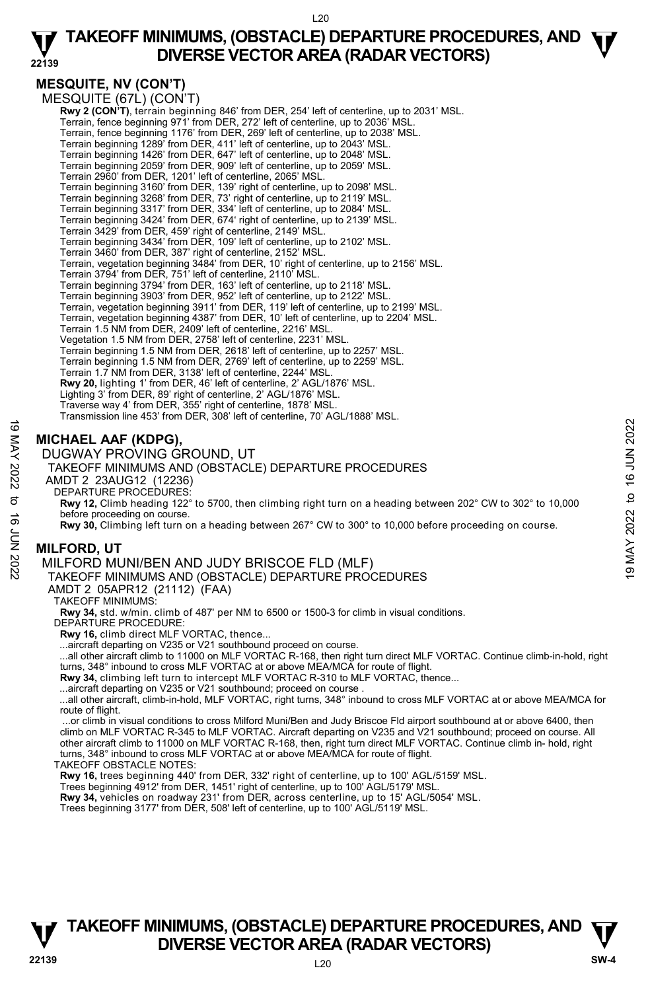# **MESQUITE, NV (CON'T)**

MESQUITE (67L) (CON'T) **Rwy 2 (CON'T)**, terrain beginning 846' from DER, 254' left of centerline, up to 2031' MSL.<br>Terrain, fence beginning 971' from DER, 272' left of centerline, up to 2036' MSL. Terrain, fence beginning 1176' from DER, 269' left of centerline, up to 2038' MSL. Terrain beginning 1289' from DER, 411' left of centerline, up to 2043' MSL. Terrain beginning 1426' from DER, 647' left of centerline, up to 2048' MSL. Terrain beginning 2059' from DER, 909' left of centerline, up to 2059' MSL. Terrain 2960' from DER, 1201' left of centerline, 2065' MSL. Terrain beginning 3160' from DER, 139' right of centerline, up to 2098' MSL. Terrain beginning 3268' from DER, 73' right of centerline, up to 2119' MSL. Terrain beginning 3317' from DER, 334' left of centerline, up to 2084' MSL. Terrain beginning 3424' from DER, 674' right of centerline, up to 2139' MSL. Terrain 3429' from DER, 459' right of centerline, 2149' MSL. Terrain beginning 3434' from DER, 109' left of centerline, up to 2102' MSL. Terrain 3460' from DER, 387' right of centerline, 2152' MSL. Terrain, vegetation beginning 3484' from DER, 10' right of centerline, up to 2156' MSL. Terrain 3794' from DER, 751' left of centerline, 2110' MSL. Terrain beginning 3794' from DER, 163' left of centerline, up to 2118' MSL. Terrain beginning 3903' from DER, 952' left of centerline, up to 2122' MSL. Terrain, vegetation beginning 3911' from DER, 119' left of centerline, up to 2199' MSL. Terrain, vegetation beginning 4387' from DER, 10' left of centerline, up to 2204' MSL. Terrain 1.5 NM from DER, 2409' left of centerline, 2216' MSL. Vegetation 1.5 NM from DER, 2758' left of centerline, 2231' MSL. Terrain beginning 1.5 NM from DER, 2618' left of centerline, up to 2257' MSL. Terrain beginning 1.5 NM from DER, 2769' left of centerline, up to 2259' MSL. Terrain 1.7 NM from DER, 3138' left of centerline, 2244' MSL. **Rwy 20,** lighting 1' from DER, 46' left of centerline, 2' AGL/1876' MSL. Lighting 3' from DER, 89' right of centerline, 2' AGL/1876' MSL. Traverse way 4' from DER, 355' right of centerline, 1878' MSL. Transmission line 453' from DER, 308' left of centerline, 70' AGL/1888' MSL.

# **MICHAEL AAF (KDPG),**

DUGWAY PROVING GROUND, UT

TAKEOFF MINIMUMS AND (OBSTACLE) DEPARTURE PROCEDURES

AMDT 2 23AUG12 (12236)

DEPARTURE PROCEDURES:

**Rwy 12,** Climb heading 122° to 5700, then climbing right turn on a heading between 202° CW to 302° to 10,000 before proceeding on course. MICHAEL AAF (KDPG),<br>
MICHAEL AAF (KDPG),<br>
DUGWAY PROVING GROUND, UT<br>
TAKEOFF MINIMUMS AND (OBSTACLE) DEPARTURE PROCEDURES<br>
ANDT 2 23AUG12 (12236)<br>
ANDT 2 23AUG12 (12236)<br>
DEPARTURE PROCEDURES:<br>
E Ray 12, Climb heading 122

**Rwy 30,** Climbing left turn on a heading between 267° CW to 300° to 10,000 before proceeding on course.

# **MILFORD, UT**

MILFORD MUNI/BEN AND JUDY BRISCOE FLD (MLF)

TAKEOFF MINIMUMS AND (OBSTACLE) DEPARTURE PROCEDURES

AMDT 2 05APR12 (21112) (FAA)

TAKEOFF MINIMUMS:

**Rwy 34,** std. w/min. climb of 487' per NM to 6500 or 1500-3 for climb in visual conditions.

DEPARTURE PROCEDURE:

**Rwy 16,** climb direct MLF VORTAC, thence...

...aircraft departing on V235 or V21 southbound proceed on course.

 ...all other aircraft climb to 11000 on MLF VORTAC R-168, then right turn direct MLF VORTAC. Continue climb-in-hold, right turns, 348° inbound to cross MLF VORTAC at or above MEA/MCA for route of flight.

**Rwy 34,** climbing left turn to intercept MLF VORTAC R-310 to MLF VORTAC, thence...

...aircraft departing on V235 or V21 southbound; proceed on course

 ...all other aircraft, climb-in-hold, MLF VORTAC, right turns, 348° inbound to cross MLF VORTAC at or above MEA/MCA for route of flight.

 ...or climb in visual conditions to cross Milford Muni/Ben and Judy Briscoe Fld airport southbound at or above 6400, then climb on MLF VORTAC R-345 to MLF VORTAC. Aircraft departing on V235 and V21 southbound; proceed on course. All other aircraft climb to 11000 on MLF VORTAC R-168, then, right turn direct MLF VORTAC. Continue climb in- hold, right turns, 348° inbound to cross MLF VORTAC at or above MEA/MCA for route of flight.

TAKEOFF OBSTACLE NOTES:

**Rwy 16,** trees beginning 440' from DER, 332' right of centerline, up to 100' AGL/5159' MSL.

Trees beginning 4912' from DER, 1451' right of centerline, up to 100' AGL/5179' MSL.

**Rwy 34,** vehicles on roadway 231' from DER, across centerline, up to 15' AGL/5054' MSL.

Trees beginning 3177' from DER, 508' left of centerline, up to 100' AGL/5119' MSL.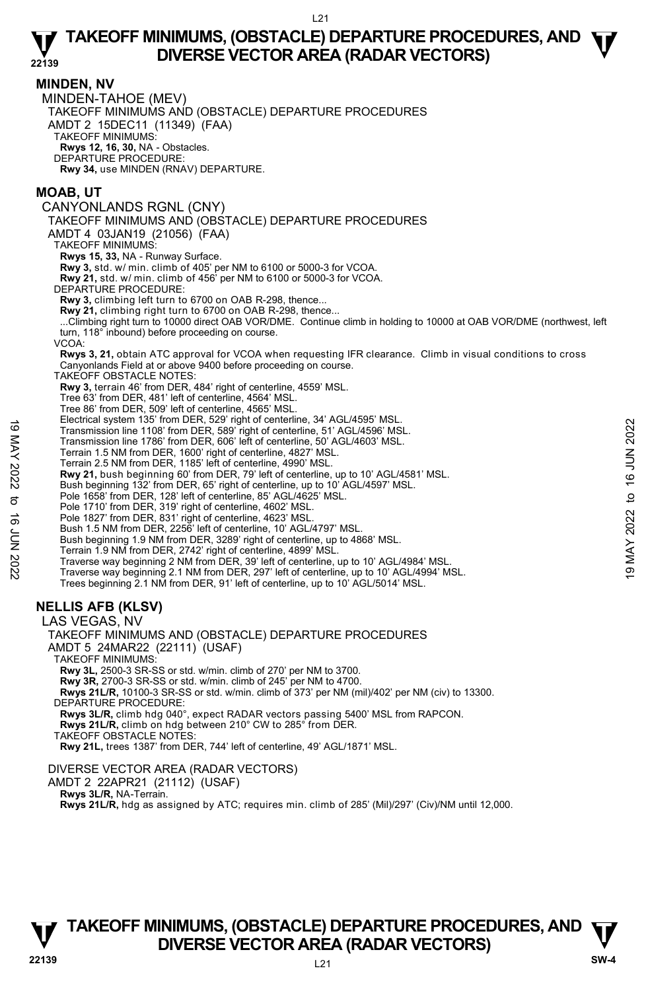#### **MINDEN, NV**

MINDEN-TAHOE (MEV) TAKEOFF MINIMUMS AND (OBSTACLE) DEPARTURE PROCEDURES AMDT 2 15DEC11 (11349) (FAA) TAKEOFF MINIMUMS: **Rwys 12, 16, 30,** NA - Obstacles. DEPARTURE PROCEDURE: **Rwy 34,** use MINDEN (RNAV) DEPARTURE.

# **MOAB, UT**

CANYONLANDS RGNL (CNY) TAKEOFF MINIMUMS AND (OBSTACLE) DEPARTURE PROCEDURES AMDT 4 03JAN19 (21056) (FAA) TAKEOFF MINIMUMS: **Rwys 15, 33,** NA - Runway Surface. **Rwy 3,** std. w/ min. climb of 405' per NM to 6100 or 5000-3 for VCOA. **Rwy 21,** std. w/ min. climb of 456' per NM to 6100 or 5000-3 for VCOA. DEPARTURE PROCEDURE: **Rwy 3,** climbing left turn to 6700 on OAB R-298, thence... **Rwy 21,** climbing right turn to 6700 on OAB R-298, thence... ...Climbing right turn to 10000 direct OAB VOR/DME. Continue climb in holding to 10000 at OAB VOR/DME (northwest, left turn, 118° inbound) before proceeding on course. VCOA: **Rwys 3, 21,** obtain ATC approval for VCOA when requesting IFR clearance. Climb in visual conditions to cross Canyonlands Field at or above 9400 before proceeding on course. TAKEOFF OBSTACLE NOTES: **Rwy 3,** terrain 46' from DER, 484' right of centerline, 4559' MSL. Tree 63' from DER, 481' left of centerline, 4564' MSL. Tree 86' from DER, 509' left of centerline, 4565' MSL. Electrical system 135' from DER, 529' right of centerline, 34' AGL/4595' MSL. Transmission line 1108' from DER, 589' right of centerline, 51' AGL/4596' MSL. Transmission line 1786' from DER, 606' left of centerline, 50' AGL/4603' MSL. Terrain 1.5 NM from DER, 1600' right of centerline, 4827' MSL. Transmission line 170 of DER, 328<sup>2</sup> igint of centerline, 31<sup>2</sup> AGL/4596° MSL.<br>
Transmission line 1786<sup>°</sup> from DER, 606<sup>°</sup> left of centerline, 51<sup>2</sup> AGL/4603<sup></sup> MSL.<br>
Terrain 1.5 NM from DER, 1600<sup>°</sup> right of centerline, 4

- 
- Terrain 2.5 NM from DER, 1185' left of centerline, 4990' MSL.
- **Rwy 21,** bush beginning 60' from DER, 79' left of centerline, up to 10' AGL/4581' MSL.
- Bush beginning 132' from DER, 65' right of centerline, up to 10' AGL/4597' MSL.
- Pole 1658' from DER, 128' left of centerline, 85' AGL/4625' MSL. Pole 1710' from DER, 319' right of centerline, 4602' MSL.
- 
- Pole 1827' from DER, 831' right of centerline, 4623' MSL. Bush 1.5 NM from DER, 2256' left of centerline, 10' AGL/4797' MSL.
- 
- Bush beginning 1.9 NM from DER, 3289' right of centerline, up to 4868' MSL.
- Terrain 1.9 NM from DER, 2742' right of centerline, 4899' MSL.
- Traverse way beginning 2 NM from DER, 39' left of centerline, up to 10' AGL/4984' MSL. Traverse way beginning 2.1 NM from DER, 297' left of centerline, up to 10' AGL/4994' MSL.
- Trees beginning 2.1 NM from DER, 91' left of centerline, up to 10' AGL/5014' MSL.

# **NELLIS AFB (KLSV)**

LAS VEGAS, NV

TAKEOFF MINIMUMS AND (OBSTACLE) DEPARTURE PROCEDURES AMDT 5 24MAR22 (22111) (USAF) TAKEOFF MINIMUMS: **Rwy 3L,** 2500-3 SR-SS or std. w/min. climb of 270' per NM to 3700. **Rwy 3R,** 2700-3 SR-SS or std. w/min. climb of 245' per NM to 4700.  **Rwys 21L/R,** 10100-3 SR-SS or std. w/min. climb of 373' per NM (mil)/402' per NM (civ) to 13300. DEPARTURE PROCEDURE: **Rwys 3L/R,** climb hdg 040°, expect RADAR vectors passing 5400' MSL from RAPCON. **Rwys 21L/R,** climb on hdg between 210° CW to 285° from DER. TAKEOFF OBSTACLE NOTES:

**Rwy 21L,** trees 1387' from DER, 744' left of centerline, 49' AGL/1871' MSL.

### DIVERSE VECTOR AREA (RADAR VECTORS)

AMDT 2 22APR21 (21112) (USAF)

 **Rwys 3L/R,** NA-Terrain.

**Rwys 21L/R,** hdg as assigned by ATC; requires min. climb of 285' (Mil)/297' (Civ)/NM until 12,000.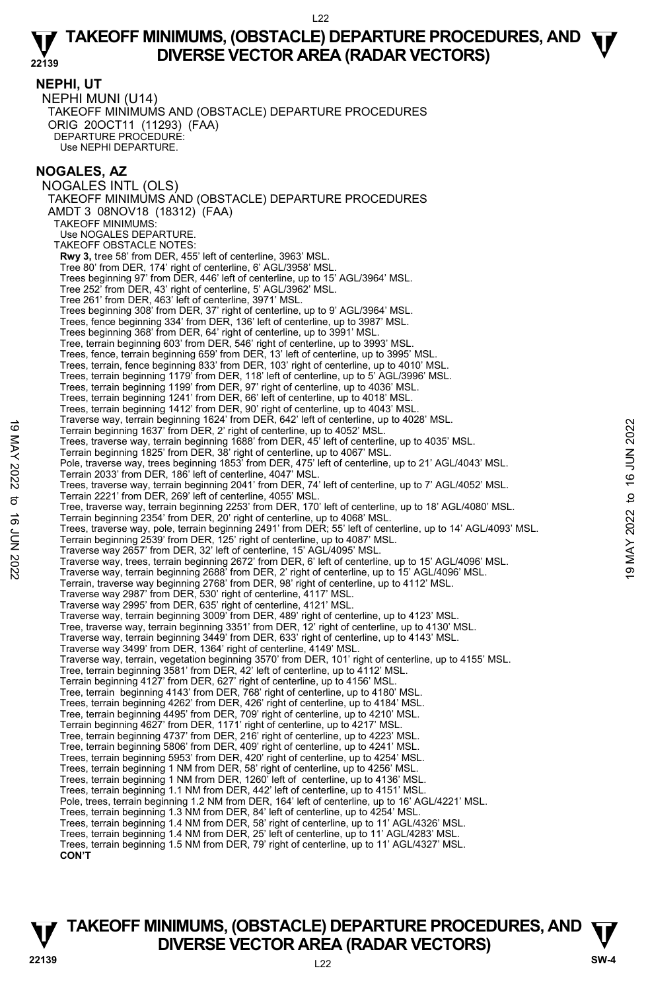**NEPHI, UT**  NEPHI MUNI (U14) TAKEOFF MINIMUMS AND (OBSTACLE) DEPARTURE PROCEDURES ORIG 20OCT11 (11293) (FAA) DEPARTURE PROCEDURE: Use NEPHI DEPARTURE.

# **NOGALES, AZ**

NOGALES INTL (OLS) TAKEOFF MINIMUMS AND (OBSTACLE) DEPARTURE PROCEDURES AMDT 3 08NOV18 (18312) (FAA) TAKEOFF MINIMUMS: Use NOGALES DEPARTURE. TAKEOFE OBSTACLE NOTES: **Rwy 3,** tree 58' from DER, 455' left of centerline, 3963' MSL. Tree 80' from DER, 174' right of centerline, 6' AGL/3958' MSL. Trees beginning 97' from DER, 446' left of centerline, up to 15' AGL/3964' MSL. Tree 252' from DER, 43' right of centerline, 5' AGL/3962' MSL. Tree 261' from DER, 463' left of centerline, 3971' MSL. Trees beginning 308' from DER, 37' right of centerline, up to 9' AGL/3964' MSL. Trees, fence beginning 334' from DER, 136' left of centerline, up to 3987' MSL. Trees beginning 368' from DER, 64' right of centerline, up to 3991' MSL. Tree, terrain beginning 603' from DER, 546' right of centerline, up to 3993' MSL. Trees, fence, terrain beginning 659' from DER, 13' left of centerline, up to 3995' MSL. Trees, terrain, fence beginning 833' from DER, 103' right of centerline, up to 4010' MSL. Trees, terrain beginning 1179' from DER, 118' left of centerline, up to 5' AGL/3996' MSL. Trees, terrain beginning 1199' from DER, 97' right of centerline, up to 4036' MSL. Trees, terrain beginning 1241' from DER, 66' left of centerline, up to 4018' MSL. Trees, terrain beginning 1412' from DER, 90' right of centerline, up to 4043' MSL. Traverse way, terrain beginning 1624' from DER, 642' left of centerline, up to 4028' MSL. Terrain beginning 1637' from DER, 2' right of centerline, up to 4052' MSL. Trees, traverse way, terrain beginning 1688' from DER, 45' left of centerline, up to 4035' MSL. Terrain beginning 1825' from DER, 38' right of centerline, up to 4067' MSL. Pole, traverse way, trees beginning 1853 from DER, 475' left of centerline, up to 21' AGL/4043' MSL. Terrain 2033' from DER, 186' left of centerline, 4047' MSL. Trees, traverse way, terrain beginning 2041' from DER, 74' left of centerline, up to 7' AGL/4052' MSL. Terrain 2221' from DER, 269' left of centerline, 4055' MSL. Tree, traverse way, terrain beginning 2253' from DER, 170' left of centerline, up to 18' AGL/4080' MSL. Terrain beginning 2354' from DER, 20' right of centerline, up to 4068' MSL. Trees, traverse way, pole, terrain beginning 2491' from DER; 55' left of centerline, up to 14' AGL/4093' MSL. Terrain beginning 2539' from DER, 125' right of centerline, up to 4087' MSL. Traverse way 2657' from DER, 32' left of centerline, 15' AGL/4095' MSL. Terrain beginning the starting inceract of entertine, up to 4026 MSL.<br>Terrain beginning 1837 from DER, 2' right of centerline, up to 4052' MSL.<br>Trees, traverse way, terrain beginning 1888' from DER, 45' left of centerline, Terrain, traverse way beginning 2768' from DER, 98' right of centerline, up to 4112' MSL. Traverse way 2987' from DER, 530' right of centerline, 4117' MSL. Traverse way 2995' from DER, 635' right of centerline, 4121' MSL. Traverse way, terrain beginning 3009' from DER, 489' right of centerline, up to 4123' MSL. Tree, traverse way, terrain beginning 3351' from DER, 12' right of centerline, up to 4130' MSL. Traverse way, terrain beginning 3449' from DER, 633' right of centerline, up to 4143' MSL. Traverse way 3499' from DER, 1364' right of centerline, 4149' MSL. Traverse way, terrain, vegetation beginning 3570' from DER, 101' right of centerline, up to 4155' MSL. Tree, terrain beginning 3581' from DER, 42' left of centerline, up to 4112' MSL. Terrain beginning 4127' from DER, 627' right of centerline, up to 4156' MSL. Tree, terrain beginning 4143' from DER, 768' right of centerline, up to 4180' MSL. Trees, terrain beginning 4262' from DER, 426' right of centerline, up to 4184' MSL. Tree, terrain beginning 4495' from DER, 709' right of centerline, up to 4210' MSL. Terrain beginning 4627' from DER, 1171' right of centerline, up to 4217' MSL. Tree, terrain beginning 4737' from DER, 216' right of centerline, up to 4223' MSL. Tree, terrain beginning 5806' from DER, 409' right of centerline, up to 4241' MSL. Trees, terrain beginning 5953' from DER, 420' right of centerline, up to 4254' MSL. Trees, terrain beginning 1 NM from DER, 58' right of centerline, up to 4256' MSL. Trees, terrain beginning 1 NM from DER, 1260' left of centerline, up to 4136' MSL. Trees, terrain beginning 1.1 NM from DER, 442' left of centerline, up to 4151' MSL. Pole, trees, terrain beginning 1.2 NM from DER, 164' left of centerline, up to 16' AGL/4221' MSL. Trees, terrain beginning 1.3 NM from DER, 84' left of centerline, up to 4254' MSL. Trees, terrain beginning 1.4 NM from DER, 58' right of centerline, up to 11' AGL/4326' MSL. Trees, terrain beginning 1.4 NM from DER, 25' left of centerline, up to 11' AGL/4283' MSL. Trees, terrain beginning 1.5 NM from DER, 79' right of centerline, up to 11' AGL/4327' MSL. **CON'T**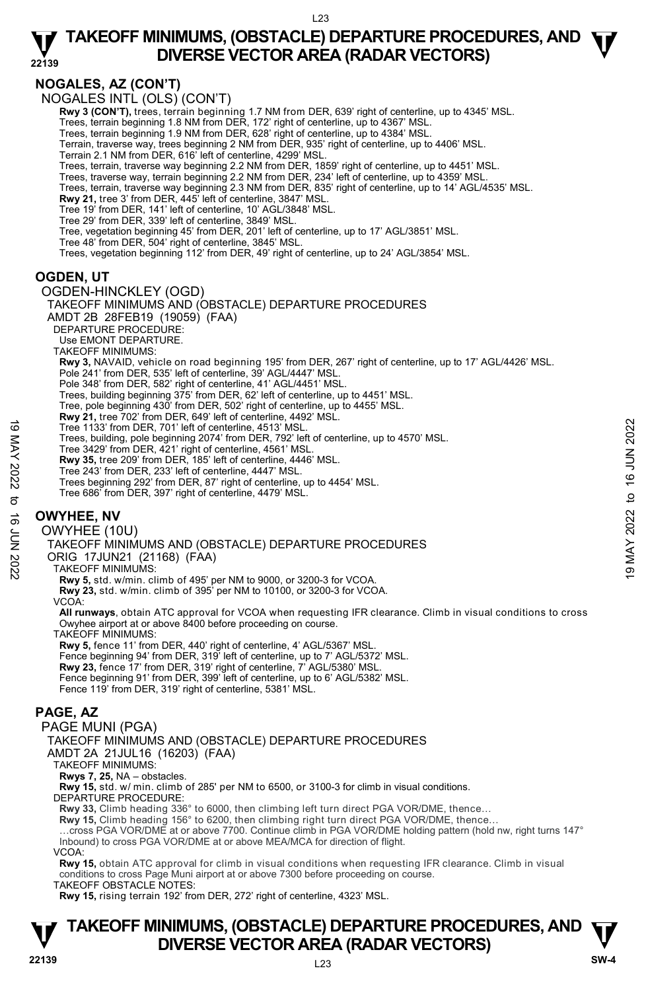# **NOGALES, AZ (CON'T)**

NOGALES INTL (OLS) (CON'T)

**Rwy 3 (CON'T),** trees, terrain beginning 1.7 NM from DER, 639' right of centerline, up to 4345' MSL.

Trees, terrain beginning 1.8 NM from DER, 172' right of centerline, up to 4367' MSL. Trees, terrain beginning 1.9 NM from DER, 628' right of centerline, up to 4384' MSL.

Terrain, traverse way, trees beginning 2 NM from DER, 935' right of centerline, up to 4406' MSL.

Terrain 2.1 NM from DER, 616' left of centerline, 4299' MSL.

Trees, terrain, traverse way beginning 2.2 NM from DER, 1859' right of centerline, up to 4451' MSL. Trees, traverse way, terrain beginning 2.2 NM from DER, 234' left of centerline, up to 4359' MSL.

Trees, terrain, traverse way beginning 2.3 NM from DER, 835' right of centerline, up to 14' AGL/4535' MSL.

**Rwy 21,** tree 3' from DER, 445' left of centerline, 3847' MSL. Tree 19' from DER, 141' left of centerline, 10' AGL/3848' MSL.

Tree 29' from DER, 339' left of centerline, 3849' MSL.

Tree, vegetation beginning 45' from DER, 201' left of centerline, up to 17' AGL/3851' MSL. Tree 48' from DER, 504' right of centerline, 3845' MSL.

Trees, vegetation beginning 112' from DER, 49' right of centerline, up to 24' AGL/3854' MSL.

# **OGDEN, UT**

OGDEN-HINCKLEY (OGD) TAKEOFF MINIMUMS AND (OBSTACLE) DEPARTURE PROCEDURES AMDT 2B 28FEB19 (19059) (FAA) DEPARTURE PROCEDURE: Use EMONT DEPARTURE. TAKEOFF MINIMUMS: **Rwy 3,** NAVAID, vehicle on road beginning 195' from DER, 267' right of centerline, up to 17' AGL/4426' MSL. Pole 241' from DER, 535' left of centerline, 39' AGL/4447' MSL. Pole 348' from DER, 582' right of centerline, 41' AGL/4451' MSL. Trees, building beginning 375' from DER, 62' left of centerline, up to 4451' MSL. Tree, pole beginning 430' from DER, 502' right of centerline, up to 4455' MSL. **Rwy 21,** tree 702' from DER, 649' left of centerline, 4492' MSL. Tree 1133' from DER, 701' left of centerline, 4513' MSL. Trees, building, pole beginning 2074' from DER, 792' left of centerline, up to 4570' MSL. Tree 3429' from DER, 421' right of centerline, 4561' MSL. **Rwy 35,** tree 209' from DER, 185' left of centerline, 4446' MSL. Tree 243' from DER, 233' left of centerline, 4447' MSL. Trees beginning 292' from DER, 87' right of centerline, up to 4454' MSL. Tree 686' from DER, 397' right of centerline, 4479' MSL. **OWYHEE, NV**  OWYHEE (10U) Tree 1133 from DER, 701 left of centerline, 4513 MSL.<br>
Tree 3429 from DER, 701 left of centerline, 4513 MSL.<br>
Tree 3429 from DER, 421 right of centerline, 4661' MSL.<br> **EVALUATION 1990** From DER, 185' left of centerline, 44

TAKEOFF MINIMUMS AND (OBSTACLE) DEPARTURE PROCEDURES

ORIG 17JUN21 (21168) (FAA)

TAKEOFF MINIMUMS:

 **Rwy 5,** std. w/min. climb of 495' per NM to 9000, or 3200-3 for VCOA.

 **Rwy 23,** std. w/min. climb of 395' per NM to 10100, or 3200-3 for VCOA.

VCOA:

**All runways**, obtain ATC approval for VCOA when requesting IFR clearance. Climb in visual conditions to cross Owyhee airport at or above 8400 before proceeding on course.

TAKEOFF MINIMUMS:

**Rwy 5,** fence 11' from DER, 440' right of centerline, 4' AGL/5367' MSL. Fence beginning 94' from DER, 319' left of centerline, up to 7' AGL/5372' MSL.

**Rwy 23,** fence 17' from DER, 319' right of centerline, 7' AGL/5380' MSL.

Fence beginning 91' from DER, 399' left of centerline, up to 6' AGL/5382' MSL. Fence 119' from DER, 319' right of centerline, 5381' MSL.

## **PAGE, AZ**

PAGE MUNI (PGA)

TAKEOFF MINIMUMS AND (OBSTACLE) DEPARTURE PROCEDURES

AMDT 2A 21JUL16 (16203) (FAA)

TAKEOFF MINIMUMS:

**Rwys 7, 25,** NA – obstacles.

**Rwy 15,** std. w/ min. climb of 285' per NM to 6500, or 3100-3 for climb in visual conditions.

DEPARTURE PROCEDURE:

**Rwy 33,** Climb heading 336° to 6000, then climbing left turn direct PGA VOR/DME, thence…

**Rwy 15,** Climb heading 156° to 6200, then climbing right turn direct PGA VOR/DME, thence…

…cross PGA VOR/DME at or above 7700. Continue climb in PGA VOR/DME holding pattern (hold nw, right turns 147° Inbound) to cross PGA VOR/DME at or above MEA/MCA for direction of flight.

VCOA:

**Rwy 15,** obtain ATC approval for climb in visual conditions when requesting IFR clearance. Climb in visual conditions to cross Page Muni airport at or above 7300 before proceeding on course.

TAKEOFF OBSTACLE NOTES:

**Rwy 15,** rising terrain 192' from DER, 272' right of centerline, 4323' MSL.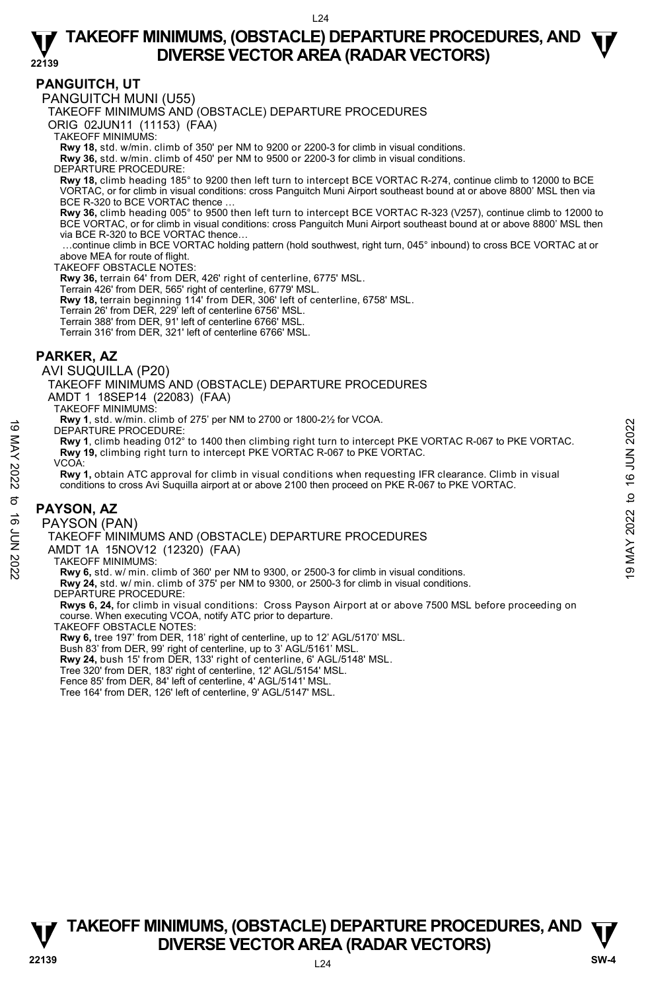### **PANGUITCH, UT**

PANGUITCH MUNI (U55)

TAKEOFF MINIMUMS AND (OBSTACLE) DEPARTURE PROCEDURES

ORIG 02JUN11 (11153) (FAA)

TAKEOFF MINIMUMS:

**Rwy 18,** std. w/min. climb of 350' per NM to 9200 or 2200-3 for climb in visual conditions. **Rwy 36,** std. w/min. climb of 450' per NM to 9500 or 2200-3 for climb in visual conditions.

DEPARTURE PROCEDURE:

**Rwy 18,** climb heading 185° to 9200 then left turn to intercept BCE VORTAC R-274, continue climb to 12000 to BCE VORTAC, or for climb in visual conditions: cross Panguitch Muni Airport southeast bound at or above 8800' MSL then via BCE R-320 to BCE VORTAC thence.

**Rwy 36,** climb heading 005° to 9500 then left turn to intercept BCE VORTAC R-323 (V257), continue climb to 12000 to BCE VORTAC, or for climb in visual conditions: cross Panguitch Muni Airport southeast bound at or above 8800' MSL then via BCE R-320 to BCE VORTAC thence…

 …continue climb in BCE VORTAC holding pattern (hold southwest, right turn, 045° inbound) to cross BCE VORTAC at or above MEA for route of flight.

TAKEOFF OBSTACLE NOTES:

**Rwy 36,** terrain 64' from DER, 426' right of centerline, 6775' MSL.

Terrain 426' from DER, 565' right of centerline, 6779' MSL.

**Rwy 18,** terrain beginning 114' from DER, 306' left of centerline, 6758' MSL.<br>Terrain 26' from DER, 229' left of centerline 6756' MSL.

Terrain 388' from DER, 91' left of centerline 6766' MSL.

Terrain 316' from DER, 321' left of centerline 6766' MSL.

### **PARKER, AZ**

AVI SUQUILLA (P20)

TAKEOFF MINIMUMS AND (OBSTACLE) DEPARTURE PROCEDURES

AMDT 1 18SEP14 (22083) (FAA) TAKEOFF MINIMUMS:

**Rwy 1**, std. w/min. climb of 275' per NM to 2700 or 1800-2½ for VCOA.

DEPARTURE PROCEDURE:

**Rwy 1**, climb heading 012° to 1400 then climbing right turn to intercept PKE VORTAC R-067 to PKE VORTAC. **Rwy 19,** climbing right turn to intercept PKE VORTAC R-067 to PKE VORTAC.

VCOA:

**Rwy 1,** obtain ATC approval for climb in visual conditions when requesting IFR clearance. Climb in visual conditions to cross Avi Suquilla airport at or above 2100 then proceed on PKE R-067 to PKE VORTAC. THE THING CONSISTED IN THE CONDUCEDURES<br>
THE PROCEDURE:<br>
THE PROCEDURE:<br>
The May 1, climb heading 012° to 1400 then climbing right turn to intercept PKE VORTAC R-067 to PKE VORTAC.<br>
The Wy 1, climb heading 012° to 1400 th

#### **PAYSON, AZ**

PAYSON (PAN)

TAKEOFF MINIMUMS AND (OBSTACLE) DEPARTURE PROCEDURES

AMDT 1A 15NOV12 (12320) (FAA)

TAKEOFF MINIMUMS:

**Rwy 6,** std. w/ min. climb of 360' per NM to 9300, or 2500-3 for climb in visual conditions.

**Rwy 24,** std. w/ min. climb of 375' per NM to 9300, or 2500-3 for climb in visual conditions. DEPARTURE PROCEDURE:

**Rwys 6, 24,** for climb in visual conditions: Cross Payson Airport at or above 7500 MSL before proceeding on course. When executing VCOA, notify ATC prior to departure.

TAKEOFF OBSTACLE NOTES:

**Rwy 6,** tree 197' from DER, 118' right of centerline, up to 12' AGL/5170' MSL.

Bush 83' from DER, 99' right of centerline, up to 3' AGL/5161' MSL. **Rwy 24,** bush 15' from DER, 133' right of centerline, 6' AGL/5148' MSL.

Tree 320' from DER, 183' right of centerline, 12' AGL/5154' MSL.

Fence 85' from DER, 84' left of centerline, 4' AGL/5141' MSL.

Tree 164' from DER, 126' left of centerline, 9' AGL/5147' MSL.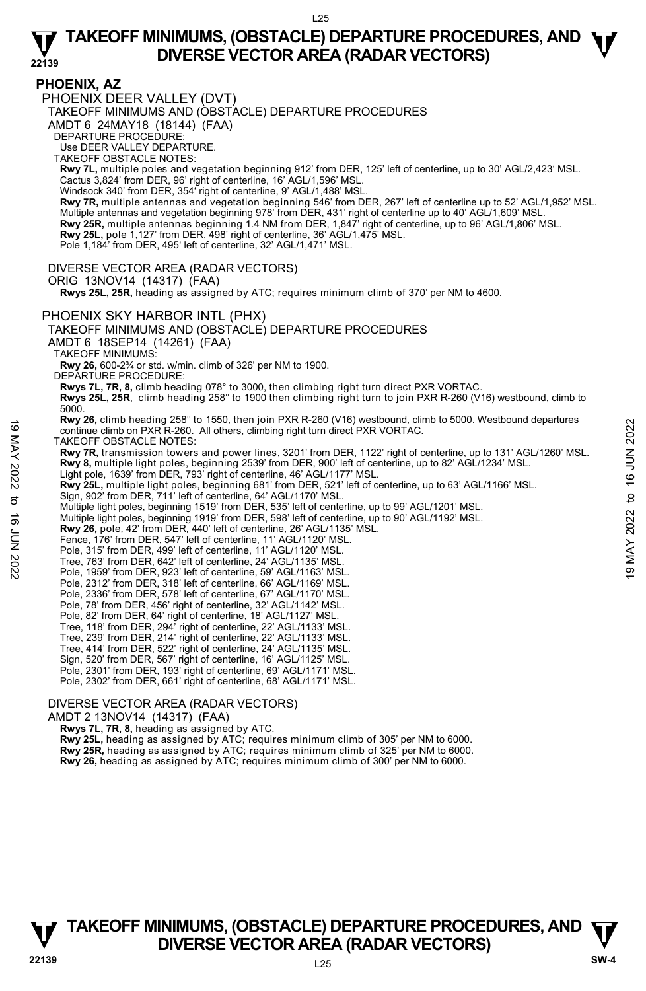**PHOENIX, AZ**  PHOENIX DEER VALLEY (DVT)

TAKEOFF MINIMUMS AND (OBSTACLE) DEPARTURE PROCEDURES

AMDT 6 24MAY18 (18144) (FAA)

DEPARTURE PROCEDURE:

Use DEER VALLEY DEPARTURE.

TAKEOFF OBSTACLE NOTES:

**Rwy 7L,** multiple poles and vegetation beginning 912' from DER, 125' left of centerline, up to 30' AGL/2,423' MSL. Cactus 3,824' from DER, 96' right of centerline, 16' AGL/1,596' MSL.

Windsock 340' from DER, 354' right of centerline, 9' AGL/1,488' MSL

**Rwy 7R,** multiple antennas and vegetation beginning 546' from DER, 267' left of centerline up to 52' AGL/1,952' MSL. Multiple antennas and vegetation beginning 978' from DER, 431' right of centerline up to 40' AGL/1,609' MSL. **Rwy 25R,** multiple antennas beginning 1.4 NM from DER, 1,847' right of centerline, up to 96' AGL/1,806' MSL.<br>**Rwy 25L,** pole 1,127' from DER, 498' right of centerline, 36' AGL/1,475' MSL.

Pole 1,184' from DER, 495' left of centerline, 32' AGL/1,471' MSL.

DIVERSE VECTOR AREA (RADAR VECTORS)

ORIG 13NOV14 (14317) (FAA)

 **Rwys 25L, 25R,** heading as assigned by ATC; requires minimum climb of 370' per NM to 4600.

#### PHOENIX SKY HARBOR INTL (PHX)

TAKEOFF MINIMUMS AND (OBSTACLE) DEPARTURE PROCEDURES

AMDT 6 18SEP14 (14261) (FAA)

TAKEOFF MINIMUMS:

**Rwy 26,** 600-2¾ or std. w/min. climb of 326' per NM to 1900.

DEPARTURE PROCEDURE:

**Rwys 7L, 7R, 8,** climb heading 078° to 3000, then climbing right turn direct PXR VORTAC.

**Rwys 25L, 25R**, climb heading 258° to 1900 then climbing right turn to join PXR R-260 (V16) westbound, climb to 5000.

**Rwy 26,** climb heading 258° to 1550, then join PXR R-260 (V16) westbound, climb to 5000. Westbound departures continue climb on PXR R-260. All others, climbing right turn direct PXR VORTAC.

TAKEOFF OBSTACLE NOTES:

**Rwy 7R,** transmission towers and power lines, 3201' from DER, 1122' right of centerline, up to 131' AGL/1260' MSL. **Rwy 8,** multiple light poles, beginning 2539' from DER, 900' left of centerline, up to 82' AGL/1234' MSL. For example and the same signing and the same of the same of the same of the same of the same of the same of the same of the same of the same of the same of the same of the same of the same of the same of the same of the

Light pole, 1639' from DER, 793' right of centerline, 46' AGL/1177' MSL.

**Rwy 25L,** multiple light poles, beginning 681' from DER, 521' left of centerline, up to 63' AGL/1166' MSL.<br>Sign, 902' from DER, 711' left of centerline, 64' AGL/1170' MSL.

Multiple light poles, beginning 1519' from DER, 535' left of centerline, up to 99' AGL/1201' MSL.

Multiple light poles, beginning 1919' from DER, 598' left of centerline, up to 90' AGL/1192' MSL.<br>**Rwy 26,** pole, 42' from DER, 440' left of centerline, 26' AGL/1135' MSL.

Fence, 176' from DER, 547' left of centerline, 11' AGL/1120' MSL.

Pole, 315' from DER, 499' left of centerline, 11' AGL/1120' MSL.

Tree, 763' from DER, 642' left of centerline, 24' AGL/1135' MSL.

Pole, 1959' from DER, 923' left of centerline, 59' AGL/1163' MSL.

Pole, 2312' from DER, 318' left of centerline, 66' AGL/1169' MSL.

Pole, 2336' from DER, 578' left of centerline, 67' AGL/1170' MSL. Pole, 78' from DER, 456' right of centerline, 32' AGL/1142' MSL.

- 
- Pole, 82' from DER, 64' right of centerline, 18' AGL/1127' MSL. Tree, 118' from DER, 294' right of centerline, 22' AGL/1133' MSL.
- Tree, 239' from DER, 214' right of centerline, 22' AGL/1133' MSL.
- Tree, 414' from DER, 522' right of centerline, 24' AGL/1135' MSL.
- Sign, 520' from DER, 567' right of centerline, 16' AGL/1125' MSL.
- Pole, 2301' from DER, 193' right of centerline, 69' AGL/1171' MSL.

Pole, 2302' from DER, 661' right of centerline, 68' AGL/1171' MSL.

#### DIVERSE VECTOR AREA (RADAR VECTORS)

AMDT 2 13NOV14 (14317) (FAA)

 **Rwys 7L, 7R, 8,** heading as assigned by ATC.

**Rwy 25L,** heading as assigned by ATC; requires minimum climb of 305' per NM to 6000. **Rwy 25R,** heading as assigned by ATC; requires minimum climb of 325' per NM to 6000.

**Rwy 26,** heading as assigned by ATC; requires minimum climb of 300' per NM to 6000.



L25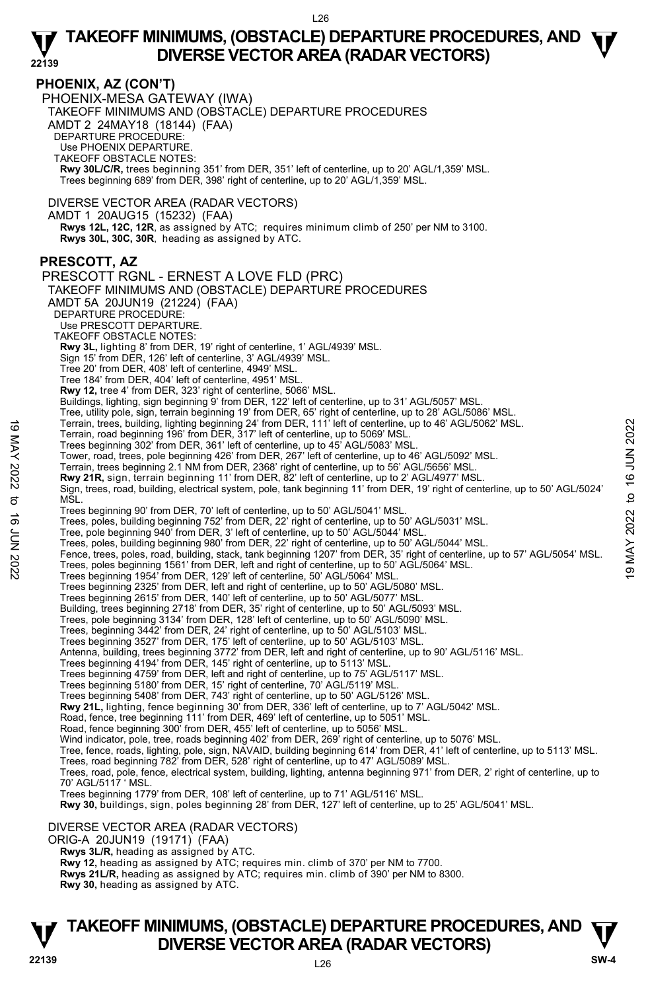#### **PHOENIX, AZ (CON'T)**

PHOENIX-MESA GATEWAY (IWA) TAKEOFF MINIMUMS AND (OBSTACLE) DEPARTURE PROCEDURES AMDT 2 24MAY18 (18144) (FAA) DEPARTURE PROCEDURE: Use PHOENIX DEPARTURE. TAKEOFF OBSTACLE NOTES: **Rwy 30L/C/R,** trees beginning 351' from DER, 351' left of centerline, up to 20' AGL/1,359' MSL. Trees beginning 689' from DER, 398' right of centerline, up to 20' AGL/1,359' MSL.

DIVERSE VECTOR AREA (RADAR VECTORS)

AMDT 1 20AUG15 (15232) (FAA)

 **Rwys 12L, 12C, 12R**, as assigned by ATC; requires minimum climb of 250' per NM to 3100. **Rwys 30L, 30C, 30R**, heading as assigned by ATC.

### **PRESCOTT, AZ**

PRESCOTT RGNL - ERNEST A LOVE FLD (PRC) TAKEOFF MINIMUMS AND (OBSTACLE) DEPARTURE PROCEDURES AMDT 5A 20JUN19 (21224) (FAA) DEPARTURE PROCEDURE: Use PRESCOTT DEPARTURE. TAKEOFF OBSTACLE NOTES: **Rwy 3L,** lighting 8' from DER, 19' right of centerline, 1' AGL/4939' MSL. Sign 15' from DER, 126' left of centerline, 3' AGL/4939' MSL. Tree 20' from DER, 408' left of centerline, 4949' MSL. Tree 184' from DER, 404' left of centerline, 4951' MSL. **Rwy 12,** tree 4' from DER, 323' right of centerline, 5066' MSL. Buildings, lighting, sign beginning 9' from DER, 122' left of centerline, up to 31' AGL/5057' MSL. Tree, utility pole, sign, terrain beginning 19' from DER, 65' right of centerline, up to 28' AGL/5062' MSL.<br>
Terrain, road beginning 196' from DER, 317' left of centerline, up to 5069' MSL.<br>
Terrain, road beginning 302' fr Trees beginning 302' from DER, 361' left of centerline, up to 45' AGL/5083' MSL. Tower, road, trees, pole beginning 426' from DER, 267' left of centerline, up to 46' AGL/5092' MSL. Terrain, trees beginning 2.1 NM from DER, 2368' right of centerline, up to 56' AGL/5656' MSL. **Rwy 21R,** sign, terrain beginning 11' from DER, 82' left of centerline, up to 2' AGL/4977' MSL. Sign, trees, road, building, electrical system, pole, tank beginning 11' from DER, 19' right of centerline, up to 50' AGL/5024' M<sub>SL</sub> Trees beginning 90' from DER, 70' left of centerline, up to 50' AGL/5041' MSL. Trees, poles, building beginning 752' from DER, 22' right of centerline, up to 50' AGL/5031' MSL.<br>Tree, pole beginning 940' from DER, 3' left of centerline, up to 50' AGL/5044' MSL. Trees, poles, building beginning 980' from DER, 22' right of centerline, up to 50' AGL/5044' MSL. Fence, trees, poles, road, building, stack, tank beginning 1207' from DER, 35' right of centerline, up to 57' AGL/5054' MSL. Trees, poles beginning 1561' from DER, left and right of centerline, up to 50' AGL/5064' MSL. Trees beginning 1954' from DER, 129' left of centerline, 50' AGL/5064' MSL. Trees beginning 2325' from DER, left and right of centerline, up to 50' AGL/5080' MSL. Trees beginning 2615' from DER, 140' left of centerline, up to 50' AGL/5077' MSL. Building, trees beginning 2718' from DER, 35' right of centerline, up to 50' AGL/5093' MSL. Trees, pole beginning 3134' from DER, 128' left of centerline, up to 50' AGL/5090' MSL. Trees, beginning 3442' from DER, 24' right of centerline, up to 50' AGL/5103' MSL. Trees beginning 3527' from DER, 175' left of centerline, up to 50' AGL/5103' MSL. Antenna, building, trees beginning 3772' from DER, left and right of centerline, up to 90' AGL/5116' MSL. Trees beginning 4194' from DER, 145' right of centerline, up to 5113' MSL. Trees beginning 4759' from DER, left and right of centerline, up to 75' AGL/5117' MSL. Trees beginning 5180' from DER, 15' right of centerline, 70' AGL/5119' MSL. Trees beginning 5408' from DER, 743' right of centerline, up to 50' AGL/5126' MSL. **Rwy 21L,** lighting, fence beginning 30' from DER, 336' left of centerline, up to 7' AGL/5042' MSL. Road, fence, tree beginning 111' from DER, 469' left of centerline, up to 5051' MSL. Road, fence beginning 300' from DER, 455' left of centerline, up to 5056' MSL. Wind indicator, pole, tree, roads beginning 402' from DER, 269' right of centerline, up to 5076' MSL.<br>Tree, fence, roads, lighting, pole, sign, NAVAID, building beginning 614' from DER, 41' left of centerline, up to 5113' Trees, road beginning 782' from DER, 528' right of centerline, up to 47' AGL/5089' MSL. Trees, road, pole, fence, electrical system, building, lighting, antenna beginning 971' from DER, 2' right of centerline, up to 70' AGL/5117 ' MSL. Trees beginning 1779' from DER, 108' left of centerline, up to 71' AGL/5116' MSL. **Rwy 30,** buildings, sign, poles beginning 28' from DER, 127' left of centerline, up to 25' AGL/5041' MSL. DIVERSE VECTOR AREA (RADAR VECTORS) ORIG-A 20JUN19 (19171) (FAA)

 **Rwys 3L/R,** heading as assigned by ATC. **Rwy 12,** heading as assigned by ATC; requires min. climb of 370' per NM to 7700.

**Rwys 21L/R,** heading as assigned by ATC; requires min. climb of 390' per NM to 8300.

**Rwy 30,** heading as assigned by ATC.

# **TAKEOFF MINIMUMS, (OBSTACLE) DEPARTURE PROCEDURES, AND**  $\Psi$ **<br>DIVERSE VECTOR AREA (RADAR VECTORS) Property BUVERSE VECTOR AREA (RADAR VECTORS) Property** SW-4  $\frac{80}{22139}$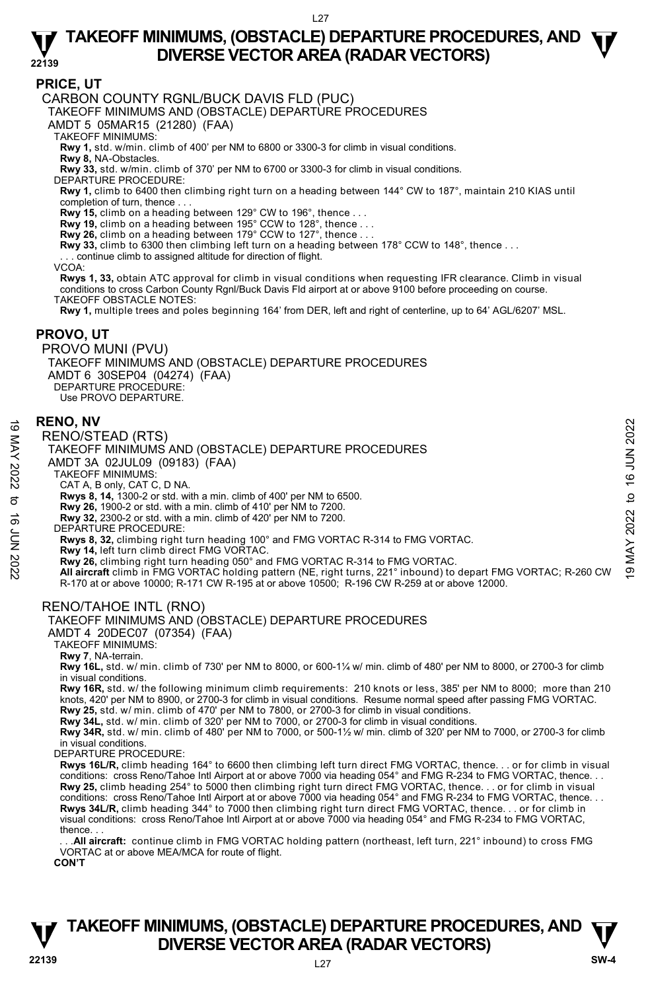### **PRICE, UT**

CARBON COUNTY RGNL/BUCK DAVIS FLD (PUC)

TAKEOFF MINIMUMS AND (OBSTACLE) DEPARTURE PROCEDURES

AMDT 5 05MAR15 (21280) (FAA)

TAKEOFF MINIMUMS:

**Rwy 1,** std. w/min. climb of 400' per NM to 6800 or 3300-3 for climb in visual conditions.

**Rwy 8,** NA-Obstacles.

**Rwy 33,** std. w/min. climb of 370' per NM to 6700 or 3300-3 for climb in visual conditions.

DEPARTURE PROCEDURE:

**Rwy 1,** climb to 6400 then climbing right turn on a heading between 144° CW to 187°, maintain 210 KIAS until completion of turn, thence . . .

**Rwy 15,** climb on a heading between 129° CW to 196°, thence . . .

**Rwy 19,** climb on a heading between 195° CCW to 128°, thence . . . **Rwy 26,** climb on a heading between 179° CCW to 127°, thence . . .

**Rwy 33,** climb to 6300 then climbing left turn on a heading between 178° CCW to 148°, thence . . .

continue climb to assigned altitude for direction of flight.

VCOA:

**Rwys 1, 33,** obtain ATC approval for climb in visual conditions when requesting IFR clearance. Climb in visual conditions to cross Carbon County Rgnl/Buck Davis Fld airport at or above 9100 before proceeding on course. TAKEOFF OBSTACLE NOTES:

**Rwy 1,** multiple trees and poles beginning 164' from DER, left and right of centerline, up to 64' AGL/6207' MSL.

#### **PROVO, UT**

PROVO MUNI (PVU) TAKEOFF MINIMUMS AND (OBSTACLE) DEPARTURE PROCEDURES AMDT 6 30SEP04 (04274) (FAA) DEPARTURE PROCEDURE: Use PROVO DEPARTURE.

#### **RENO, NV**

RENO/STEAD (RTS)

TAKEOFF MINIMUMS AND (OBSTACLE) DEPARTURE PROCEDURES

AMDT 3A 02JUL09 (09183) (FAA)

TAKEOFF MINIMUMS:

CAT A, B only, CAT C, D NA. **Rwys 8, 14,** 1300-2 or std. with a min. climb of 400' per NM to 6500.

**Rwy 26,** 1900-2 or std. with a min. climb of 410' per NM to 7200.

**Rwy 32,** 2300-2 or std. with a min. climb of 420' per NM to 7200. DEPARTURE PROCEDURE:

**Rwys 8, 32,** climbing right turn heading 100° and FMG VORTAC R-314 to FMG VORTAC.

**Rwy 14,** left turn climb direct FMG VORTAC.

**EXERIO, NV**<br>
RENO/STEAD (RTS)<br>
TAKEOFF MINIMUMS AND (OBSTACLE) DEPARTURE PROCEDURES<br>
MDT 3A 02JUL09 (09183) (FAA)<br>
TAKEOFF MINIMUMS:<br>
NGATA, B only, CAT C, D NA.<br>
CAT A, B only 32, 2000-2 or std. with a min. climb of 400 R-170 at or above 10000; R-171 CW R-195 at or above 10500; R-196 CW R-259 at or above 12000.

### RENO/TAHOE INTL (RNO)

AMDT 4 20DEC07 (07354) (FAA)

TAKEOFF MINIMUMS:

**Rwy 7**, NA-terrain.

**Rwy 16L,** std. w/ min. climb of 730' per NM to 8000, or 600-1¼ w/ min. climb of 480' per NM to 8000, or 2700-3 for climb in visual conditions.

**Rwy 16R,** std. w/ the following minimum climb requirements: 210 knots or less, 385' per NM to 8000; more than 210 knots, 420' per NM to 8900, or 2700-3 for climb in visual conditions. Resume normal speed after passing FMG VORTAC.

**Rwy 25,** std. w/ min. climb of 470' per NM to 7800, or 2700-3 for climb in visual conditions. **Rwy 34L,** std. w/ min. climb of 320' per NM to 7000, or 2700-3 for climb in visual conditions.

**Rwy 34R,** std. w/ min. climb of 480' per NM to 7000, or 500-1½ w/ min. climb of 320' per NM to 7000, or 2700-3 for climb in visual conditions.

DEPARTURE PROCEDURE:

**Rwys 16L/R,** climb heading 164° to 6600 then climbing left turn direct FMG VORTAC, thence. . . or for climb in visual conditions: cross Reno/Tahoe Intl Airport at or above 7000 via heading 054° and FMG R-234 to FMG VORTAC, thence. . . **Rwy 25,** climb heading 254° to 5000 then climbing right turn direct FMG VORTAC, thence. . . or for climb in visual<br>conditions: cross Reno/Tahoe Intl Airport at or above 7000 via heading 054° and FMG R-234 to FMG VORTAC, **Rwys 34L/R,** climb heading 344° to 7000 then climbing right turn direct FMG VORTAC, thence. . . or for climb in visual conditions: cross Reno/Tahoe Intl Airport at or above 7000 via heading 054° and FMG R-234 to FMG VORTAC, thence. . .

. All aircraft: continue climb in FMG VORTAC holding pattern (northeast, left turn, 221° inbound) to cross FMG VORTAC at or above MEA/MCA for route of flight.

**CON'T** 



TAKEOFF MINIMUMS AND (OBSTACLE) DEPARTURE PROCEDURES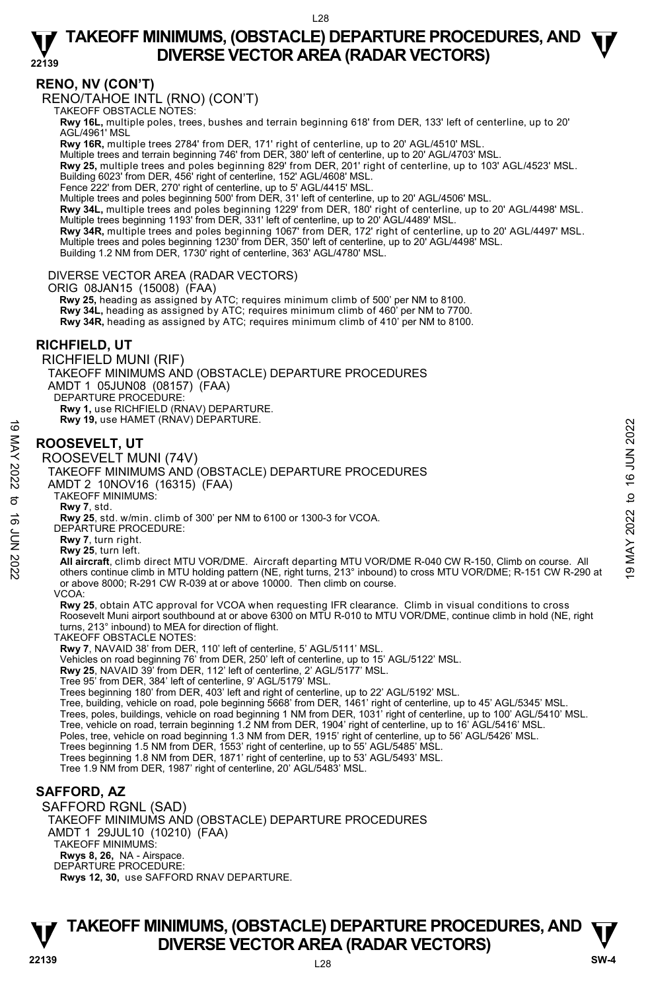**22139** 

# **RENO, NV (CON'T)**

RENO/TAHOE INTL (RNO) (CON'T)

TAKEOFF OBSTACLE NOTES:

**Rwy 16L,** multiple poles, trees, bushes and terrain beginning 618' from DER, 133' left of centerline, up to 20' AGL/4961' MSL

**Rwy 16R,** multiple trees 2784' from DER, 171' right of centerline, up to 20' AGL/4510' MSL.

Multiple trees and terrain beginning 746' from DER, 380' left of centerline, up to 20' AGL/4703' MSL.

**Rwy 25,** multiple trees and poles beginning 829' from DER, 201' right of centerline, up to 103' AGL/4523' MSL. Building 6023' from DER, 456' right of centerline, 152' AGL/4608' MSL.

Fence 222' from DER, 270' right of centerline, up to 5' AGL/4415' MSL.

Multiple trees and poles beginning 500' from DER, 31' left of centerline, up to 20' AGL/4506' MSL.

**Rwy 34L,** multiple trees and poles beginning 1229' from DER, 180' right of centerline, up to 20' AGL/4498' MSL.

Multiple trees beginning 1193' from DER, 331' left of centerline, up to 20' AGL/4489' MSL.<br>**Rwy 34R,** multiple trees and poles beginning 1067' from DER, 172' right of centerline, up to 20' AGL/4497' MSL. Multiple trees and poles beginning 1230' from DER, 350' left of centerline, up to 20' AGL/4498' MSL.

Building 1.2 NM from DER, 1730' right of centerline, 363' AGL/4780' MSL.

#### DIVERSE VECTOR AREA (RADAR VECTORS)

ORIG 08JAN15 (15008) (FAA)

 **Rwy 25,** heading as assigned by ATC; requires minimum climb of 500' per NM to 8100. **Rwy 34L,** heading as assigned by ATC; requires minimum climb of 460' per NM to 7700. **Rwy 34R,** heading as assigned by ATC; requires minimum climb of 410' per NM to 8100.

### **RICHFIELD, UT**

RICHFIELD MUNI (RIF) TAKEOFF MINIMUMS AND (OBSTACLE) DEPARTURE PROCEDURES AMDT 1 05JUN08 (08157) (FAA) DEPARTURE PROCEDURE: **Rwy 1,** use RICHFIELD (RNAV) DEPARTURE. **Rwy 19,** use HAMET (RNAV) DEPARTURE.

# **ROOSEVELT, UT**

ROOSEVELT MUNI (74V) TAKEOFF MINIMUMS AND (OBSTACLE) DEPARTURE PROCEDURES AMDT 2 10NOV16 (16315) (FAA) TAKEOFF MINIMUMS: **Rwy 7**, std. **Rwy 25**, std. w/min. climb of 300' per NM to 6100 or 1300-3 for VCOA. DEPARTURE PROCEDURE: **Rwy 7**, turn right. **Rwy 25**, turn left. **ROOSEVELT, UT**<br>
ROOSEVELT, UT<br>
ROOSEVELT MUNI (74V)<br>
TAKEOFF MINIMUMS AND (OBSTACLE) DEPARTURE PROCEDURES<br>
AND TAKEOFF MINIMUMS AND (OBSTACLE) DEPARTURE PROCEDURES<br>
AND TAKEOFF MINIMUMS:<br>
TAKEOFF MINIMUMS:<br>
TAKEOFF MINIM or above 8000; R-291 CW R-039 at or above 10000. Then climb on course. **VCOA Rwy 25**, obtain ATC approval for VCOA when requesting IFR clearance. Climb in visual conditions to cross Roosevelt Muni airport southbound at or above 6300 on MTU R-010 to MTU VOR/DME, continue climb in hold (NE, right turns, 213° inbound) to MEA for direction of flight. TAKEOFF OBSTACLE NOTES: **Rwy 7**, NAVAID 38' from DER, 110' left of centerline, 5' AGL/5111' MSL. Vehicles on road beginning 76' from DER, 250' left of centerline, up to 15' AGL/5122' MSL. **Rwy 25**, NAVAID 39' from DER, 112' left of centerline, 2' AGL/5177' MSL. Tree 95' from DER, 384' left of centerline, 9' AGL/5179' MSL. Trees beginning 180' from DER, 403' left and right of centerline, up to 22' AGL/5192' MSL. Tree, building, vehicle on road, pole beginning 5668' from DER, 1461' right of centerline, up to 45' AGL/5345' MSL.<br>Trees, poles, buildings, vehicle on road beginning 1 NM from DER, 1031' right of centerline, up to 100' AG Tree, vehicle on road, terrain beginning 1.2 NM from DER, 1904' right of centerline, up to 16' AGL/5416' MSL. Poles, tree, vehicle on road beginning 1.3 NM from DER, 1915' right of centerline, up to 56' AGL/5426' MSL. Trees beginning 1.5 NM from DER, 1553' right of centerline, up to 55' AGL/5485' MSL. Trees beginning 1.8 NM from DER, 1871' right of centerline, up to 53' AGL/5493' MSL. Tree 1.9 NM from DER, 1987' right of centerline, 20' AGL/5483' MSL. **SAFFORD, AZ**  SAFFORD RGNL (SAD) TAKEOFF MINIMUMS AND (OBSTACLE) DEPARTURE PROCEDURES AMDT 1 29JUL10 (10210) (FAA)

- **Rwys 8, 26,** NA Airspace. DEPARTURE PROCEDURE:
- **Rwys 12, 30,** use SAFFORD RNAV DEPARTURE.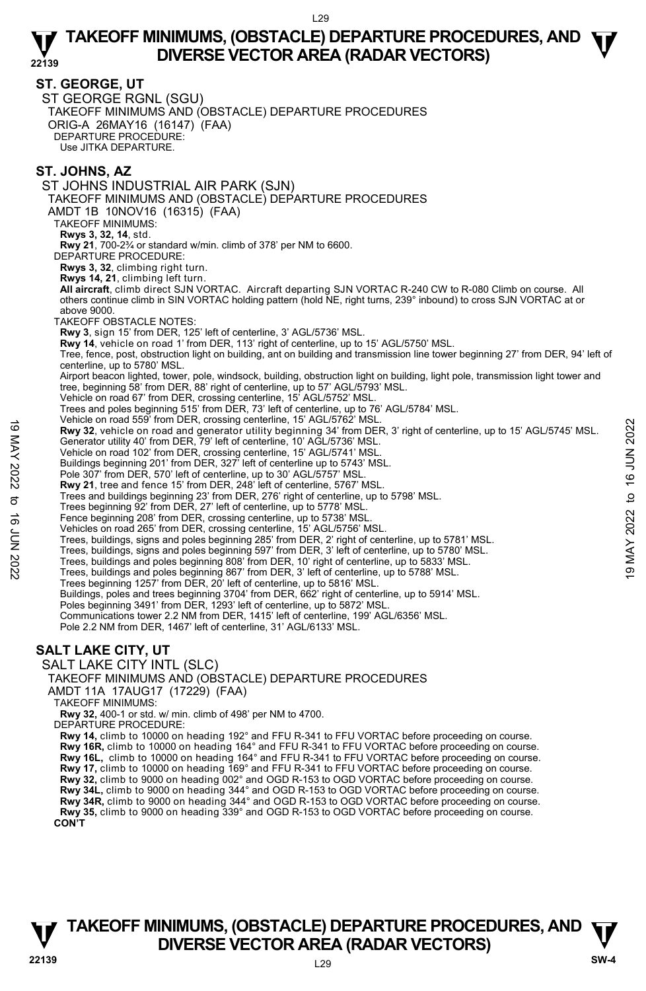#### **ST. GEORGE, UT**

ST GEORGE RGNL (SGU) TAKEOFF MINIMUMS AND (OBSTACLE) DEPARTURE PROCEDURES ORIG-A 26MAY16 (16147) (FAA) DEPARTURE PROCEDURE: Use JITKA DEPARTURE.

### **ST. JOHNS, AZ**

ST JOHNS INDUSTRIAL AIR PARK (SJN) TAKEOFF MINIMUMS AND (OBSTACLE) DEPARTURE PROCEDURES AMDT 1B 10NOV16 (16315) (FAA) TAKEOFF MINIMUMS: **Rwys 3, 32, 14**, std. **Rwy 21**, 700-2¾ or standard w/min. climb of 378' per NM to 6600. DEPARTURE PROCEDURE: **Rwys 3, 32**, climbing right turn. **Rwys 14, 21**, climbing left turn. **All aircraft**, climb direct SJN VORTAC. Aircraft departing SJN VORTAC R-240 CW to R-080 Climb on course. All others continue climb in SIN VORTAC holding pattern (hold NE, right turns, 239° inbound) to cross SJN VORTAC at or above 9000. TAKEOFF OBSTACLE NOTES: **Rwy 3**, sign 15' from DER, 125' left of centerline, 3' AGL/5736' MSL. **Rwy 14**, vehicle on road 1' from DER, 113' right of centerline, up to 15' AGL/5750' MSL. Tree, fence, post, obstruction light on building, ant on building and transmission line tower beginning 27' from DER, 94' left of centerline, up to 5780' MSL. Airport beacon lighted, tower, pole, windsock, building, obstruction light on building, light pole, transmission light tower and<br>tree, beginning 58' from DER, 88' right of centerline, up to 57' AGL/5793' MSL. Vehicle on road 67' from DER, crossing centerline, 15' AGL/5752' MSL. Trees and poles beginning 515' from DER, 73' left of centerline, up to 76' AGL/5784' MSL. Vehicle on road 559' from DER, crossing centerline, 15' AGL/5762' MSL. **Rwy 32**, vehicle on road and generator utility beginning 34' from DER, 3' right of centerline, up to 15' AGL/5745' MSL. Generator utility 40' from DER, 79' left of centerline, 10' AGL/5736' MSL. Vehicle on road 102' from DER, crossing centerline, 15' AGL/5741' MSL. Buildings beginning 201' from DER, 327' left of centerline up to 5743' MSL. Pole 307' from DER, 570' left of centerline, up to 30' AGL/5757' MSL. **Rwy 21**, tree and fence 15' from DER, 248' left of centerline, 5767' MSL. Trees and buildings beginning 23' from DER, 276' right of centerline, up to 5798' MSL. Trees beginning 92' from DER, 27' left of centerline, up to 5778' MSL. Fence beginning 208' from DER, crossing centerline, up to 5738' MSL. Vehicles on road 265' from DER, crossing centerline, 15' AGL/5756' MSL. Trees, buildings, signs and poles beginning 285' from DER, 2' right of centerline, up to 5781' MSL. Trees, buildings, signs and poles beginning 597' from DER, 3' left of centerline, up to 5780' MSL. Trees, buildings and poles beginning 808' from DER, 10' right of centerline, up to 5833' MSL. Trees, buildings and poles beginning 867' from DER, 3' left of centerline, up to 5788' MSL. Trees beginning 1257' from DER, 20' left of centerline, up to 5816' MSL. Buildings, poles and trees beginning 3704' from DER, 662' right of centerline, up to 5914' MSL.<br>Poles beginning 3491' from DER, 1293' left of centerline, up to 5872' MSL. Communications tower 2.2 NM from DER, 1415' left of centerline, 199' AGL/6356' MSL. Pole 2.2 NM from DER, 1467' left of centerline, 31' AGL/6133' MSL. **SALT LAKE CITY, UT**  SALT LAKE CITY INTL (SLC) TAKEOFF MINIMUMS AND (OBSTACLE) DEPARTURE PROCEDURES AMDT 11A 17AUG17 (17229) (FAA) TAKEOFF MINIMUMS: **Rwy 32,** 400-1 or std. w/ min. climb of 498' per NM to 4700. DEPARTURE PROCEDURE: **Rwy 14,** climb to 10000 on heading 192° and FFU R-341 to FFU VORTAC before proceeding on course. **Rwy 16R,** climb to 10000 on heading 164° and FFU R-341 to FFU VORTAC before proceeding on course. **Rwy 16L,** climb to 10000 on heading 164° and FFU R-341 to FFU VORTAC before proceeding on course. **Rwy 17,** climb to 10000 on heading 169° and FFU R-341 to FFU VORTAC before proceeding on course. **Rwy 32,** climb to 9000 on heading 002° and OGD R-153 to OGD VORTAC before proceeding on course. **Rwy 34L,** climb to 9000 on heading 344° and OGD R-153 to OGD VORTAC before proceeding on course. 19 Metric of Total 399 short Detection (19 and 2017 for the Security beginning 34' from DER, 3' right of centerline, up to 15' AGL/5745' MSL.<br>
19 Generator utility 40' from DER, 79' left of centerline, 10' AGL/5736' MSL.<br>

**Rwy 35,** climb to 9000 on heading 339° and OGD R-153 to OGD VORTAC before proceeding on course. **CON'T** 



**Rwy 34R,** climb to 9000 on heading 344° and OGD R-153 to OGD VORTAC before proceeding on course.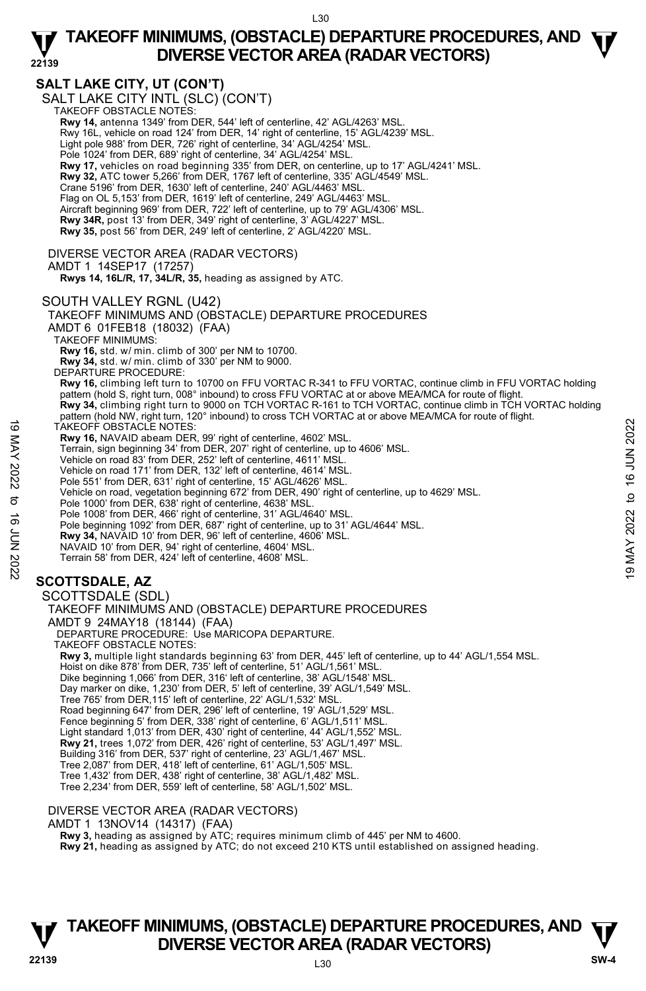# **SALT LAKE CITY, UT (CON'T)**

SALT LAKE CITY INTL (SLC)<sup>(</sup>CON'T)<br>TAKEOFF OBSTACLE NOTES: **Rwy 14,** antenna 1349' from DER, 544' left of centerline, 42' AGL/4263' MSL. Rwy 16L, vehicle on road 124' from DER, 14' right of centerline, 15' AGL/4239' MSL. Light pole 988' from DER, 726' right of centerline, 34' AGL/4254' MSL. Pole 1024' from DER, 689' right of centerline, 34' AGL/4254' MSL **Rwy 17,** vehicles on road beginning 335' from DER, on centerline, up to 17' AGL/4241' MSL. **Rwy 32,** ATC tower 5,266' from DER, 1767 left of centerline, 335' AGL/4549' MSL. Crane 5196' from DER, 1630' left of centerline, 240' AGL/4463' MSL. Flag on OL 5,153' from DER, 1619' left of centerline, 249' AGL/4463' MSL Aircraft beginning 969' from DER, 722' left of centerline, up to 79' AGL/4306' MSL. **Rwy 34R,** post 13' from DER, 349' right of centerline, 3' AGL/4227' MSL. **Rwy 35,** post 56' from DER, 249' left of centerline, 2' AGL/4220' MSL. DIVERSE VECTOR AREA (RADAR VECTORS) AMDT 1 14SEP17 (17257)  **Rwys 14, 16L/R, 17, 34L/R, 35,** heading as assigned by ATC. SOUTH VALLEY RGNL (U42) TAKEOFF MINIMUMS AND (OBSTACLE) DEPARTURE PROCEDURES AMDT 6 01FEB18 (18032) (FAA) TAKEOFF MINIMUMS: **Rwy 16,** std. w/ min. climb of 300' per NM to 10700. **Rwy 34,** std. w/ min. climb of 330' per NM to 9000. DEPARTURE PROCEDURE: **Rwy 16,** climbing left turn to 10700 on FFU VORTAC R-341 to FFU VORTAC, continue climb in FFU VORTAC holding pattern (hold S, right turn, 008° inbound) to cross FFU VORTAC at or above MEA/MCA for route of flight. **Rwy 34,** climbing right turn to 9000 on TCH VORTAC R-161 to TCH VORTAC, continue climb in TCH VORTAC holding pattern (hold NW, right turn, 120° inbound) to cross TCH VORTAC at or above MEA/MCA for route of flight. TAKEOFF OBSTACLE NOTES: **Rwy 16,** NAVAID abeam DER, 99' right of centerline, 4602' MSL. Terrain, sign beginning 34' from DER, 207' right of centerline, up to 4606' MSL. Vehicle on road 83' from DER, 252' left of centerline, 4611' MSL. Vehicle on road 171' from DER, 132' left of centerline, 4614' MSL. Pole 551' from DER, 631' right of centerline, 15' AGL/4626' MSL Vehicle on road, vegetation beginning 672' from DER, 490' right of centerline, up to 4629' MSL. Pole 1000' from DER, 638' right of centerline, 4638' MSL. Pole 1008' from DER, 466' right of centerline, 31' AGL/4640' MSL. Pole beginning 1092' from DER, 687' right of centerline, up to 31' AGL/4644' MSL.<br>**Rwy 34,** NAVAID 10' from DER, 96' left of centerline, 4606' MSL. NAVAID 10' from DER, 94' right of centerline, 4604' MSL. Terrain 58' from DER, 424' left of centerline, 4608' MSL. **SCOTTSDALE, AZ**  SCOTTSDALE (SDL) TAKEOFF MINIMUMS AND (OBSTACLE) DEPARTURE PROCEDURES AMDT 9 24MAY18 (18144) (FAA) DEPARTURE PROCEDURE: Use MARICOPA DEPARTURE. TAKEOFF OBSTACLE NOTES: **Rwy 3,** multiple light standards beginning 63' from DER, 445' left of centerline, up to 44' AGL/1,554 MSL. Hoist on dike 878' from DER, 735' left of centerline, 51' AGL/1,561' MSL Dike beginning 1,066' from DER, 316' left of centerline, 38' AGL/1548' MSL. Day marker on dike, 1,230' from DER, 5' left of centerline, 39' AGL/1,549' MSL. Tree 765' from DER,115' left of centerline, 22' AGL/1,532' MSL. Road beginning 647' from DER, 296' left of centerline, 19' AGL/1,529' MSL. Fence beginning 5' from DER, 338' right of centerline, 6' AGL/1,511' MSL. Light standard 1,013' from DER, 430' right of centerline, 44' AGL/1,552' MSL. **Rwy 21,** trees 1,072' from DER, 426' right of centerline, 53' AGL/1,497' MSL. Building 316' from DER, 537' right of centerline, 23' AGL/1,467' MSL. Tree 2,087' from DER, 418' left of centerline, 61' AGL/1,505' MSL. Tree 1,432' from DER, 438' right of centerline, 38' AGL/1,482' MSL. Tree 2,234' from DER, 559' left of centerline, 58' AGL/1,502' MSL. DIVERSE VECTOR AREA (RADAR VECTORS) TAKEOFF OBSTACLE NOTES:<br> **EVALUE ANVIGED ASSET AND A SUPPRENT AND A SUPPRENT AND A SUPPRENT AND A SUPPRENT OF A SUPPRENT OF A SUPPRENT OF A SUPPRENT OF A SUPPRENT OF A SUPPRENT OF A SUPPRENT OF A SUPPRENT OF A SUPPRENT OF** 

- AMDT 1 13NOV14 (14317) (FAA)
	- **Rwy 3,** heading as assigned by ATC; requires minimum climb of 445' per NM to 4600.

**Rwy 21,** heading as assigned by ATC; do not exceed 210 KTS until established on assigned heading.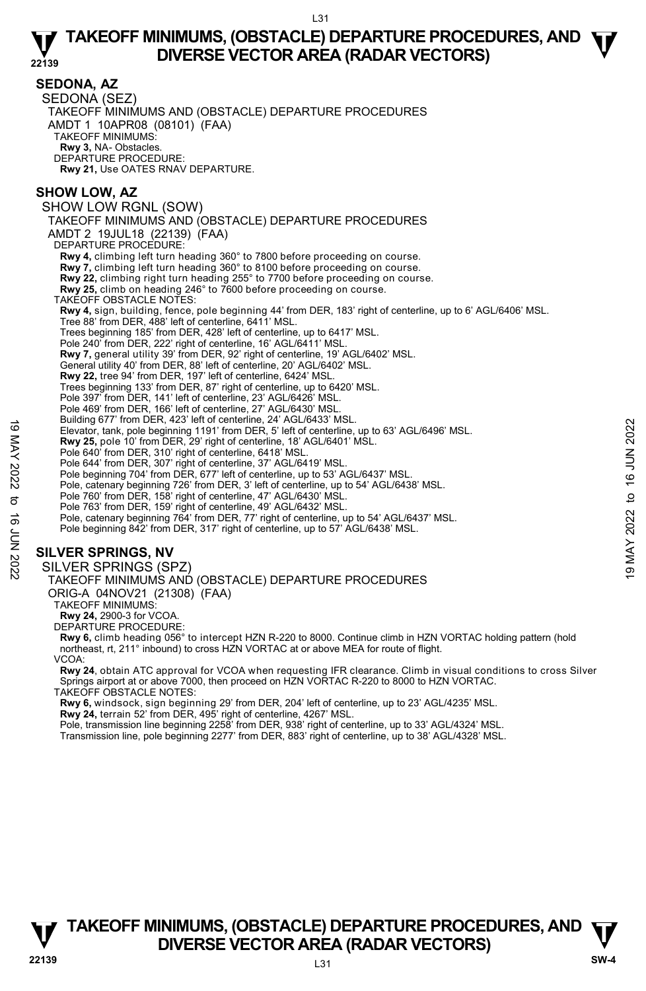#### **SEDONA, AZ**  SEDONA (SEZ) TAKEOFF MINIMUMS AND (OBSTACLE) DEPARTURE PROCEDURES AMDT 1 10APR08 (08101) (FAA) TAKEOFF MINIMUMS: **Rwy 3,** NA- Obstacles. DEPARTURE PROCEDURE: **Rwy 21,** Use OATES RNAV DEPARTURE. **SHOW LOW, AZ**  SHOW LOW RGNL (SOW) TAKEOFF MINIMUMS AND (OBSTACLE) DEPARTURE PROCEDURES AMDT 2 19JUL18 (22139) (FAA) DEPARTURE PROCEDURE: **Rwy 4,** climbing left turn heading 360° to 7800 before proceeding on course. **Rwy 7,** climbing left turn heading 360° to 8100 before proceeding on course. **Rwy 22,** climbing right turn heading 255° to 7700 before proceeding on course. **Rwy 25,** climb on heading 246° to 7600 before proceeding on course. TAKEOFF OBSTACLE NOTES: **Rwy 4,** sign, building, fence, pole beginning 44' from DER, 183' right of centerline, up to 6' AGL/6406' MSL. Tree 88' from DER, 488' left of centerline, 6411' MSL. Trees beginning 185' from DER, 428' left of centerline, up to 6417' MSL. Pole 240' from DER, 222' right of centerline, 16' AGL/6411' MSL. **Rwy 7,** general utility 39' from DER, 92' right of centerline, 19' AGL/6402' MSL. General utility 40' from DER, 88' left of centerline, 20' AGL/6402' MSL. **Rwy 22,** tree 94' from DER, 197' left of centerline, 6424' MSL. Trees beginning 133' from DER, 87' right of centerline, up to 6420' MSL. Pole 397' from DER, 141' left of centerline, 23' AGL/6426' MSL. Pole 469' from DER, 166' left of centerline, 27' AGL/6430' MSL Building 677' from DER, 423' left of centerline, 24' AGL/6433' MSL. Elevator, tank, pole beginning 1191' from DER, 5' left of centerline, up to 63' AGL/6496' MSL. **Rwy 25,** pole 10' from DER, 29' right of centerline, 18' AGL/6401' MSL. Pole 640' from DER, 310' right of centerline, 6418' MSL. Pole 644' from DER, 307' right of centerline, 37' AGL/6419' MSL. Pole beginning 704' from DER, 677' left of centerline, up to 53' AGL/6437' MSL. Pole, catenary beginning 726' from DER, 3' left of centerline, up to 54' AGL/6438' MSL.<br>Pole 760' from DER, 158' right of centerline, 47' AGL/6432' MSL.<br>Pole 763' from DER, 159' right of centerline, 49' AGL/6432' MSL. Pole, catenary beginning 764' from DER, 77' right of centerline, up to 54' AGL/6437' MSL. Pole beginning 842' from DER, 317' right of centerline, up to 57' AGL/6438' MSL. **SILVER SPRINGS, NV**  SILVER SPRINGS (SPZ) TAKEOFF MINIMUMS AND (OBSTACLE) DEPARTURE PROCEDURES Elevator, tank, pole beginning 191 from DER, 5' elst of centerline, up to 63' AGL/6496' MSL.<br> **Elevator**, tank, pole beginning 1191' from DER, 5' left of centerline, up to 63' AGL/6496' MSL.<br> **Pole 644' from DER, 30'** rig

ORIG-A 04NOV21 (21308) (FAA)

TAKEOFF MINIMUMS:

**Rwy 24,** 2900-3 for VCOA.

DEPARTURE PROCEDURE:

**Rwy 6,** climb heading 056° to intercept HZN R-220 to 8000. Continue climb in HZN VORTAC holding pattern (hold northeast, rt, 211° inbound) to cross HZN VORTAC at or above MEA for route of flight. VCOA:

**Rwy 24**, obtain ATC approval for VCOA when requesting IFR clearance. Climb in visual conditions to cross Silver<br>Springs airport at or above 7000, then proceed on HZN VORTAC R-220 to 8000 to HZN VORTAC.

TAKEOFF OBSTACLE NOTES:

**Rwy 6,** windsock, sign beginning 29' from DER, 204' left of centerline, up to 23' AGL/4235' MSL. **Rwy 24,** terrain 52' from DER, 495' right of centerline, 4267' MSL.

Pole, transmission line beginning 2258' from DER, 938' right of centerline, up to 33' AGL/4324' MSL. Transmission line, pole beginning 2277' from DER, 883' right of centerline, up to 38' AGL/4328' MSL.

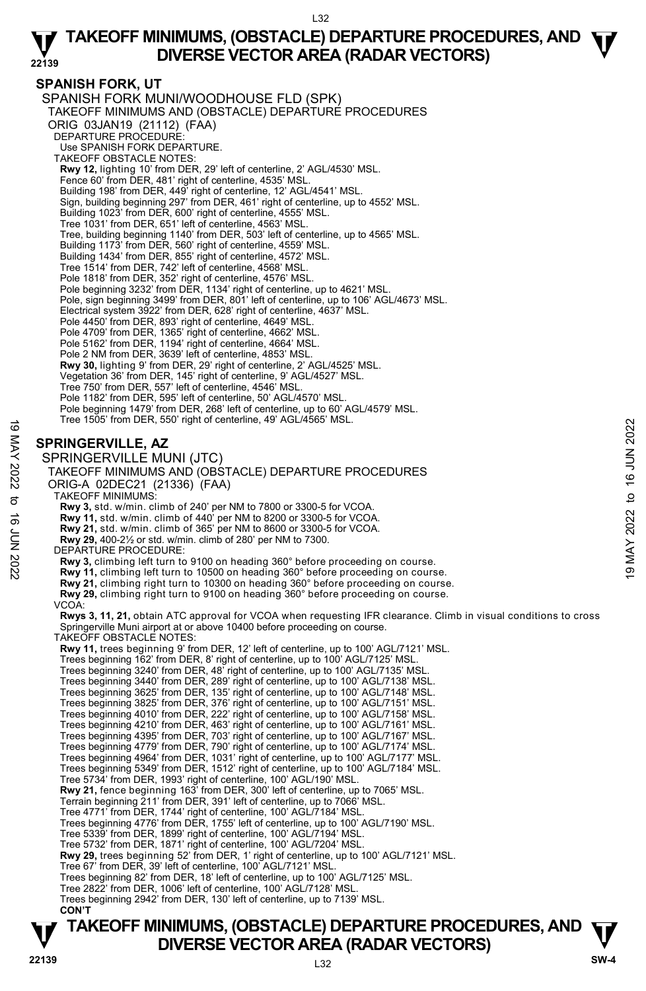### **SPANISH FORK, UT**

SPANISH FORK MUNI/WOODHOUSE FLD (SPK) TAKEOFF MINIMUMS AND (OBSTACLE) DEPARTURE PROCEDURES ORIG 03JAN19 (21112) (FAA) DEPARTURE PROCEDURE: Use SPANISH FORK DEPARTURE. TAKEOFF OBSTACLE NOTES: **Rwy 12,** lighting 10' from DER, 29' left of centerline, 2' AGL/4530' MSL. Fence 60' from DER, 481' right of centerline, 4535' MSL. Building 198' from DER, 449' right of centerline, 12' AGL/4541' MSL. Sign, building beginning 297' from DER, 461' right of centerline, up to 4552' MSL. Building 1023' from DER, 600' right of centerline, 4555' MSL. Tree 1031' from DER, 651' left of centerline, 4563' MSL. Tree, building beginning 1140' from DER, 503' left of centerline, up to 4565' MSL. Building 1173' from DER, 560' right of centerline, 4559' MSL. Building 1434' from DER, 855' right of centerline, 4572' MSL. Tree 1514' from DER, 742' left of centerline, 4568' MSL. Pole 1818' from DER, 352' right of centerline, 4576' MSL. Pole beginning 3232' from DER, 1134' right of centerline, up to 4621' MSL. Pole, sign beginning 3499' from DER, 801' left of centerline, up to 106' AGL/4673' MSL.<br>Electrical system 3922' from DER, 628' right of centerline, 4637' MSL. Pole 4450' from DER, 893' right of centerline, 4649' MSL. Pole 4709' from DER, 1365' right of centerline, 4662' MSL. Pole 5162' from DER, 1194' right of centerline, 4664' MSL. Pole 2 NM from DER, 3639' left of centerline, 4853' MSL. **Rwy 30,** lighting 9' from DER, 29' right of centerline, 2' AGL/4525' MSL. Vegetation 36' from DER, 145' right of centerline, 9' AGL/4527' MSL. Tree 750' from DER, 557' left of centerline, 4546' MSL. Pole 1182' from DER, 595' left of centerline, 50' AGL/4570' MSL Pole beginning 1479' from DER, 268' left of centerline, up to 60' AGL/4579' MSL. Tree 1505' from DER, 550' right of centerline, 49' AGL/4565' MSL. **SPRINGERVILLE, AZ**  SPRINGERVILLE MUNI (JTC) TAKEOFF MINIMUMS AND (OBSTACLE) DEPARTURE PROCEDURES ORIG-A 02DEC21 (21336) (FAA) TAKEOFF MINIMUMS: **Rwy 3,** std. w/min. climb of 240' per NM to 7800 or 3300-5 for VCOA. **Rwy 11,** std. w/min. climb of 440' per NM to 8200 or 3300-5 for VCOA. **Rwy 21,** std. w/min. climb of 365' per NM to 8600 or 3300-5 for VCOA. **Rwy 29,** 400-2½ or std. w/min. climb of 280' per NM to 7300. DEPARTURE PROCEDURE: **Rwy 3,** climbing left turn to 9100 on heading 360° before proceeding on course.  **Rwy 11,** climbing left turn to 10500 on heading 360° before proceeding on course.  **Rwy 21,** climbing right turn to 10300 on heading 360° before proceeding on course. **Rwy 29,** climbing right turn to 9100 on heading 360° before proceeding on course. VCOA: **Rwys 3, 11, 21,** obtain ATC approval for VCOA when requesting IFR clearance. Climb in visual conditions to cross Springerville Muni airport at or above 10400 before proceeding on course. TAKEOFF OBSTACLE NOTES: **Rwy 11,** trees beginning 9' from DER, 12' left of centerline, up to 100' AGL/7121' MSL. Trees beginning 162' from DER, 8' right of centerline, up to 100' AGL/7125' MSL. Trees beginning 3240' from DER, 48' right of centerline, up to 100' AGL/7135' MSL. Trees beginning 3440' from DER, 289' right of centerline, up to 100' AGL/7138' MSL. Trees beginning 3625' from DER, 135' right of centerline, up to 100' AGL/7148' MSL. Trees beginning 3825' from DER, 376' right of centerline, up to 100' AGL/7151' MSL. Trees beginning 4010' from DER, 222' right of centerline, up to 100' AGL/7158' MSL. Trees beginning 4210' from DER, 463' right of centerline, up to 100' AGL/7161' MSL. Trees beginning 4395' from DER, 703' right of centerline, up to 100' AGL/7167' MSL. Trees beginning 4779' from DER, 790' right of centerline, up to 100' AGL/7174' MSL. Trees beginning 4964' from DER, 1031' right of centerline, up to 100' AGL/7177' MSL. Trees beginning 5349' from DER, 1512' right of centerline, up to 100' AGL/7184' MSL. Tree 5734' from DER, 1993' right of centerline, 100' AGL/190' MSL. **Rwy 21,** fence beginning 163' from DER, 300' left of centerline, up to 7065' MSL. Terrain beginning 211' from DER, 391' left of centerline, up to 7066' MSL. Tree 4771' from DER, 1744' right of centerline, 100' AGL/7184' MSL. Trees beginning 4776' from DER, 1755' left of centerline, up to 100' AGL/7190' MSL. Tree 5339' from DER, 1899' right of centerline, 100' AGL/7194' MSL. Tree 5732' from DER, 1871' right of centerline, 100' AGL/7204' MSL. **Rwy 29,** trees beginning 52' from DER, 1' right of centerline, up to 100' AGL/7121' MSL.<br>Tree 67' from DER, 39' left of centerline, 100' AGL/7121' MSL. 19 MAY 2022 to 16 JUN 202219 MAY 2022 to 16 JUN 2022

- Tree 2822' from DER, 1006' left of centerline, 100' AGL/7128' MSL. Trees beginning 2942' from DER, 130' left of centerline, up to 7139' MSL.
- **CON'T**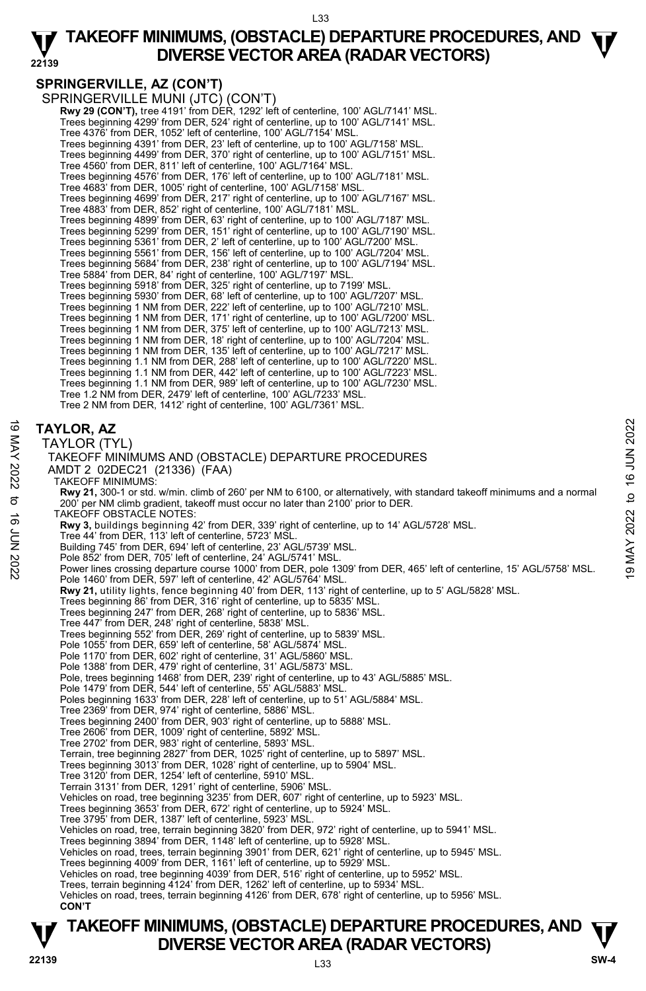# **SPRINGERVILLE, AZ (CON'T)**

SPRINGERVILLE MUNI (JTC) (CON'T) **Rwy 29 (CON'T),** tree 4191' from DER, 1292' left of centerline, 100' AGL/7141' MSL. Trees beginning 4299' from DER, 524' right of centerline, up to 100' AGL/7141' MSL. Tree 4376' from DER, 1052' left of centerline, 100' AGL/7154' MSL. Trees beginning 4391' from DER, 23' left of centerline, up to 100' AGL/7158' MSL. Trees beginning 4499' from DER, 370' right of centerline, up to 100' AGL/7151' MSL. Tree 4560' from DER, 811' left of centerline, 100' AGL/7164' MSL. Trees beginning 4576' from DER, 176' left of centerline, up to 100' AGL/7181' MSL. Tree 4683' from DER, 1005' right of centerline, 100' AGL/7158' MSL. Trees beginning 4699' from DER, 217' right of centerline, up to 100' AGL/7167' MSL. Tree 4883' from DER, 852' right of centerline, 100' AGL/7181' MSL. Trees beginning 4899' from DER, 63' right of centerline, up to 100' AGL/7187' MSL. Trees beginning 5299' from DER, 151' right of centerline, up to 100' AGL/7190' MSL. Trees beginning 5361' from DER, 2' left of centerline, up to 100' AGL/7200' MSL. Trees beginning 5561' from DER, 156' left of centerline, up to 100' AGL/7204' MSL. Trees beginning 5684' from DER, 238' right of centerline, up to 100' AGL/7194' MSL. Tree 5884' from DER, 84' right of centerline, 100' AGL/7197' MSL. Trees beginning 5918' from DER, 325' right of centerline, up to 7199' MSL. Trees beginning 5930' from DER, 68' left of centerline, up to 100' AGL/7207' MSL. Trees beginning 1 NM from DER, 222' left of centerline, up to 100' AGL/7210' MSL. Trees beginning 1 NM from DER, 171' right of centerline, up to 100' AGL/7200' MSL. Trees beginning 1 NM from DER, 375' left of centerline, up to 100' AGL/7213' MSL. Trees beginning 1 NM from DER, 18' right of centerline, up to 100' AGL/7204' MSL. Trees beginning 1 NM from DER, 135' left of centerline, up to 100' AGL/7217' MSL. Trees beginning 1.1 NM from DER, 288' left of centerline, up to 100' AGL/7220' MSL. Trees beginning 1.1 NM from DER, 442' left of centerline, up to 100' AGL/7223' MSL. Trees beginning 1.1 NM from DER, 989' left of centerline, up to 100' AGL/7230' MSL. Tree 1.2 NM from DER, 2479' left of centerline, 100' AGL/7233' MSL. Tree 2 NM from DER, 1412' right of centerline, 100' AGL/7361' MSL.

# **TAYLOR, AZ**

| ಠ       | 2022<br><b>TAYLOR, AZ</b>                                                                                                                                                                       |
|---------|-------------------------------------------------------------------------------------------------------------------------------------------------------------------------------------------------|
| NAY     | TAYLOR (TYL)                                                                                                                                                                                    |
|         | <b>NUL 91</b><br>TAKEOFF MINIMUMS AND (OBSTACLE) DEPARTURE PROCEDURES                                                                                                                           |
| 2022    | AMDT 2 02DEC21 (21336) (FAA)                                                                                                                                                                    |
|         | <b>TAKEOFF MINIMUMS:</b>                                                                                                                                                                        |
|         | Rwy 21, 300-1 or std. w/min. climb of 260' per NM to 6100, or alternatively, with standard takeoff minimums and a normal                                                                        |
| ಕ       | $\overline{c}$<br>200' per NM climb gradient, takeoff must occur no later than 2100' prior to DER.                                                                                              |
| ಕ       | 2022<br><b>TAKEOFF OBSTACLE NOTES:</b>                                                                                                                                                          |
|         | Rwy 3, buildings beginning 42' from DER, 339' right of centerline, up to 14' AGL/5728' MSL.                                                                                                     |
|         | Tree 44' from DER, 113' left of centerline, 5723' MSL.                                                                                                                                          |
| 2202 NN | <b>MAY</b><br>Building 745' from DER, 694' left of centerline, 23' AGL/5739' MSL.                                                                                                               |
|         | Pole 852' from DER, 705' left of centerline, 24' AGL/5741' MSL.                                                                                                                                 |
|         | Power lines crossing departure course 1000' from DER, pole 1309' from DER, 465' left of centerline, 15' AGL/5758' MSL.<br>တ<br>Pole 1460' from DER, 597' left of centerline, 42' AGL/5764' MSL. |
|         | Rwy 21, utility lights, fence beginning 40' from DER, 113' right of centerline, up to 5' AGL/5828' MSL.                                                                                         |
|         | Trees beginning 86' from DER, 316' right of centerline, up to 5835' MSL.                                                                                                                        |
|         | Trees beginning 247' from DER, 268' right of centerline, up to 5836' MSL.                                                                                                                       |
|         | Tree 447' from DER, 248' right of centerline, 5838' MSL.                                                                                                                                        |
|         | Trees beginning 552' from DER, 269' right of centerline, up to 5839' MSL.                                                                                                                       |
|         | Pole 1055' from DER, 659' left of centerline, 58' AGL/5874' MSL.                                                                                                                                |
|         | Pole 1170' from DER, 602' right of centerline, 31' AGL/5860' MSL.<br>Pole 1388' from DER, 479' right of centerline, 31' AGL/5873' MSL.                                                          |
|         | Pole, trees beginning 1468' from DER, 239' right of centerline, up to 43' AGL/5885' MSL.                                                                                                        |
|         | Pole 1479' from DER, 544' left of centerline, 55' AGL/5883' MSL.                                                                                                                                |
|         | Poles beginning 1633' from DER, 228' left of centerline, up to 51' AGL/5884' MSL.                                                                                                               |
|         | Tree 2369' from DER, 974' right of centerline, 5886' MSL.                                                                                                                                       |
|         | Trees beginning 2400' from DER, 903' right of centerline, up to 5888' MSL.                                                                                                                      |
|         | Tree 2606' from DER, 1009' right of centerline, 5892' MSL.                                                                                                                                      |
|         | Tree 2702' from DER, 983' right of centerline, 5893' MSL.                                                                                                                                       |
|         | Terrain, tree beginning 2827' from DER, 1025' right of centerline, up to 5897' MSL.<br>Trees beginning 3013' from DER, 1028' right of centerline, up to 5904' MSL.                              |
|         | Tree 3120' from DER, 1254' left of centerline, 5910' MSL.                                                                                                                                       |
|         | Terrain 3131' from DER, 1291' right of centerline, 5906' MSL.                                                                                                                                   |
|         | Vehicles on road, tree beginning 3235' from DER, 607' right of centerline, up to 5923' MSL.                                                                                                     |
|         | Trees beginning 3653' from DER, 672' right of centerline, up to 5924' MSL.                                                                                                                      |
|         | Tree 3795' from DER, 1387' left of centerline, 5923' MSL.                                                                                                                                       |
|         | Vehicles on road, tree, terrain beginning 3820' from DER, 972' right of centerline, up to 5941' MSL.                                                                                            |
|         | Trees beginning 3894' from DER, 1148' left of centerline, up to 5928' MSL.                                                                                                                      |
|         | Vehicles on road, trees, terrain beginning 3901' from DER, 621' right of centerline, up to 5945' MSL.<br>Trees beginning 4009' from DER, 1161' left of centerline, up to 5929' MSL.             |
|         | Vehicles on road, tree beginning 4039' from DER, 516' right of centerline, up to 5952' MSL.                                                                                                     |
|         | Trees, terrain beginning 4124' from DER, 1262' left of centerline, up to 5934' MSL.                                                                                                             |
|         | Vehicles on road, trees, terrain beginning 4126' from DER, 678' right of centerline, up to 5956' MSL.                                                                                           |
|         | <b>CON'T</b>                                                                                                                                                                                    |
|         |                                                                                                                                                                                                 |

# **TAKEOFF MINIMUMS, (OBSTACLE) DEPARTURE PROCEDURES, AND**  $\Psi$ **<br>DIVERSE VECTOR AREA (RADAR VECTORS) DIVERSE VECTOR AREA (RADAR VECTORS) 22139 SW-4**

L33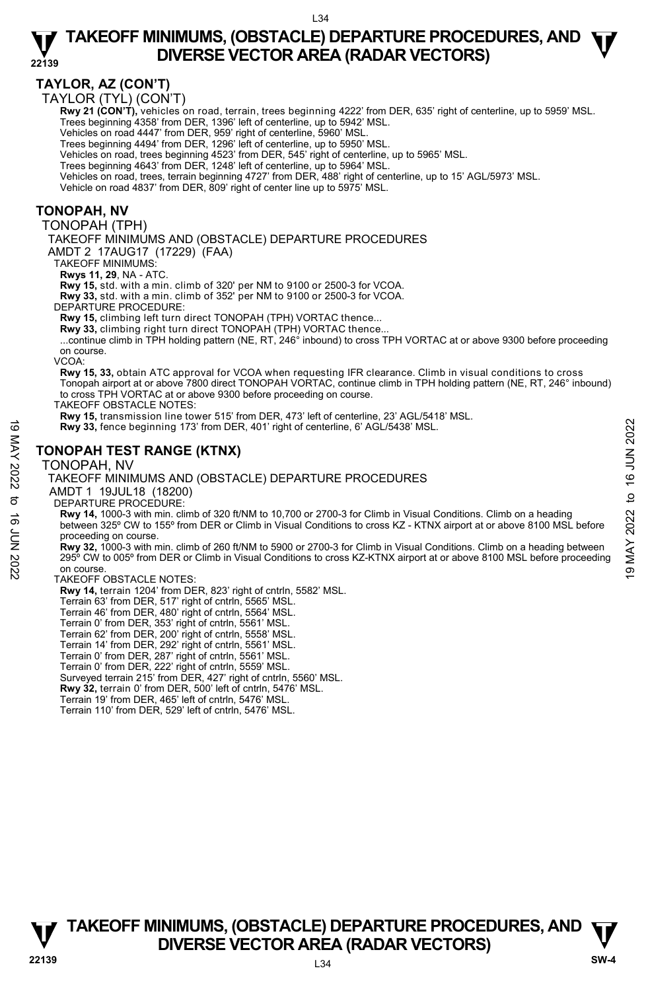# **TAYLOR, AZ (CON'T)**

TAYLOR (TYL) (CON'T)

Rwy 21 (CON'T), vehicles on road, terrain, trees beginning 4222' from DER, 635' right of centerline, up to 5959' MSL. Trees beginning 4358' from DER, 1396' left of centerline, up to 5942' MSL.

Vehicles on road 4447' from DER, 959' right of centerline, 5960' MSL.

Trees beginning 4494' from DER, 1296' left of centerline, up to 5950' MSL. Vehicles on road, trees beginning 4523' from DER, 545' right of centerline, up to 5965' MSL.

Trees beginning 4643' from DER, 1248' left of centerline, up to 5964' MSL.

Vehicles on road, trees, terrain beginning 4727' from DER, 488' right of centerline, up to 15' AGL/5973' MSL.

Vehicle on road 4837' from DER, 809' right of center line up to 5975' MSL.

#### **TONOPAH, NV**

TONOPAH (TPH)

TAKEOFF MINIMUMS AND (OBSTACLE) DEPARTURE PROCEDURES

AMDT 2 17AUG17 (17229) (FAA)

TAKEOFF MINIMUMS:

**Rwys 11, 29**, NA - ATC.

**Rwy 15,** std. with a min. climb of 320' per NM to 9100 or 2500-3 for VCOA.

**Rwy 33,** std. with a min. climb of 352' per NM to 9100 or 2500-3 for VCOA. DEPARTURE PROCEDURE:

**Rwy 15,** climbing left turn direct TONOPAH (TPH) VORTAC thence...

**Rwy 33,** climbing right turn direct TONOPAH (TPH) VORTAC thence...

...continue climb in TPH holding pattern (NE, RT, 246 $^{\circ}$  inbound) to cross TPH VORTAC at or above 9300 before proceeding on course.

VCOA:

**Rwy 15, 33,** obtain ATC approval for VCOA when requesting IFR clearance. Climb in visual conditions to cross Tonopah airport at or above 7800 direct TONOPAH VORTAC, continue climb in TPH holding pattern (NE, RT, 246° inbound) to cross TPH VORTAC at or above 9300 before proceeding on course.

TAKEOFF OBSTACLE NOTES:

**Rwy 15,** transmission line tower 515' from DER, 473' left of centerline, 23' AGL/5418' MSL.

**Rwy 33,** fence beginning 173' from DER, 401' right of centerline, 6' AGL/5438' MSL.

#### **TONOPAH TEST RANGE (KTNX)**

TONOPAH, NV

#### TAKEOFF MINIMUMS AND (OBSTACLE) DEPARTURE PROCEDURES

AMDT 1 19JUL18 (18200)

DEPARTURE PROCEDURE:

**Rwy 14,** 1000-3 with min. climb of 320 ft/NM to 10,700 or 2700-3 for Climb in Visual Conditions. Climb on a heading between 325º CW to 155º from DER or Climb in Visual Conditions to cross KZ - KTNX airport at or above 8100 MSL before proceeding on course. **19 MAY 33, fence beginning 173' from DER, 401' right of centerline, 6' AGL/5438' MSL.**<br> **19 MAY 2022 TONOPAH, NV**<br> **19 MAY 19 MAY 2022 TONOPAH, NV**<br> **19 MAY 19 MAY 19 MAY 19 MAY 19 MAY 19 MAY 19 MAY 19 MAY 19 MAY 19 MAY** 

**Rwy 32,** 1000-3 with min. climb of 260 ft/NM to 5900 or 2700-3 for Climb in Visual Conditions. Climb on a heading between 295º CW to 005º from DER or Climb in Visual Conditions to cross KZ-KTNX airport at or above 8100 MSL before proceeding on course.

#### TAKEOFF OBSTACLE NOTES:

**Rwy 14,** terrain 1204' from DER, 823' right of cntrln, 5582' MSL.

Terrain 63' from DER, 517' right of cntrln, 5565' MSL. Terrain 46' from DER, 480' right of cntrln, 5564' MSL.

Terrain 0' from DER, 353' right of cntrln, 5561' MSL.

Terrain 62' from DER, 200' right of cntrln, 5558' MSL. Terrain 14' from DER, 292' right of cntrln, 5561' MSL.

Terrain 0' from DER, 287' right of cntrln, 5561' MSL.

Terrain 0' from DER, 222' right of cntrln, 5559' MSL. Surveyed terrain 215' from DER, 427' right of cntrln, 5560' MSL.

**Rwy 32,** terrain 0' from DER, 500' left of cntrln, 5476' MSL.

Terrain 19' from DER, 465' left of cntrln, 5476' MSL.

Terrain 110' from DER, 529' left of cntrln, 5476' MSL.

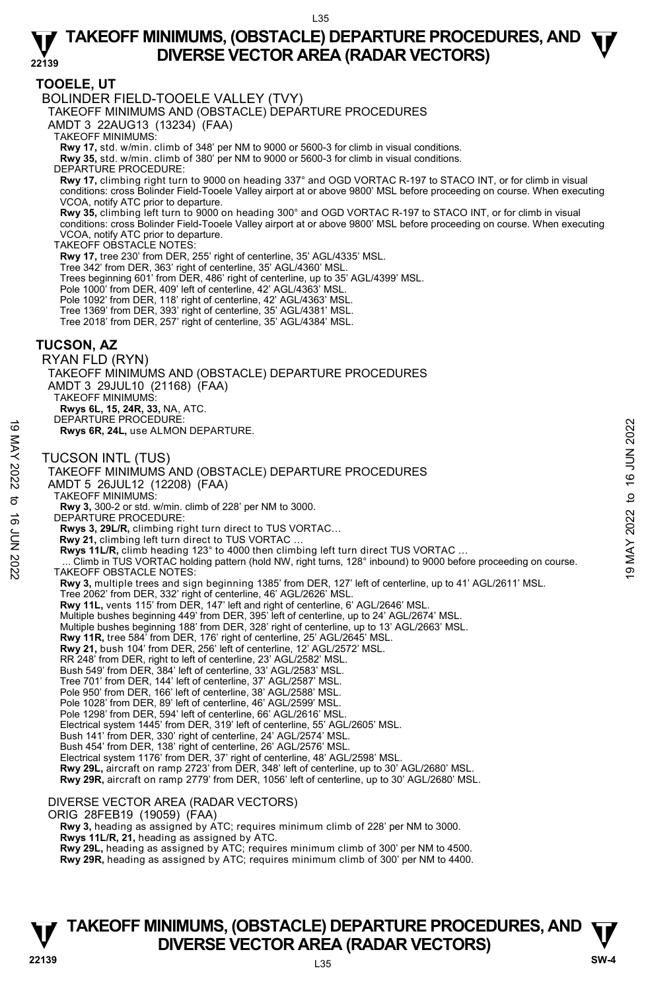### **TOOELE, UT**

BOLINDER FIELD-TOOELE VALLEY (TVY)

TAKEOFF MINIMUMS AND (OBSTACLE) DEPARTURE PROCEDURES

AMDT 3 22AUG13 (13234) (FAA)

TAKEOFF MINIMUMS:

**Rwy 17,** std. w/min. climb of 348' per NM to 9000 or 5600-3 for climb in visual conditions. **Rwy 35,** std. w/min. climb of 380' per NM to 9000 or 5600-3 for climb in visual conditions.

DEPARTURE PROCEDURE:

**Rwy 17,** climbing right turn to 9000 on heading 337° and OGD VORTAC R-197 to STACO INT, or for climb in visual conditions: cross Bolinder Field-Tooele Valley airport at or above 9800' MSL before proceeding on course. When executing VCOA, notify ATC prior to departure.

**Rwy 35,** climbing left turn to 9000 on heading 300° and OGD VORTAC R-197 to STACO INT, or for climb in visual conditions: cross Bolinder Field-Tooele Valley airport at or above 9800' MSL before proceeding on course. When executing VCOA, notify ATC prior to departure.

TAKEOFF OBSTACLE NOTES:

**Rwy 17,** tree 230' from DER, 255' right of centerline, 35' AGL/4335' MSL.

Tree 342' from DER, 363' right of centerline, 35' AGL/4360' MSL.

Trees beginning 601' from DER, 486' right of centerline, up to 35' AGL/4399' MSL.

Pole 1000' from DER, 409' left of centerline, 42' AGL/4363' MSL.

Pole 1092' from DER, 118' right of centerline, 42' AGL/4363' MSL. Tree 1369' from DER, 393' right of centerline, 35' AGL/4381' MSL.

Tree 2018' from DER, 257' right of centerline, 35' AGL/4384' MSL.

### **TUCSON, AZ**

RYAN FLD (RYN) TAKEOFF MINIMUMS AND (OBSTACLE) DEPARTURE PROCEDURES AMDT 3 29JUL10 (21168) (FAA) TAKEOFF MINIMUMS: **Rwys 6L, 15, 24R, 33,** NA, ATC. DEPARTURE PROCEDURE:

**Rwys 6R, 24L,** use ALMON DEPARTURE.

TUCSON INTL (TUS)

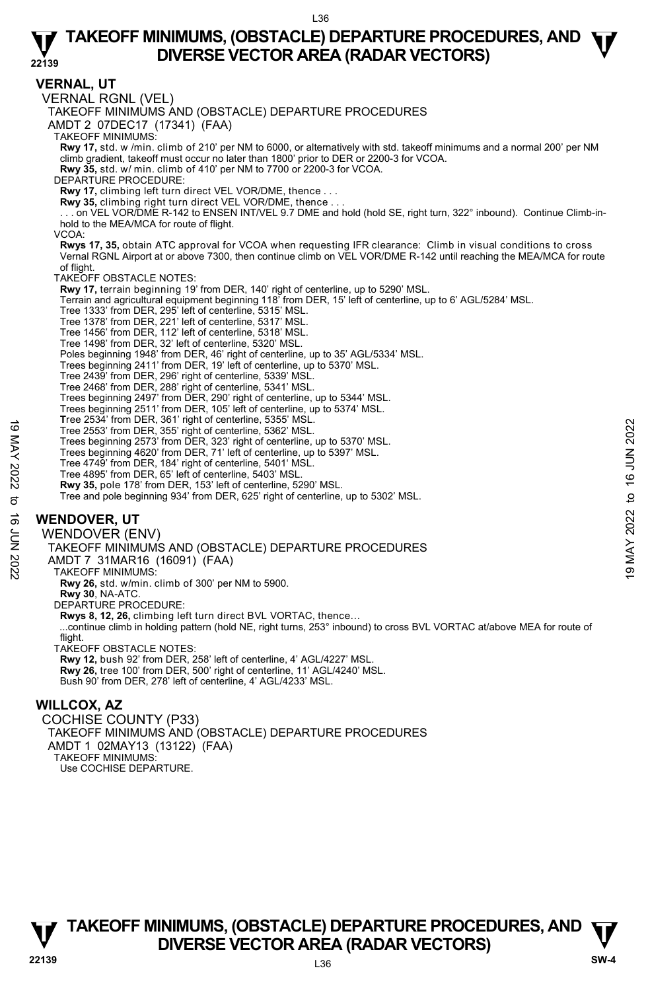**VERNAL, UT**  VERNAL RGNL (VEL) TAKEOFF MINIMUMS AND (OBSTACLE) DEPARTURE PROCEDURES AMDT 2 07DEC17 (17341) (FAA) TAKEOFF MINIMUMS: **Rwy 17,** std. w /min. climb of 210' per NM to 6000, or alternatively with std. takeoff minimums and a normal 200' per NM climb gradient, takeoff must occur no later than 1800' prior to DER or 2200-3 for VCOA. **Rwy 35,** std. w/ min. climb of 410' per NM to 7700 or 2200-3 for VCOA. DEPARTURE PROCEDURE: **Rwy 17,** climbing left turn direct VEL VOR/DME, thence . . . **Rwy 35,** climbing right turn direct VEL VOR/DME, thence . . . . . . on VEL VOR/DME R-142 to ENSEN INT/VEL 9.7 DME and hold (hold SE, right turn, 322° inbound). Continue Climb-inhold to the MEA/MCA for route of flight. VCOA: **Rwys 17, 35,** obtain ATC approval for VCOA when requesting IFR clearance: Climb in visual conditions to cross Vernal RGNL Airport at or above 7300, then continue climb on VEL VOR/DME R-142 until reaching the MEA/MCA for route of flight. TAKEOFF OBSTACLE NOTES: **Rwy 17,** terrain beginning 19' from DER, 140' right of centerline, up to 5290' MSL. Terrain and agricultural equipment beginning 118' from DER, 15' left of centerline, up to 6' AGL/5284' MSL.<br>Tree 1333' from DER, 295' left of centerline, 5315' MSL.<br>Tree 1378' from DER, 221' left of centerline, 5317' MSL. Tree 1456' from DER, 112' left of centerline, 5318' MSL. Tree 1498' from DER, 32' left of centerline, 5320' MSL. Poles beginning 1948' from DER, 46' right of centerline, up to 35' AGL/5334' MSL. Trees beginning 2411' from DER, 19' left of centerline, up to 5370' MSL. Tree 2439' from DER, 296' right of centerline, 5339' MSL. Tree 2468' from DER, 288' right of centerline, 5341' MSL. Trees beginning 2497' from DER, 290' right of centerline, up to 5344' MSL. Trees beginning 2511' from DER, 105' left of centerline, up to 5374' MSL. **T**ree 2534' from DER, 361' right of centerline, 5355' MSL. Tree 2553' from DER, 355' right of centerline, 5362' MSL. Trees beginning 2573' from DER, 323' right of centerline, up to 5370' MSL. Trees beginning 4620' from DER, 71' left of centerline, up to 5397' MSL. Tree 4749' from DER, 184' right of centerline, 5401' MSL. Tree 4895' from DER, 65' left of centerline, 5403' MSL. **Rwy 35,** pole 178' from DER, 153' left of centerline, 5290' MSL. Tree and pole beginning 934' from DER, 625' right of centerline, up to 5302' MSL. **WENDOVER, UT**  WENDOVER (ENV) TAKEOFF MINIMUMS AND (OBSTACLE) DEPARTURE PROCEDURES AMDT 7 31MAR16 (16091) (FAA) TAKEOFF MINIMUMS: **Rwy 26,** std. w/min. climb of 300' per NM to 5900. **Rwy 30**, NA-ATC. DEPARTURE PROCEDURE: **Rwys 8, 12, 26,** climbing left turn direct BVL VORTAC, thence… ...continue climb in holding pattern (hold NE, right turns, 253° inbound) to cross BVL VORTAC at/above MEA for route of flight. TAKEOFF OBSTACLE NOTES: **Rwy 12,** bush 92' from DER, 258' left of centerline, 4' AGL/4227' MSL. **Rwy 26,** tree 100' from DER, 500' right of centerline, 11' AGL/4240' MSL. Bush 90' from DER, 278' left of centerline, 4' AGL/4233' MSL. **WILLCOX, AZ**  COCHISE COUNTY (P33) TAKEOFF MINIMUMS AND (OBSTACLE) DEPARTURE PROCEDURES Tree 2533 from DER, 355 right of centerline, 3362 MSL.<br>
Tree 2553 from DER, 355 right of centerline, up to 5370' MSL.<br>
Trees beginning 4620' from DER, 71' left of centerline, up to 5370' MSL.<br>
Tree 4849' from DER, 164' rig

# **TAKEOFF MINIMUMS, (OBSTACLE) DEPARTURE PROCEDURES, AND**  $\Psi$ **<br>DIVERSE VECTOR AREA (RADAR VECTORS) V** DIVERSE VECTOR AREA (RADAR VECTORS) **V**<br>22139 SW-4

AMDT 1 02MAY13 (13122) (FAA)

TAKEOFF MINIMUMS: Use COCHISE DEPARTURE.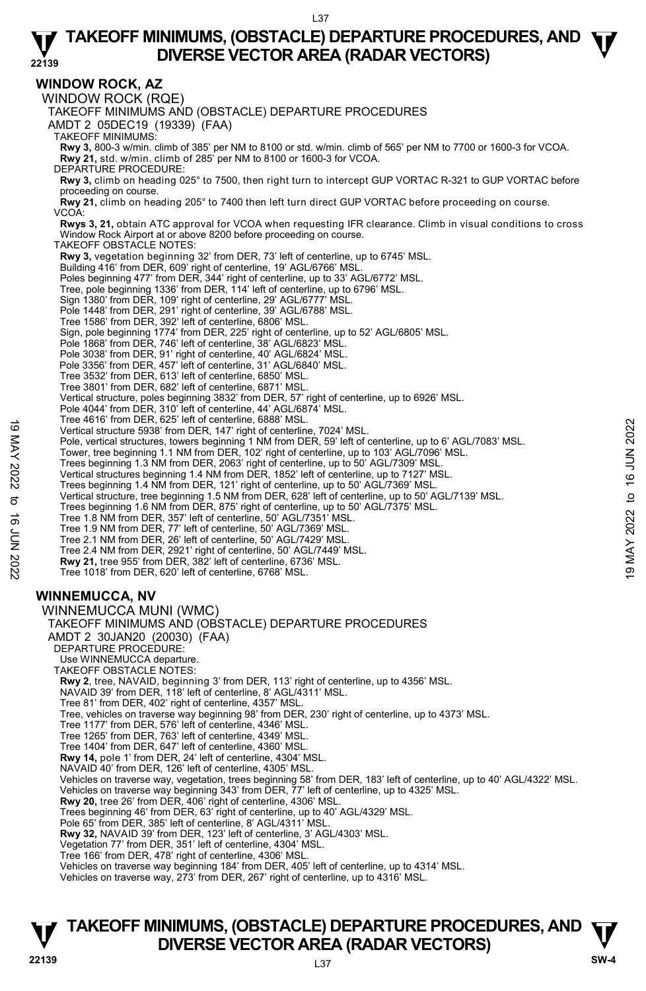**WINDOW ROCK, AZ**  WINDOW ROCK (RQE) TAKEOFF MINIMUMS AND (OBSTACLE) DEPARTURE PROCEDURES AMDT 2 05DEC19 (19339) (FAA) TAKEOFF MINIMUMS: **Rwy 3,** 800-3 w/min. climb of 385' per NM to 8100 or std. w/min. climb of 565' per NM to 7700 or 1600-3 for VCOA. **Rwy 21,** std. w/min. climb of 285' per NM to 8100 or 1600-3 for VCOA. DEPARTURE PROCEDURE: **Rwy 3,** climb on heading 025° to 7500, then right turn to intercept GUP VORTAC R-321 to GUP VORTAC before proceeding on course. **Rwy 21,** climb on heading 205° to 7400 then left turn direct GUP VORTAC before proceeding on course. VCOA: **Rwys 3, 21,** obtain ATC approval for VCOA when requesting IFR clearance. Climb in visual conditions to cross Window Rock Airport at or above 8200 before proceeding on course. TAKEOFF OBSTACLE NOTES: **Rwy 3,** vegetation beginning 32' from DER, 73' left of centerline, up to 6745' MSL. Building 416' from DER, 609' right of centerline, 19' AGL/6766' MSL Poles beginning 477' from DER, 344' right of centerline, up to 33' AGL/6772' MSL. Tree, pole beginning 1336' from DER, 114' left of centerline, up to 6796' MSL. Sign 1380' from DER, 109' right of centerline, 29' AGL/6777' MSL.<br>Pole 1448' from DER, 291' right of centerline, 39' AGL/6788' MSL.<br>Tree 1586' from DER, 392' left of centerline, 6806' MSL. Sign, pole beginning 1774' from DER, 225' right of centerline, up to 52' AGL/6805' MSL. Pole 1868' from DER, 746' left of centerline, 38' AGL/6823' MSL. Pole 3038' from DER, 91' right of centerline, 40' AGL/6824' MSL. Pole 3356' from DER, 457' left of centerline, 31' AGL/6840' MSL. Tree 3532' from DER, 613' left of centerline, 6850' MSL. Tree 3801' from DER, 682' left of centerline, 6871' MSL. Vertical structure, poles beginning 3832' from DER, 57' right of centerline, up to 6926' MSL. Pole 4044' from DER, 310' left of centerline, 44' AGL/6874' MSL. Tree 4616' from DER, 625' left of centerline, 6888' MSL. Vertical structure 5938' from DER, 147' right of centerline, 7024' MSL. Pole, vertical structures, towers beginning 1 NM from DER, 59' left of centerline, up to 6' AGL/7083' MSL.<br>Tower, tree beginning 1.1 NM from DER, 102' right of centerline, up to 103' AGL/7096' MSL. Trees beginning 1.3 NM from DER, 2063' right of centerline, up to 50' AGL/7309' MSL. Vertical structures beginning 1.4 NM from DER, 1852' left of centerline, up to 7127' MSL. Trees beginning 1.4 NM from DER, 121' right of centerline, up to 50' AGL/7369' MSL. Vertical structure, tree beginning 1.5 NM from DER, 628' left of centerline, up to 50' AGL/7139' MSL. Trees beginning 1.6 NM from DER, 875' right of centerline, up to 50' AGL/7375' MSL. Tree 1.8 NM from DER, 357' left of centerline, 50' AGL/7351' MSL. Tree 1.9 NM from DER, 77' left of centerline, 50' AGL/7369' MSL. Tree 2.1 NM from DER, 26' left of centerline, 50' AGL/7429' MSL. Tree 2.4 NM from DER, 2921' right of centerline, 50' AGL/7449' MSL. **Rwy 21,** tree 955' from DER, 382' left of centerline, 6736' MSL. Tree 1018' from DER, 620' left of centerline, 6768' MSL. **WINNEMUCCA, NV**  WINNEMUCCA MUNI (WMC) TAKEOFF MINIMUMS AND (OBSTACLE) DEPARTURE PROCEDURES AMDT 2 30JAN20 (20030) (FAA) DEPARTURE PROCEDURE: Use WINNEMUCCA departure. TAKEOFF OBSTACLE NOTES: **Rwy 2**, tree, NAVAID, beginning 3' from DER, 113' right of centerline, up to 4356' MSL. NAVAID 39' from DER, 118' left of centerline, 8' AGL/4311' MSL. Tree 81' from DER, 402' right of centerline, 4357' MSL. Tree, vehicles on traverse way beginning 98' from DER, 230' right of centerline, up to 4373' MSL. Tree 1177' from DER, 576' left of centerline, 4346' MSL. Tree 1265' from DER, 763' left of centerline, 4349' MSL. Tree 1404' from DER, 647' left of centerline, 4360' MSL. **Rwy 14,** pole 1' from DER, 24' left of centerline, 4304' MSL. NAVAID 40' from DER, 126' left of centerline, 4305' MSL. Vehicles on traverse way, vegetation, trees beginning 58' from DER, 183' left of centerline, up to 40' AGL/4322' MSL.<br>Vehicles on traverse way beginning 343' from DER, 77' left of centerline, up to 4325' MSL. **Rwy 20,** tree 26' from DER, 406' right of centerline, 4306' MSL. Trees beginning 46' from DER, 63' right of centerline, up to 40' AGL/4329' MSL. Pole 65' from DER, 385' left of centerline, 8' AGL/4311' MSL. **Rwy 32,** NAVAID 39' from DER, 123' left of centerline, 3' AGL/4303' MSL. Vegetation 77' from DER, 351' left of centerline, 4304' MSL. Tree 166' from DER, 478' right of centerline, 4306' MSL. Vehicles on traverse way beginning 184' from DER, 405' left of centerline, up to 4314' MSL. 19 Wertical structure 5938' from DER, 147' right of centerline, 7024' MSL.<br>
Pole, vertical structures, towers beginning 1 NM from DER, 59' left of centerline, up to 6' AGL/7083' MSL.<br>
Tower, tree beginning 1.1 NM from DER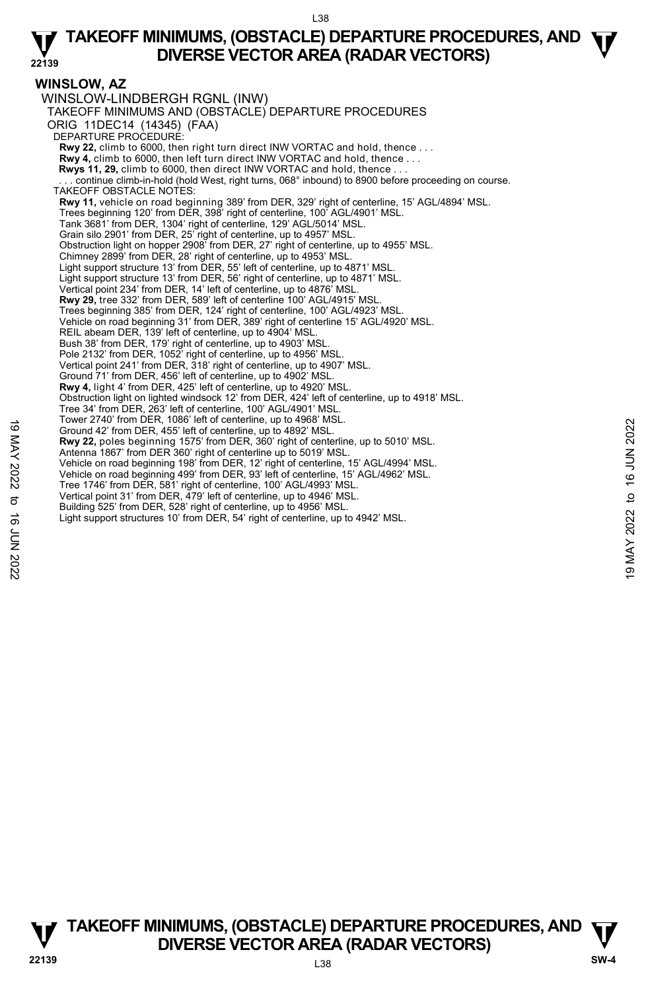### **WINSLOW, AZ**

WINSLOW-LINDBERGH RGNL (INW) TAKEOFF MINIMUMS AND (OBSTACLE) DEPARTURE PROCEDURES ORIG 11DEC14 (14345) (FAA) DEPARTURE PROCEDURE: **Rwy 22,** climb to 6000, then right turn direct INW VORTAC and hold, thence . . . **Rwy 4,** climb to 6000, then left turn direct INW VORTAC and hold, thence . . . **Rwys 11, 29,** climb to 6000, then direct INW VORTAC and hold, thence . . . . continue climb-in-hold (hold West, right turns, 068° inbound) to 8900 before proceeding on course. TAKEOFF OBSTACLE NOTES: **Rwy 11,** vehicle on road beginning 389' from DER, 329' right of centerline, 15' AGL/4894' MSL. Trees beginning 120' from DER, 398' right of centerline, 100' AGL/4901' MSL. Tank 3681' from DER, 1304' right of centerline, 129' AGL/5014' MSL. Grain silo 2901' from DER, 25' right of centerline, up to 4957' MSL. Obstruction light on hopper 2908' from DER, 27' right of centerline, up to 4955' MSL. Chimney 2899' from DER, 28' right of centerline, up to 4953' MSL. Light support structure 13' from DER, 55' left of centerline, up to 4871' MSL. Light support structure 13' from DER, 56' right of centerline, up to 4871' MSL. Vertical point 234' from DER, 14' left of centerline, up to 4876' MSL. **Rwy 29,** tree 332' from DER, 589' left of centerline 100' AGL/4915' MSL. Trees beginning 385' from DER, 124' right of centerline, 100' AGL/4923' MSL. Vehicle on road beginning 31' from DER, 389' right of centerline 15' AGL/4920' MSL. REIL abeam DER, 139' left of centerline, up to 4904' MSL. Bush 38' from DER, 179' right of centerline, up to 4903' MSL. Pole 2132' from DER, 1052' right of centerline, up to 4956' MSL. Vertical point 241' from DER, 318' right of centerline, up to 4907' MSL. Ground 71' from DER, 456' left of centerline, up to 4902' MSL. **Rwy 4,** light 4' from DER, 425' left of centerline, up to 4920' MSL. Obstruction light on lighted windsock 12' from DER, 424' left of centerline, up to 4918' MSL. Tree 34' from DER, 263' left of centerline, 100' AGL/4901' MSL. Tower 2740' from DER, 1086' left of centerline, up to 4968' MSL. Ground 42' from DER, 455' left of centerline, up to 4892' MSL. **Rwy 22,** poles beginning 1575' from DER, 360' right of centerline, up to 5010' MSL. Antenna 1867' from DER 360' right of centerline up to 5019' MSL. Vehicle on road beginning 198' from DER, 12' right of centerline, 15' AGL/4994' MSL. Vehicle on road beginning 499' from DER, 93' left of centerline, 15' AGL/4962' MSL. Tree 1746' from DER, 581' right of centerline, 100' AGL/4993' MSL. Vertical point 31' from DER, 479' left of centerline, up to 4946' MSL. Building 525' from DER, 528' right of centerline, up to 4956' MSL. Light support structures 10' from DER, 54' right of centerline, up to 4942' MSL. For 2740 Torm DER, 455' left of centerline, up to 4992 MSL.<br>
For a Ground 42' from DER, 455' left of centerline, up to 4892' MSL.<br>
Antenna 1867' from DER, 360' right of centerline, up to 5010' MSL.<br>
Antenna 1867' from DER